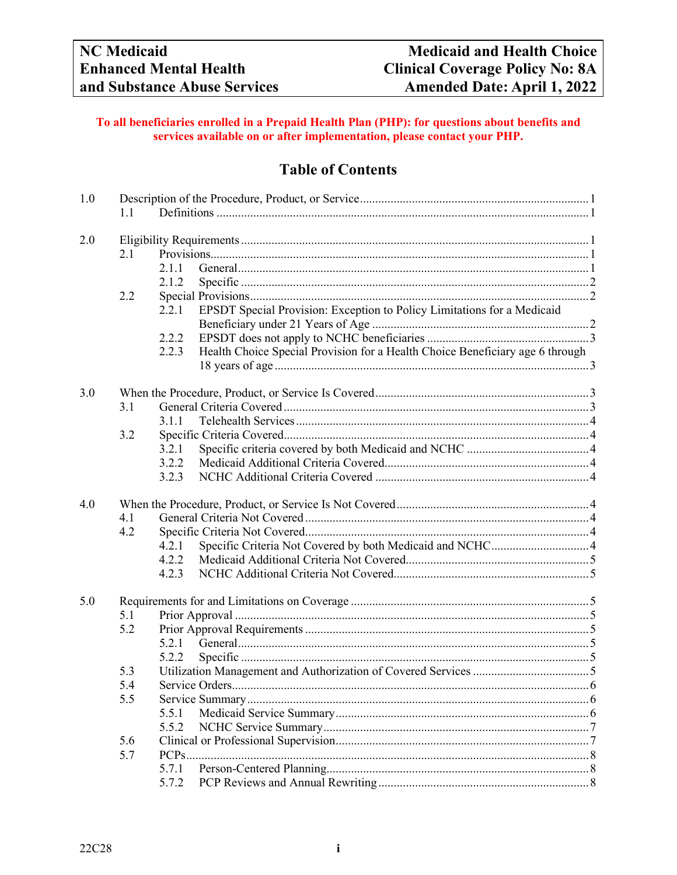## **To all beneficiaries enrolled in a Prepaid Health Plan (PHP): for questions about benefits and services available on or after implementation, please contact your PHP.**

## **Table of Contents**

| 1.1<br>2.0<br>2.1<br>2.1.1<br>2.1.2<br>2.2<br>EPSDT Special Provision: Exception to Policy Limitations for a Medicaid<br>2.2.1<br>2.2.2<br>Health Choice Special Provision for a Health Choice Beneficiary age 6 through<br>2.2.3<br>3.0<br>3.1<br>3.1.1<br>3.2<br>3.2.1<br>3.2.2<br>3.2.3 |  |
|--------------------------------------------------------------------------------------------------------------------------------------------------------------------------------------------------------------------------------------------------------------------------------------------|--|
|                                                                                                                                                                                                                                                                                            |  |
|                                                                                                                                                                                                                                                                                            |  |
|                                                                                                                                                                                                                                                                                            |  |
|                                                                                                                                                                                                                                                                                            |  |
|                                                                                                                                                                                                                                                                                            |  |
|                                                                                                                                                                                                                                                                                            |  |
|                                                                                                                                                                                                                                                                                            |  |
|                                                                                                                                                                                                                                                                                            |  |
|                                                                                                                                                                                                                                                                                            |  |
|                                                                                                                                                                                                                                                                                            |  |
|                                                                                                                                                                                                                                                                                            |  |
|                                                                                                                                                                                                                                                                                            |  |
|                                                                                                                                                                                                                                                                                            |  |
|                                                                                                                                                                                                                                                                                            |  |
|                                                                                                                                                                                                                                                                                            |  |
|                                                                                                                                                                                                                                                                                            |  |
|                                                                                                                                                                                                                                                                                            |  |
|                                                                                                                                                                                                                                                                                            |  |
|                                                                                                                                                                                                                                                                                            |  |
| 4.0                                                                                                                                                                                                                                                                                        |  |
| 4.1                                                                                                                                                                                                                                                                                        |  |
| 4.2                                                                                                                                                                                                                                                                                        |  |
| 4.2.1                                                                                                                                                                                                                                                                                      |  |
| 4.2.2                                                                                                                                                                                                                                                                                      |  |
| 4.2.3                                                                                                                                                                                                                                                                                      |  |
|                                                                                                                                                                                                                                                                                            |  |
| 5.0                                                                                                                                                                                                                                                                                        |  |
| 5.1                                                                                                                                                                                                                                                                                        |  |
| 5.2                                                                                                                                                                                                                                                                                        |  |
| 5.2.1                                                                                                                                                                                                                                                                                      |  |
| 5.2.2                                                                                                                                                                                                                                                                                      |  |
| 5.3                                                                                                                                                                                                                                                                                        |  |
| 5.4<br>Service Orders                                                                                                                                                                                                                                                                      |  |
| 5.5                                                                                                                                                                                                                                                                                        |  |
| 5.5.1                                                                                                                                                                                                                                                                                      |  |
| 5.5.2                                                                                                                                                                                                                                                                                      |  |
| 5.6                                                                                                                                                                                                                                                                                        |  |
| 5.7<br>PCPs                                                                                                                                                                                                                                                                                |  |
| 5.7.1                                                                                                                                                                                                                                                                                      |  |
| 5.7.2                                                                                                                                                                                                                                                                                      |  |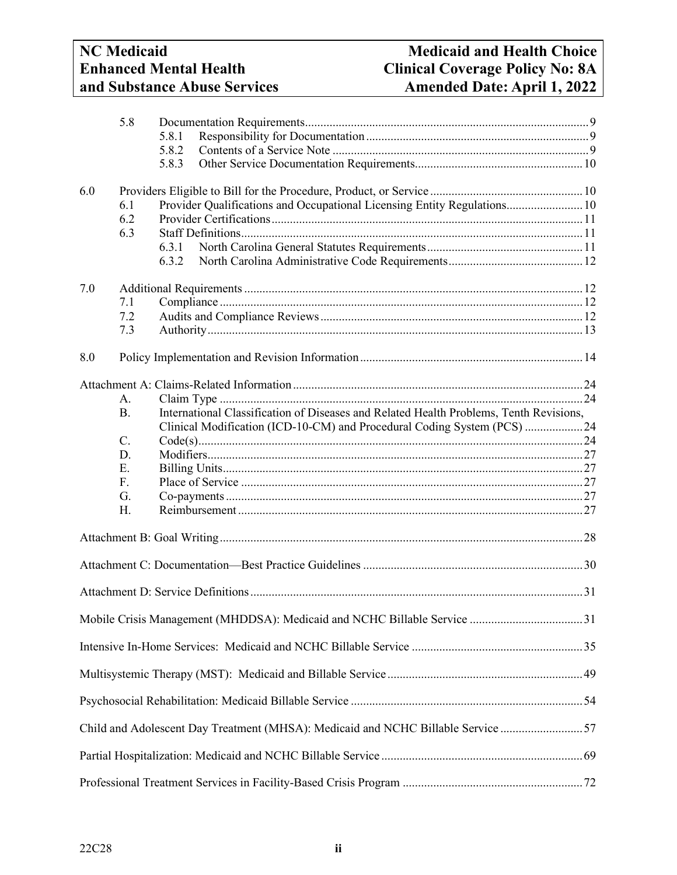# **and Substance Abuse Services Amended Date: April 1, 2022**

|     | 5.8            |                                                                          |                                                                                                                                                                   |  |  |  |
|-----|----------------|--------------------------------------------------------------------------|-------------------------------------------------------------------------------------------------------------------------------------------------------------------|--|--|--|
|     |                | 5.8.1                                                                    |                                                                                                                                                                   |  |  |  |
|     |                | 5.8.2                                                                    |                                                                                                                                                                   |  |  |  |
|     |                | 5.8.3                                                                    |                                                                                                                                                                   |  |  |  |
| 6.0 |                |                                                                          |                                                                                                                                                                   |  |  |  |
|     | 6.1            | Provider Qualifications and Occupational Licensing Entity Regulations 10 |                                                                                                                                                                   |  |  |  |
|     | 6.2            |                                                                          |                                                                                                                                                                   |  |  |  |
|     | 6.3            |                                                                          |                                                                                                                                                                   |  |  |  |
|     |                | 6.3.1                                                                    |                                                                                                                                                                   |  |  |  |
|     |                | 6.3.2                                                                    |                                                                                                                                                                   |  |  |  |
|     |                |                                                                          |                                                                                                                                                                   |  |  |  |
| 7.0 |                |                                                                          |                                                                                                                                                                   |  |  |  |
|     | 7.1            |                                                                          |                                                                                                                                                                   |  |  |  |
|     | 7.2            |                                                                          |                                                                                                                                                                   |  |  |  |
|     | 7.3            |                                                                          |                                                                                                                                                                   |  |  |  |
| 8.0 |                |                                                                          |                                                                                                                                                                   |  |  |  |
|     |                |                                                                          |                                                                                                                                                                   |  |  |  |
|     | $A_{\cdot}$    |                                                                          |                                                                                                                                                                   |  |  |  |
|     | <b>B.</b>      |                                                                          |                                                                                                                                                                   |  |  |  |
|     |                |                                                                          | International Classification of Diseases and Related Health Problems, Tenth Revisions,<br>Clinical Modification (ICD-10-CM) and Procedural Coding System (PCS) 24 |  |  |  |
|     | C.             |                                                                          |                                                                                                                                                                   |  |  |  |
|     | D.             |                                                                          |                                                                                                                                                                   |  |  |  |
|     | E.             |                                                                          |                                                                                                                                                                   |  |  |  |
|     | F <sub>r</sub> |                                                                          |                                                                                                                                                                   |  |  |  |
|     | G.             |                                                                          |                                                                                                                                                                   |  |  |  |
|     | H.             |                                                                          |                                                                                                                                                                   |  |  |  |
|     |                |                                                                          |                                                                                                                                                                   |  |  |  |
|     |                |                                                                          |                                                                                                                                                                   |  |  |  |
|     |                |                                                                          |                                                                                                                                                                   |  |  |  |
|     |                |                                                                          |                                                                                                                                                                   |  |  |  |
|     |                |                                                                          |                                                                                                                                                                   |  |  |  |
|     |                |                                                                          | Mobile Crisis Management (MHDDSA): Medicaid and NCHC Billable Service 31                                                                                          |  |  |  |
|     |                |                                                                          |                                                                                                                                                                   |  |  |  |
|     |                |                                                                          |                                                                                                                                                                   |  |  |  |
|     |                |                                                                          |                                                                                                                                                                   |  |  |  |
|     |                |                                                                          | Child and Adolescent Day Treatment (MHSA): Medicaid and NCHC Billable Service 57                                                                                  |  |  |  |
|     |                |                                                                          |                                                                                                                                                                   |  |  |  |
|     |                |                                                                          |                                                                                                                                                                   |  |  |  |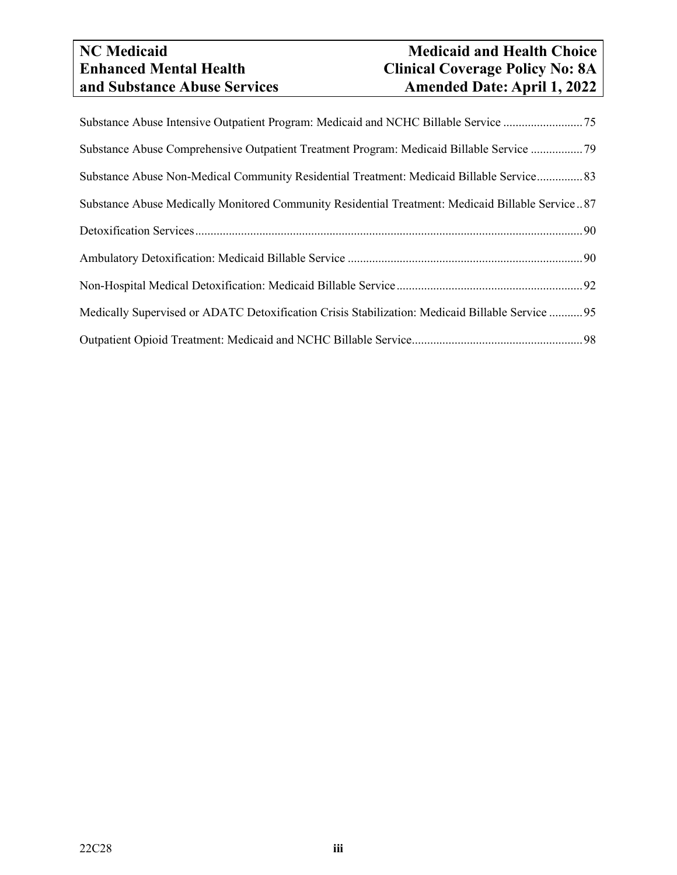# **and Substance Abuse Services Amended Date: April 1, 2022**

## **NC** Medicaid<br> **Net Choice**<br> **Clinical Coverage Policy No: 8A**<br> **Clinical Coverage Policy No: 8A Enhanced Coverage Policy No: 8A**<br>**Amended Date: April 1, 2022**

| Substance Abuse Intensive Outpatient Program: Medicaid and NCHC Billable Service 75              |
|--------------------------------------------------------------------------------------------------|
| Substance Abuse Comprehensive Outpatient Treatment Program: Medicaid Billable Service 79         |
| Substance Abuse Non-Medical Community Residential Treatment: Medicaid Billable Service 83        |
| Substance Abuse Medically Monitored Community Residential Treatment: Medicaid Billable Service87 |
|                                                                                                  |
|                                                                                                  |
|                                                                                                  |
| Medically Supervised or ADATC Detoxification Crisis Stabilization: Medicaid Billable Service  95 |
|                                                                                                  |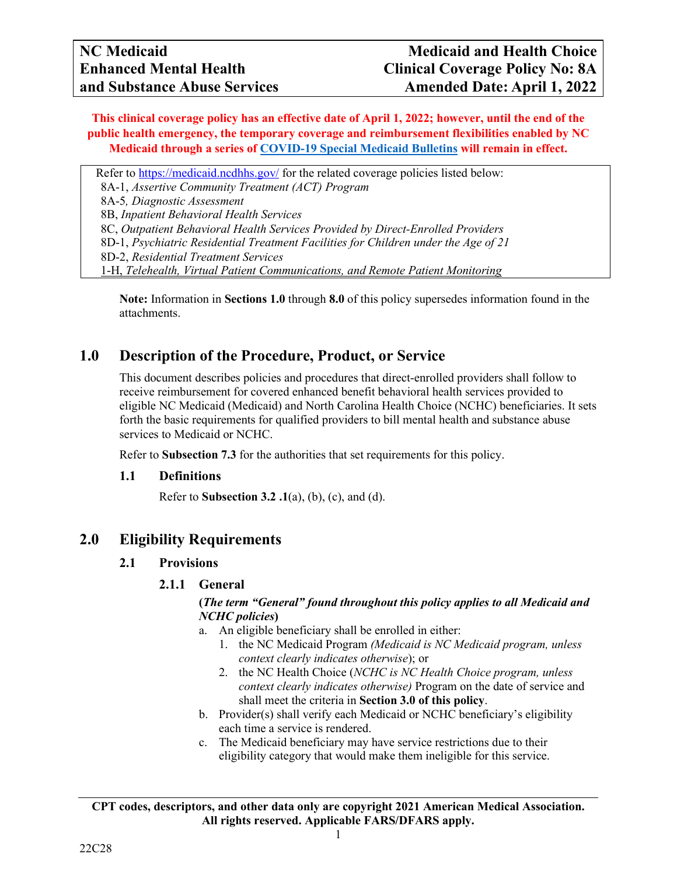**This clinical coverage policy has an effective date of April 1, 2022; however, until the end of the public health emergency, the temporary coverage and reimbursement flexibilities enabled by NC Medicaid through a series of [COVID-19 Special Medicaid Bulletins](https://medicaid.ncdhhs.gov/about-us/covid-19-guidance-and-resources/providers/covid-19-special-medicaid-bulletins) will remain in effect.**

Refer to<https://medicaid.ncdhhs.gov/> for the related coverage policies listed below:

8A-1, *Assertive Community Treatment (ACT) Program*

8A-5*, Diagnostic Assessment* 

8B, *Inpatient Behavioral Health Services*

8C, *Outpatient Behavioral Health Services Provided by Direct-Enrolled Providers*

8D-1, *Psychiatric Residential Treatment Facilities for Children under the Age of 21*

8D-2, *Residential Treatment Services*

1-H, *Telehealth, Virtual Patient Communications, and Remote Patient Monitoring*

**Note:** Information in **Sections 1.0** through **8.0** of this policy supersedes information found in the attachments.

## <span id="page-3-0"></span>**1.0 Description of the Procedure, Product, or Service**

This document describes policies and procedures that direct-enrolled providers shall follow to receive reimbursement for covered enhanced benefit behavioral health services provided to eligible NC Medicaid (Medicaid) and North Carolina Health Choice (NCHC) beneficiaries. It sets forth the basic requirements for qualified providers to bill mental health and substance abuse services to Medicaid or NCHC.

Refer to **Subsection 7.3** for the authorities that set requirements for this policy.

#### <span id="page-3-1"></span>**1.1 Definitions**

Refer to **Subsection 3.2 .1**(a), (b), (c), and (d).

## <span id="page-3-4"></span><span id="page-3-3"></span><span id="page-3-2"></span>**2.0 Eligibility Requirements**

#### **2.1 Provisions**

### **2.1.1 General**

## **(***The term "General" found throughout this policy applies to all Medicaid and NCHC policies***)**

- a. An eligible beneficiary shall be enrolled in either:
	- 1. the NC Medicaid Program *(Medicaid is NC Medicaid program, unless context clearly indicates otherwise*); or
	- 2. the NC Health Choice (*NCHC is NC Health Choice program, unless context clearly indicates otherwise)* Program on the date of service and shall meet the criteria in **Section 3.0 of this policy**.
- b. Provider(s) shall verify each Medicaid or NCHC beneficiary's eligibility each time a service is rendered.
- c. The Medicaid beneficiary may have service restrictions due to their eligibility category that would make them ineligible for this service.

**CPT codes, descriptors, and other data only are copyright 2021 American Medical Association. All rights reserved. Applicable FARS/DFARS apply.**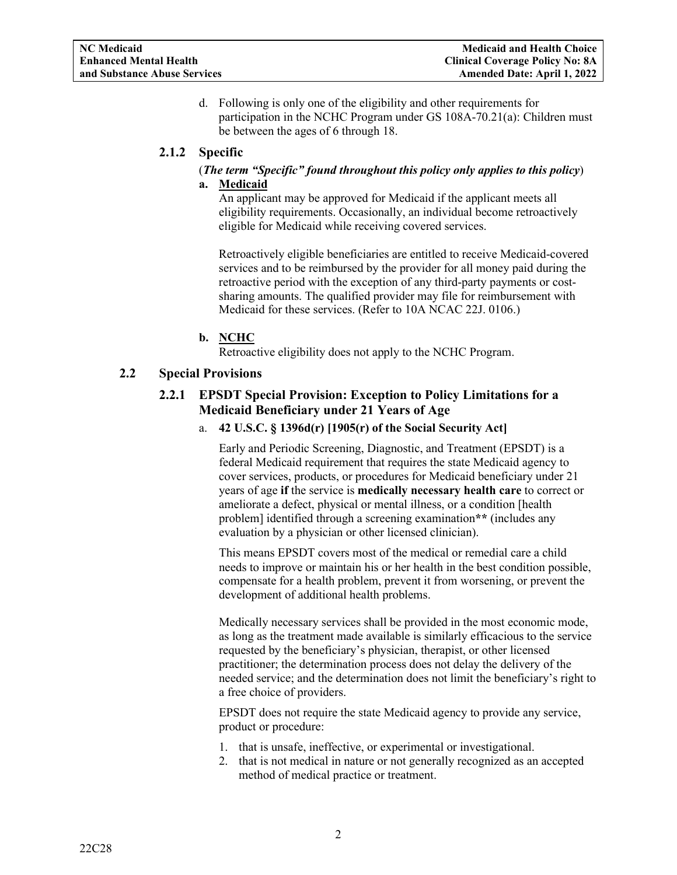d. Following is only one of the eligibility and other requirements for participation in the NCHC Program under GS 108A-70.21(a): Children must be between the ages of 6 through 18.

## <span id="page-4-0"></span>**2.1.2 Specific**

## (*The term "Specific" found throughout this policy only applies to this policy*)

#### **a. Medicaid**

An applicant may be approved for Medicaid if the applicant meets all eligibility requirements. Occasionally, an individual become retroactively eligible for Medicaid while receiving covered services.

Retroactively eligible beneficiaries are entitled to receive Medicaid-covered services and to be reimbursed by the provider for all money paid during the retroactive period with the exception of any third-party payments or costsharing amounts. The qualified provider may file for reimbursement with Medicaid for these services. (Refer to 10A NCAC 22J. 0106.)

## **b. NCHC**

Retroactive eligibility does not apply to the NCHC Program.

## <span id="page-4-2"></span><span id="page-4-1"></span>**2.2 Special Provisions**

## **2.2.1 EPSDT Special Provision: Exception to Policy Limitations for a Medicaid Beneficiary under 21 Years of Age**

#### a. **42 U.S.C. § 1396d(r) [1905(r) of the Social Security Act]**

Early and Periodic Screening, Diagnostic, and Treatment (EPSDT) is a federal Medicaid requirement that requires the state Medicaid agency to cover services, products, or procedures for Medicaid beneficiary under 21 years of age **if** the service is **medically necessary health care** to correct or ameliorate a defect, physical or mental illness, or a condition [health problem] identified through a screening examination**\*\*** (includes any evaluation by a physician or other licensed clinician).

This means EPSDT covers most of the medical or remedial care a child needs to improve or maintain his or her health in the best condition possible, compensate for a health problem, prevent it from worsening, or prevent the development of additional health problems.

Medically necessary services shall be provided in the most economic mode, as long as the treatment made available is similarly efficacious to the service requested by the beneficiary's physician, therapist, or other licensed practitioner; the determination process does not delay the delivery of the needed service; and the determination does not limit the beneficiary's right to a free choice of providers.

EPSDT does not require the state Medicaid agency to provide any service, product or procedure:

- 1. that is unsafe, ineffective, or experimental or investigational.
- 2. that is not medical in nature or not generally recognized as an accepted method of medical practice or treatment.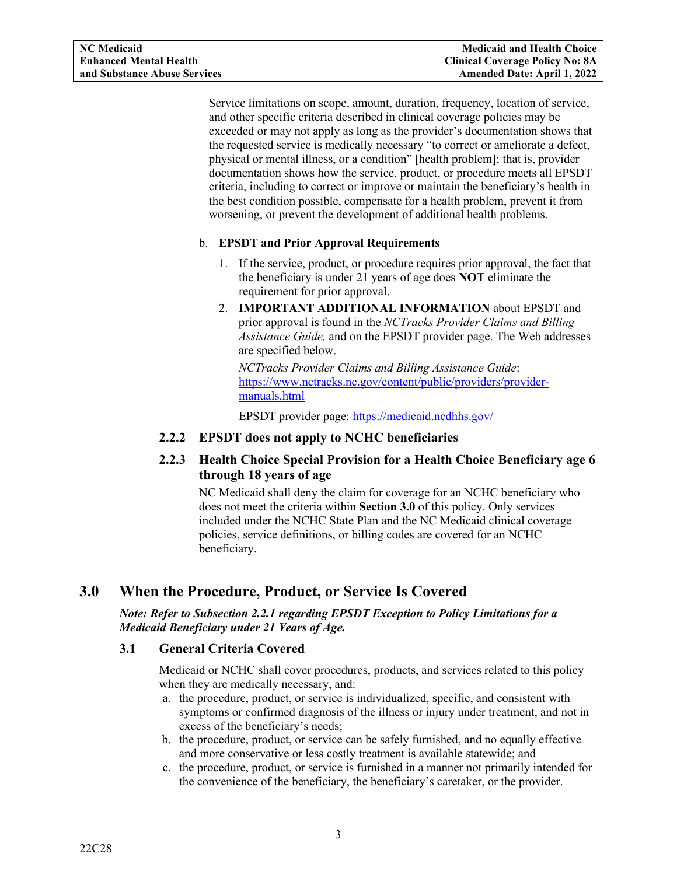Service limitations on scope, amount, duration, frequency, location of service, and other specific criteria described in clinical coverage policies may be exceeded or may not apply as long as the provider's documentation shows that the requested service is medically necessary "to correct or ameliorate a defect, physical or mental illness, or a condition" [health problem]; that is, provider documentation shows how the service, product, or procedure meets all EPSDT criteria, including to correct or improve or maintain the beneficiary's health in the best condition possible, compensate for a health problem, prevent it from worsening, or prevent the development of additional health problems.

## b. **EPSDT and Prior Approval Requirements**

- 1. If the service, product, or procedure requires prior approval, the fact that the beneficiary is under 21 years of age does **NOT** eliminate the requirement for prior approval.
- 2. **IMPORTANT ADDITIONAL INFORMATION** about EPSDT and prior approval is found in the *NCTracks Provider Claims and Billing Assistance Guide,* and on the EPSDT provider page. The Web addresses are specified below.

*NCTracks Provider Claims and Billing Assistance Guide*: [https://www.nctracks.nc.gov/content/public/providers/provider](https://www.nctracks.nc.gov/content/public/providers/provider-manuals.html)[manuals.html](https://www.nctracks.nc.gov/content/public/providers/provider-manuals.html)

EPSDT provider page: <https://medicaid.ncdhhs.gov/>

- <span id="page-5-0"></span>**2.2.2 EPSDT does not apply to NCHC beneficiaries**
- <span id="page-5-1"></span>**2.2.3 Health Choice Special Provision for a Health Choice Beneficiary age 6 through 18 years of age**

NC Medicaid shall deny the claim for coverage for an NCHC beneficiary who does not meet the criteria within **Section 3.0** of this policy. Only services included under the NCHC State Plan and the NC Medicaid clinical coverage policies, service definitions, or billing codes are covered for an NCHC beneficiary.

## <span id="page-5-2"></span>**3.0 When the Procedure, Product, or Service Is Covered**

## *Note: Refer to Subsection 2.2.1 regarding EPSDT Exception to Policy Limitations for a Medicaid Beneficiary under 21 Years of Age.*

## <span id="page-5-3"></span>**3.1 General Criteria Covered**

Medicaid or NCHC shall cover procedures, products, and services related to this policy when they are medically necessary, and:

- a. the procedure, product, or service is individualized, specific, and consistent with symptoms or confirmed diagnosis of the illness or injury under treatment, and not in excess of the beneficiary's needs;
- b. the procedure, product, or service can be safely furnished, and no equally effective and more conservative or less costly treatment is available statewide; and
- c. the procedure, product, or service is furnished in a manner not primarily intended for the convenience of the beneficiary, the beneficiary's caretaker, or the provider.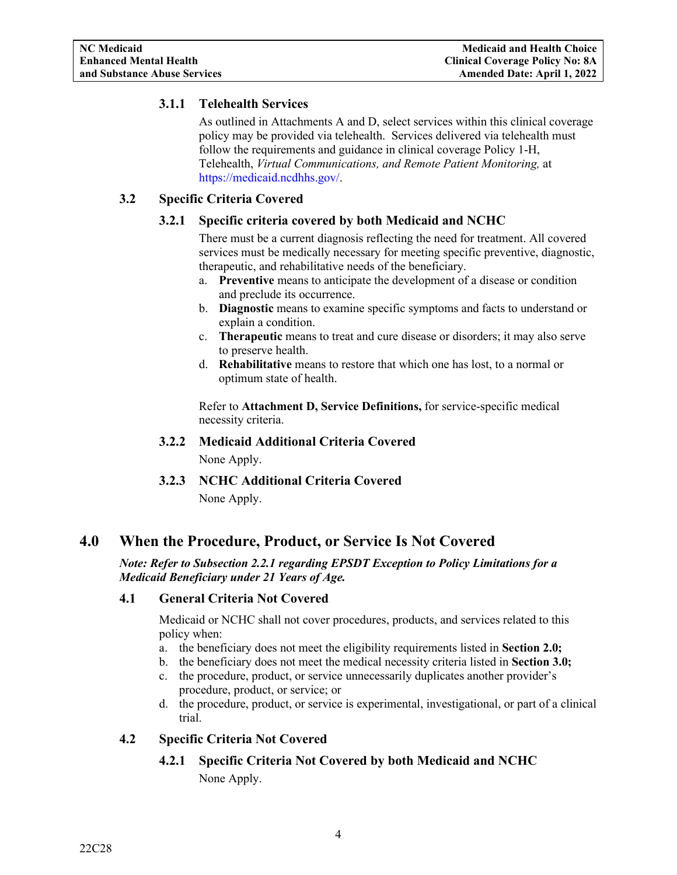## <span id="page-6-0"></span>**3.1.1 Telehealth Services**

As outlined in Attachments A and D, select services within this clinical coverage policy may be provided via telehealth. Services delivered via telehealth must follow the requirements and guidance in clinical coverage Policy 1-H, Telehealth, *Virtual Communications, and Remote Patient Monitoring,* at [https://medicaid.ncdhhs.gov/.](https://medicaid.ncdhhs.gov/)

## <span id="page-6-2"></span><span id="page-6-1"></span>**3.2 Specific Criteria Covered**

## **3.2.1 Specific criteria covered by both Medicaid and NCHC**

There must be a current diagnosis reflecting the need for treatment. All covered services must be medically necessary for meeting specific preventive, diagnostic, therapeutic, and rehabilitative needs of the beneficiary.

- a. **Preventive** means to anticipate the development of a disease or condition and preclude its occurrence.
- b. **Diagnostic** means to examine specific symptoms and facts to understand or explain a condition.
- c. **Therapeutic** means to treat and cure disease or disorders; it may also serve to preserve health.
- d. **Rehabilitative** means to restore that which one has lost, to a normal or optimum state of health.

Refer to **Attachment D, Service Definitions,** for service-specific medical necessity criteria.

## <span id="page-6-3"></span>**3.2.2 Medicaid Additional Criteria Covered**

None Apply.

**3.2.3 NCHC Additional Criteria Covered** None Apply.

## <span id="page-6-5"></span><span id="page-6-4"></span>**4.0 When the Procedure, Product, or Service Is Not Covered**

## *Note: Refer to Subsection 2.2.1 regarding EPSDT Exception to Policy Limitations for a Medicaid Beneficiary under 21 Years of Age.*

## <span id="page-6-6"></span>**4.1 General Criteria Not Covered**

Medicaid or NCHC shall not cover procedures, products, and services related to this policy when:

- a. the beneficiary does not meet the eligibility requirements listed in **Section 2.0;**
- b. the beneficiary does not meet the medical necessity criteria listed in **Section 3.0;**
- c. the procedure, product, or service unnecessarily duplicates another provider's procedure, product, or service; or
- d. the procedure, product, or service is experimental, investigational, or part of a clinical trial.

## <span id="page-6-8"></span><span id="page-6-7"></span>**4.2 Specific Criteria Not Covered**

## **4.2.1 Specific Criteria Not Covered by both Medicaid and NCHC**

None Apply.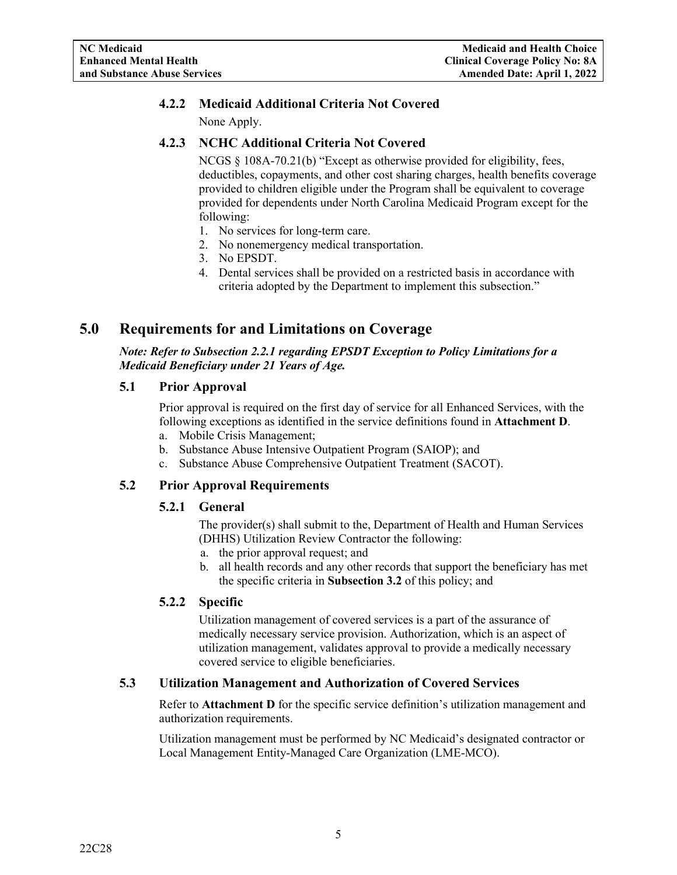## <span id="page-7-0"></span>**4.2.2 Medicaid Additional Criteria Not Covered**

None Apply.

## <span id="page-7-1"></span>**4.2.3 NCHC Additional Criteria Not Covered**

NCGS § 108A-70.21(b) "Except as otherwise provided for eligibility, fees, deductibles, copayments, and other cost sharing charges, health benefits coverage provided to children eligible under the Program shall be equivalent to coverage provided for dependents under North Carolina Medicaid Program except for the following:

- 1. No services for long-term care.
- 2. No nonemergency medical transportation.
- 3. No EPSDT.
- 4. Dental services shall be provided on a restricted basis in accordance with criteria adopted by the Department to implement this subsection."

## <span id="page-7-2"></span>**5.0 Requirements for and Limitations on Coverage**

*Note: Refer to Subsection 2.2.1 regarding EPSDT Exception to Policy Limitations for a Medicaid Beneficiary under 21 Years of Age.*

## <span id="page-7-3"></span>**5.1 Prior Approval**

Prior approval is required on the first day of service for all Enhanced Services, with the following exceptions as identified in the service definitions found in **Attachment D**.

- a. Mobile Crisis Management;
- b. Substance Abuse Intensive Outpatient Program (SAIOP); and
- c. Substance Abuse Comprehensive Outpatient Treatment (SACOT).

## <span id="page-7-5"></span><span id="page-7-4"></span>**5.2 Prior Approval Requirements**

## **5.2.1 General**

The provider(s) shall submit to the, Department of Health and Human Services (DHHS) Utilization Review Contractor the following:

- a. the prior approval request; and
- b. all health records and any other records that support the beneficiary has met the specific criteria in **Subsection 3.2** of this policy; and

## <span id="page-7-6"></span>**5.2.2 Specific**

Utilization management of covered services is a part of the assurance of medically necessary service provision. Authorization, which is an aspect of utilization management, validates approval to provide a medically necessary covered service to eligible beneficiaries.

## <span id="page-7-7"></span>**5.3 Utilization Management and Authorization of Covered Services**

Refer to **Attachment D** for the specific service definition's utilization management and authorization requirements.

Utilization management must be performed by NC Medicaid's designated contractor or Local Management Entity-Managed Care Organization (LME-MCO).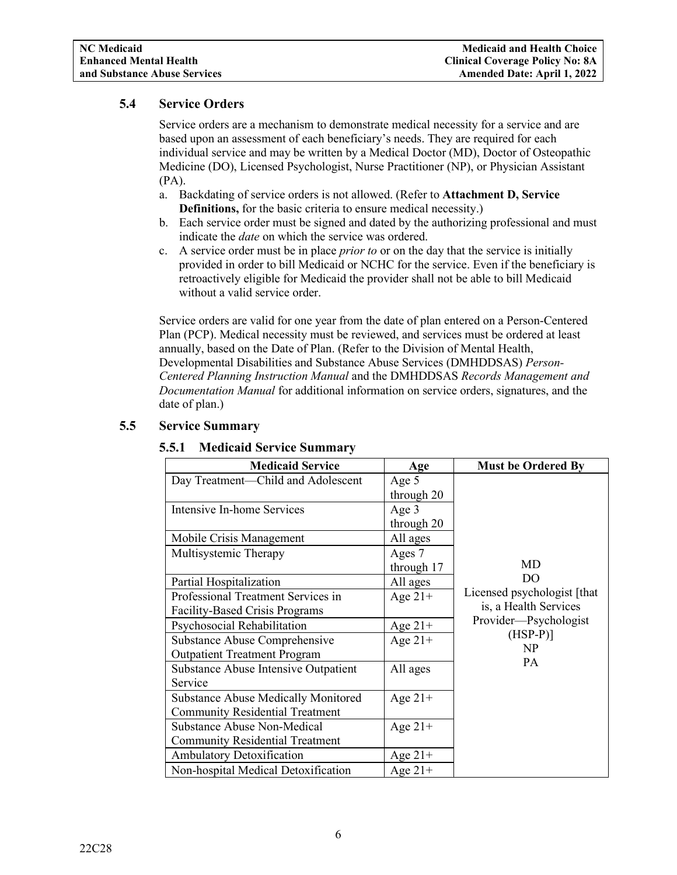## <span id="page-8-0"></span>**5.4 Service Orders**

Service orders are a mechanism to demonstrate medical necessity for a service and are based upon an assessment of each beneficiary's needs. They are required for each individual service and may be written by a Medical Doctor (MD), Doctor of Osteopathic Medicine (DO), Licensed Psychologist, Nurse Practitioner (NP), or Physician Assistant (PA).

- a. Backdating of service orders is not allowed. (Refer to **Attachment D, Service Definitions,** for the basic criteria to ensure medical necessity.)
- b. Each service order must be signed and dated by the authorizing professional and must indicate the *date* on which the service was ordered.
- c. A service order must be in place *prior to* or on the day that the service is initially provided in order to bill Medicaid or NCHC for the service. Even if the beneficiary is retroactively eligible for Medicaid the provider shall not be able to bill Medicaid without a valid service order.

Service orders are valid for one year from the date of plan entered on a Person-Centered Plan (PCP). Medical necessity must be reviewed, and services must be ordered at least annually, based on the Date of Plan. (Refer to the Division of Mental Health, Developmental Disabilities and Substance Abuse Services (DMHDDSAS) *Person-Centered Planning Instruction Manual* and the DMHDDSAS *Records Management and Documentation Manual* for additional information on service orders, signatures, and the date of plan.)

| <b>Medicaid Service</b>                    | Age        | <b>Must be Ordered By</b>   |
|--------------------------------------------|------------|-----------------------------|
| Day Treatment—Child and Adolescent         | Age $5$    |                             |
|                                            | through 20 |                             |
| Intensive In-home Services                 | Age $3$    |                             |
|                                            | through 20 |                             |
| Mobile Crisis Management                   | All ages   |                             |
| Multisystemic Therapy                      | Ages 7     |                             |
|                                            | through 17 | MD                          |
| Partial Hospitalization                    | All ages   | DO                          |
| Professional Treatment Services in         | Age $21+$  | Licensed psychologist [that |
| <b>Facility-Based Crisis Programs</b>      |            | is, a Health Services       |
| Psychosocial Rehabilitation                | Age $21+$  | Provider-Psychologist       |
| Substance Abuse Comprehensive              | Age $21+$  | $(HSP-P)$ ]                 |
| <b>Outpatient Treatment Program</b>        |            | NP                          |
| Substance Abuse Intensive Outpatient       | All ages   | PA                          |
| Service                                    |            |                             |
| <b>Substance Abuse Medically Monitored</b> | Age $21+$  |                             |
| <b>Community Residential Treatment</b>     |            |                             |
| Substance Abuse Non-Medical                | Age $21+$  |                             |
| <b>Community Residential Treatment</b>     |            |                             |
| Ambulatory Detoxification                  | Age $21+$  |                             |
| Non-hospital Medical Detoxification        | Age $21+$  |                             |

## <span id="page-8-2"></span><span id="page-8-1"></span>**5.5 Service Summary**

## **5.5.1 Medicaid Service Summary**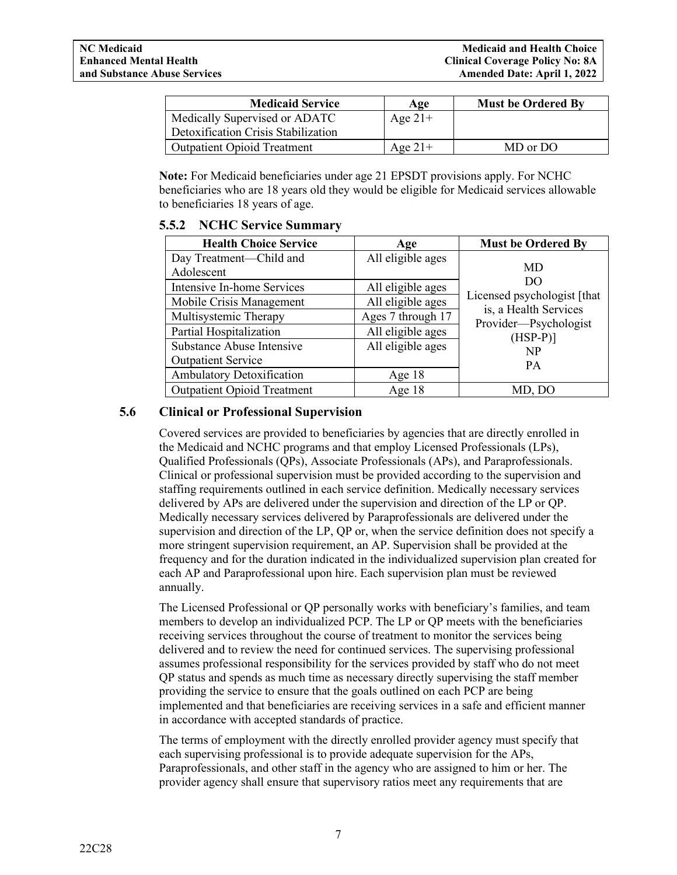| <b>Medicaid Service</b>             | Age       | <b>Must be Ordered By</b> |
|-------------------------------------|-----------|---------------------------|
| Medically Supervised or ADATC       | Age $21+$ |                           |
| Detoxification Crisis Stabilization |           |                           |
| <b>Outpatient Opioid Treatment</b>  | Age $21+$ | MD or DO                  |

**Note:** For Medicaid beneficiaries under age 21 EPSDT provisions apply. For NCHC beneficiaries who are 18 years old they would be eligible for Medicaid services allowable to beneficiaries 18 years of age.

### <span id="page-9-0"></span>**5.5.2 NCHC Service Summary**

| <b>Health Choice Service</b>       | Age               | <b>Must be Ordered By</b>                            |
|------------------------------------|-------------------|------------------------------------------------------|
| Day Treatment—Child and            | All eligible ages |                                                      |
| Adolescent                         |                   | MD                                                   |
| Intensive In-home Services         | All eligible ages | DO                                                   |
| Mobile Crisis Management           | All eligible ages | Licensed psychologist [that<br>is, a Health Services |
| Multisystemic Therapy              | Ages 7 through 17 | Provider-Psychologist                                |
| Partial Hospitalization            | All eligible ages | $(HSP-P)$ ]                                          |
| Substance Abuse Intensive          | All eligible ages | NP                                                   |
| <b>Outpatient Service</b>          |                   | <b>PA</b>                                            |
| Ambulatory Detoxification          | Age $18$          |                                                      |
| <b>Outpatient Opioid Treatment</b> | Age $18$          | MD, DO                                               |

## <span id="page-9-1"></span>**5.6 Clinical or Professional Supervision**

Covered services are provided to beneficiaries by agencies that are directly enrolled in the Medicaid and NCHC programs and that employ Licensed Professionals (LPs), Qualified Professionals (QPs), Associate Professionals (APs), and Paraprofessionals. Clinical or professional supervision must be provided according to the supervision and staffing requirements outlined in each service definition. Medically necessary services delivered by APs are delivered under the supervision and direction of the LP or QP. Medically necessary services delivered by Paraprofessionals are delivered under the supervision and direction of the LP, QP or, when the service definition does not specify a more stringent supervision requirement, an AP. Supervision shall be provided at the frequency and for the duration indicated in the individualized supervision plan created for each AP and Paraprofessional upon hire. Each supervision plan must be reviewed annually.

The Licensed Professional or QP personally works with beneficiary's families, and team members to develop an individualized PCP. The LP or QP meets with the beneficiaries receiving services throughout the course of treatment to monitor the services being delivered and to review the need for continued services. The supervising professional assumes professional responsibility for the services provided by staff who do not meet QP status and spends as much time as necessary directly supervising the staff member providing the service to ensure that the goals outlined on each PCP are being implemented and that beneficiaries are receiving services in a safe and efficient manner in accordance with accepted standards of practice.

The terms of employment with the directly enrolled provider agency must specify that each supervising professional is to provide adequate supervision for the APs, Paraprofessionals, and other staff in the agency who are assigned to him or her. The provider agency shall ensure that supervisory ratios meet any requirements that are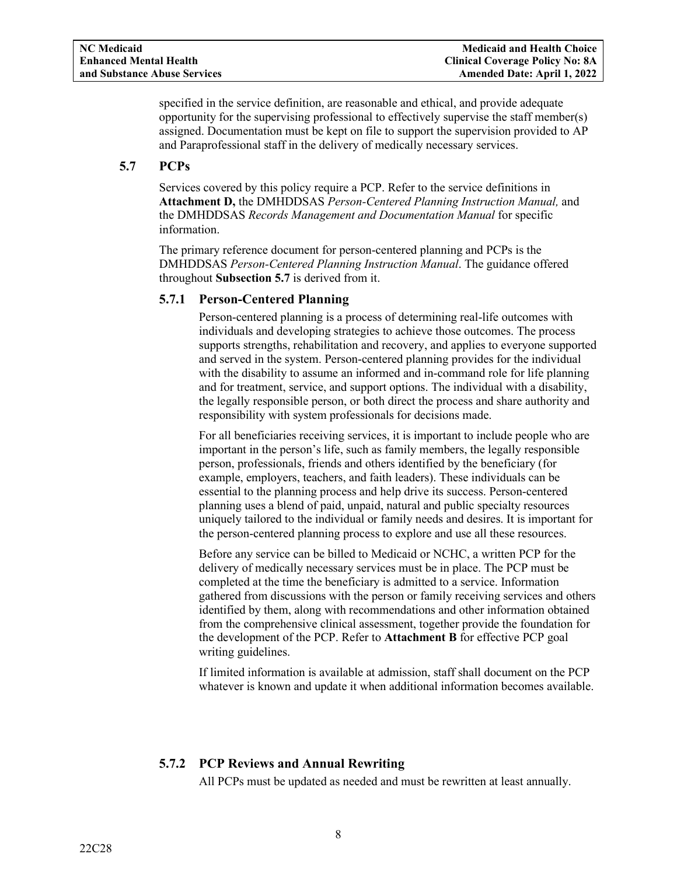specified in the service definition, are reasonable and ethical, and provide adequate opportunity for the supervising professional to effectively supervise the staff member(s) assigned. Documentation must be kept on file to support the supervision provided to AP and Paraprofessional staff in the delivery of medically necessary services.

## <span id="page-10-0"></span>**5.7 PCPs**

Services covered by this policy require a PCP. Refer to the service definitions in **Attachment D,** the DMHDDSAS *Person-Centered Planning Instruction Manual,* and the DMHDDSAS *Records Management and Documentation Manual* for specific information.

The primary reference document for person-centered planning and PCPs is the DMHDDSAS *Person-Centered Planning Instruction Manual*. The guidance offered throughout **Subsection 5.7** is derived from it.

## <span id="page-10-1"></span>**5.7.1 Person-Centered Planning**

Person-centered planning is a process of determining real-life outcomes with individuals and developing strategies to achieve those outcomes. The process supports strengths, rehabilitation and recovery, and applies to everyone supported and served in the system. Person-centered planning provides for the individual with the disability to assume an informed and in-command role for life planning and for treatment, service, and support options. The individual with a disability, the legally responsible person, or both direct the process and share authority and responsibility with system professionals for decisions made.

For all beneficiaries receiving services, it is important to include people who are important in the person's life, such as family members, the legally responsible person, professionals, friends and others identified by the beneficiary (for example, employers, teachers, and faith leaders). These individuals can be essential to the planning process and help drive its success. Person-centered planning uses a blend of paid, unpaid, natural and public specialty resources uniquely tailored to the individual or family needs and desires. It is important for the person-centered planning process to explore and use all these resources.

Before any service can be billed to Medicaid or NCHC, a written PCP for the delivery of medically necessary services must be in place. The PCP must be completed at the time the beneficiary is admitted to a service. Information gathered from discussions with the person or family receiving services and others identified by them, along with recommendations and other information obtained from the comprehensive clinical assessment, together provide the foundation for the development of the PCP. Refer to **Attachment B** for effective PCP goal writing guidelines.

If limited information is available at admission, staff shall document on the PCP whatever is known and update it when additional information becomes available.

## <span id="page-10-2"></span>**5.7.2 PCP Reviews and Annual Rewriting**

All PCPs must be updated as needed and must be rewritten at least annually.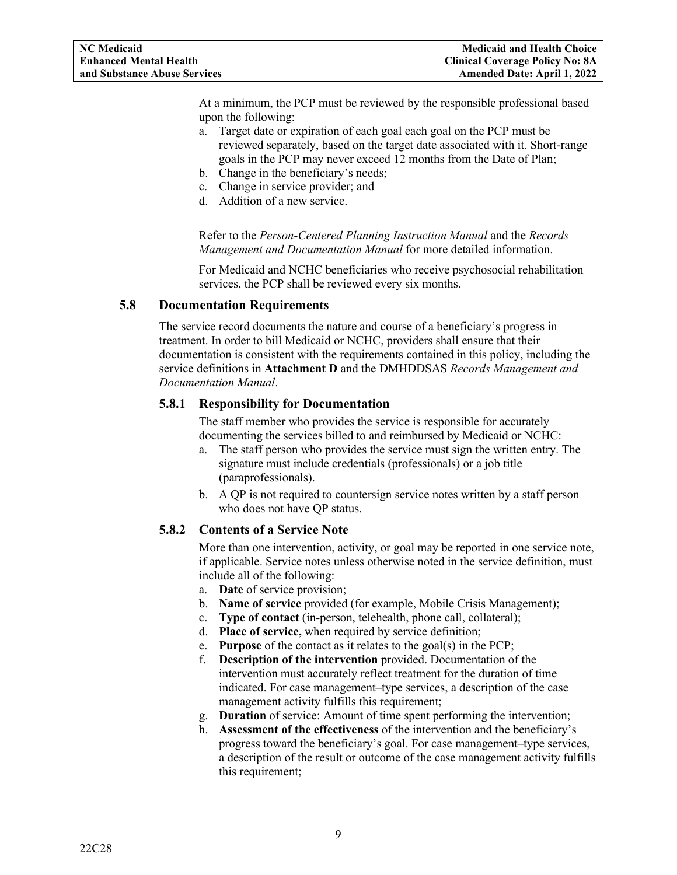At a minimum, the PCP must be reviewed by the responsible professional based upon the following:

- a. Target date or expiration of each goal each goal on the PCP must be reviewed separately, based on the target date associated with it. Short-range goals in the PCP may never exceed 12 months from the Date of Plan;
- b. Change in the beneficiary's needs;
- c. Change in service provider; and
- d. Addition of a new service.

Refer to the *Person-Centered Planning Instruction Manual* and the *Records Management and Documentation Manual* for more detailed information.

For Medicaid and NCHC beneficiaries who receive psychosocial rehabilitation services, the PCP shall be reviewed every six months.

### <span id="page-11-0"></span>**5.8 Documentation Requirements**

The service record documents the nature and course of a beneficiary's progress in treatment. In order to bill Medicaid or NCHC, providers shall ensure that their documentation is consistent with the requirements contained in this policy, including the service definitions in **Attachment D** and the DMHDDSAS *Records Management and Documentation Manual*.

## <span id="page-11-1"></span>**5.8.1 Responsibility for Documentation**

The staff member who provides the service is responsible for accurately documenting the services billed to and reimbursed by Medicaid or NCHC:

- a. The staff person who provides the service must sign the written entry. The signature must include credentials (professionals) or a job title (paraprofessionals).
- b. A QP is not required to countersign service notes written by a staff person who does not have QP status.

## <span id="page-11-2"></span>**5.8.2 Contents of a Service Note**

More than one intervention, activity, or goal may be reported in one service note, if applicable. Service notes unless otherwise noted in the service definition, must include all of the following:

- a. **Date** of service provision;
- b. **Name of service** provided (for example, Mobile Crisis Management);
- c. **Type of contact** (in-person, telehealth, phone call, collateral);
- d. **Place of service,** when required by service definition;
- e. **Purpose** of the contact as it relates to the goal(s) in the PCP;
- f. **Description of the intervention** provided. Documentation of the intervention must accurately reflect treatment for the duration of time indicated. For case management–type services, a description of the case management activity fulfills this requirement;
- g. **Duration** of service: Amount of time spent performing the intervention;
- h. **Assessment of the effectiveness** of the intervention and the beneficiary's progress toward the beneficiary's goal. For case management–type services, a description of the result or outcome of the case management activity fulfills this requirement;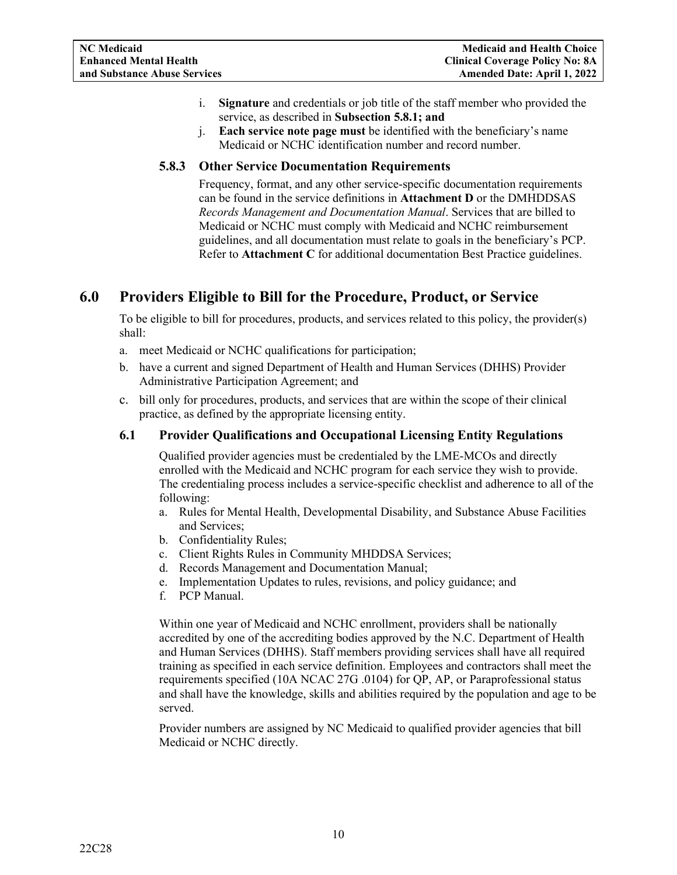- i. **Signature** and credentials or job title of the staff member who provided the service, as described in **Subsection 5.8.1; and**
- j. **Each service note page must** be identified with the beneficiary's name Medicaid or NCHC identification number and record number.

## <span id="page-12-0"></span>**5.8.3 Other Service Documentation Requirements**

Frequency, format, and any other service-specific documentation requirements can be found in the service definitions in **Attachment D** or the DMHDDSAS *Records Management and Documentation Manual*. Services that are billed to Medicaid or NCHC must comply with Medicaid and NCHC reimbursement guidelines, and all documentation must relate to goals in the beneficiary's PCP. Refer to **Attachment C** for additional documentation Best Practice guidelines.

## <span id="page-12-1"></span>**6.0 Providers Eligible to Bill for the Procedure, Product, or Service**

To be eligible to bill for procedures, products, and services related to this policy, the provider(s) shall:

- a. meet Medicaid or NCHC qualifications for participation;
- b. have a current and signed Department of Health and Human Services (DHHS) Provider Administrative Participation Agreement; and
- c. bill only for procedures, products, and services that are within the scope of their clinical practice, as defined by the appropriate licensing entity.

## <span id="page-12-2"></span>**6.1 Provider Qualifications and Occupational Licensing Entity Regulations**

Qualified provider agencies must be credentialed by the LME-MCOs and directly enrolled with the Medicaid and NCHC program for each service they wish to provide. The credentialing process includes a service-specific checklist and adherence to all of the following:

- a. Rules for Mental Health, Developmental Disability, and Substance Abuse Facilities and Services;
- b. Confidentiality Rules;
- c. Client Rights Rules in Community MHDDSA Services;
- d. Records Management and Documentation Manual;
- e. Implementation Updates to rules, revisions, and policy guidance; and
- f. PCP Manual.

Within one year of Medicaid and NCHC enrollment, providers shall be nationally accredited by one of the accrediting bodies approved by the N.C. Department of Health and Human Services (DHHS). Staff members providing services shall have all required training as specified in each service definition. Employees and contractors shall meet the requirements specified (10A NCAC 27G .0104) for QP, AP, or Paraprofessional status and shall have the knowledge, skills and abilities required by the population and age to be served.

Provider numbers are assigned by NC Medicaid to qualified provider agencies that bill Medicaid or NCHC directly.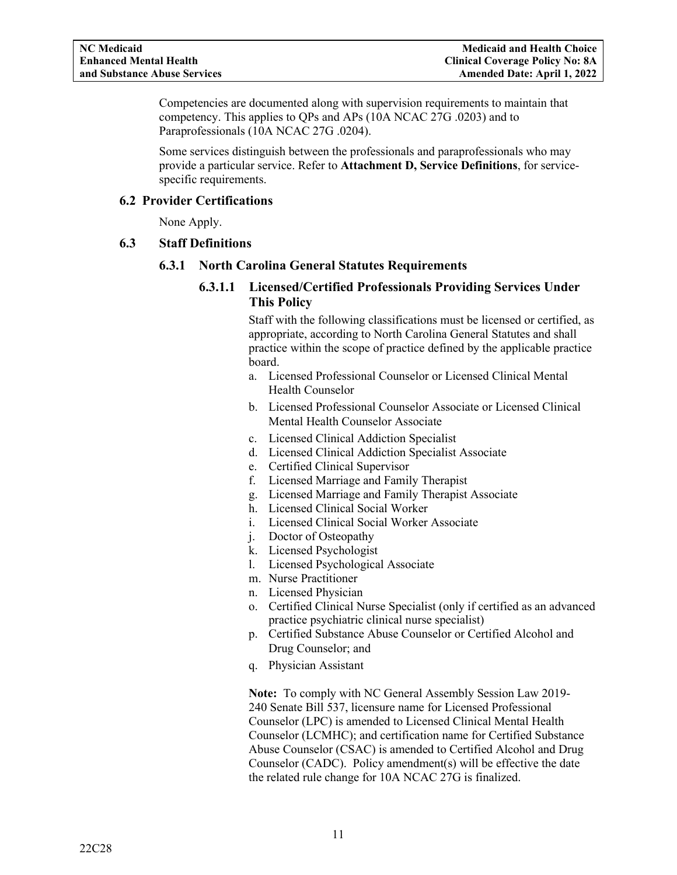Competencies are documented along with supervision requirements to maintain that competency. This applies to QPs and APs (10A NCAC 27G .0203) and to Paraprofessionals (10A NCAC 27G .0204).

Some services distinguish between the professionals and paraprofessionals who may provide a particular service. Refer to **Attachment D, Service Definitions**, for servicespecific requirements.

## <span id="page-13-0"></span>**6.2 Provider Certifications**

None Apply.

## <span id="page-13-2"></span><span id="page-13-1"></span>**6.3 Staff Definitions**

## **6.3.1 North Carolina General Statutes Requirements**

## **6.3.1.1 Licensed/Certified Professionals Providing Services Under This Policy**

Staff with the following classifications must be licensed or certified, as appropriate, according to North Carolina General Statutes and shall practice within the scope of practice defined by the applicable practice board.

- a. Licensed Professional Counselor or Licensed Clinical Mental Health Counselor
- b. Licensed Professional Counselor Associate or Licensed Clinical Mental Health Counselor Associate
- c. Licensed Clinical Addiction Specialist
- d. Licensed Clinical Addiction Specialist Associate
- e. Certified Clinical Supervisor
- f. Licensed Marriage and Family Therapist
- g. Licensed Marriage and Family Therapist Associate
- h. Licensed Clinical Social Worker
- i. Licensed Clinical Social Worker Associate
- j. Doctor of Osteopathy
- k. Licensed Psychologist
- l. Licensed Psychological Associate
- m. Nurse Practitioner
- n. Licensed Physician
- o. Certified Clinical Nurse Specialist (only if certified as an advanced practice psychiatric clinical nurse specialist)
- p. Certified Substance Abuse Counselor or Certified Alcohol and Drug Counselor; and
- q. Physician Assistant

**Note:** To comply with NC General Assembly Session Law 2019- 240 Senate Bill 537, licensure name for Licensed Professional Counselor (LPC) is amended to Licensed Clinical Mental Health Counselor (LCMHC); and certification name for Certified Substance Abuse Counselor (CSAC) is amended to Certified Alcohol and Drug Counselor (CADC). Policy amendment(s) will be effective the date the related rule change for 10A NCAC 27G is finalized.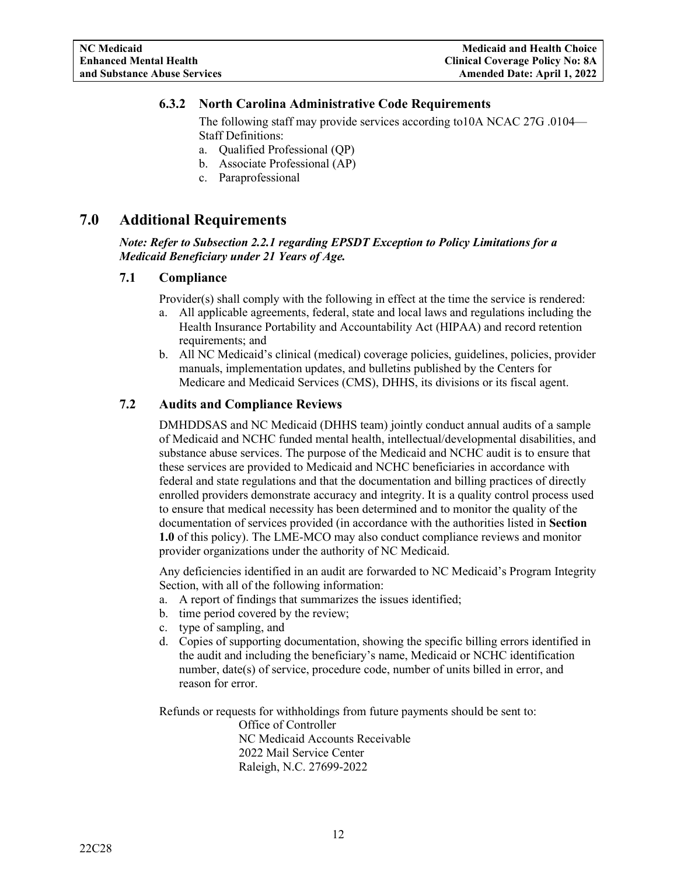## <span id="page-14-0"></span>**6.3.2 North Carolina Administrative Code Requirements**

The following staff may provide services according to10A NCAC 27G .0104— Staff Definitions:

- a. Qualified Professional (QP)
- b. Associate Professional (AP)
- c. Paraprofessional

## <span id="page-14-1"></span>**7.0 Additional Requirements**

*Note: Refer to Subsection 2.2.1 regarding EPSDT Exception to Policy Limitations for a Medicaid Beneficiary under 21 Years of Age.*

#### <span id="page-14-2"></span>**7.1 Compliance**

Provider(s) shall comply with the following in effect at the time the service is rendered:

- a. All applicable agreements, federal, state and local laws and regulations including the Health Insurance Portability and Accountability Act (HIPAA) and record retention requirements; and
- b. All NC Medicaid's clinical (medical) coverage policies, guidelines, policies, provider manuals, implementation updates, and bulletins published by the Centers for Medicare and Medicaid Services (CMS), DHHS, its divisions or its fiscal agent.

## <span id="page-14-3"></span>**7.2 Audits and Compliance Reviews**

DMHDDSAS and NC Medicaid (DHHS team) jointly conduct annual audits of a sample of Medicaid and NCHC funded mental health, intellectual/developmental disabilities, and substance abuse services. The purpose of the Medicaid and NCHC audit is to ensure that these services are provided to Medicaid and NCHC beneficiaries in accordance with federal and state regulations and that the documentation and billing practices of directly enrolled providers demonstrate accuracy and integrity. It is a quality control process used to ensure that medical necessity has been determined and to monitor the quality of the documentation of services provided (in accordance with the authorities listed in **Section 1.0** of this policy). The LME-MCO may also conduct compliance reviews and monitor provider organizations under the authority of NC Medicaid.

Any deficiencies identified in an audit are forwarded to NC Medicaid's Program Integrity Section, with all of the following information:

- a. A report of findings that summarizes the issues identified;
- b. time period covered by the review;
- c. type of sampling, and
- d. Copies of supporting documentation, showing the specific billing errors identified in the audit and including the beneficiary's name, Medicaid or NCHC identification number, date(s) of service, procedure code, number of units billed in error, and reason for error.

Refunds or requests for withholdings from future payments should be sent to: Office of Controller NC Medicaid Accounts Receivable 2022 Mail Service Center

Raleigh, N.C. 27699-2022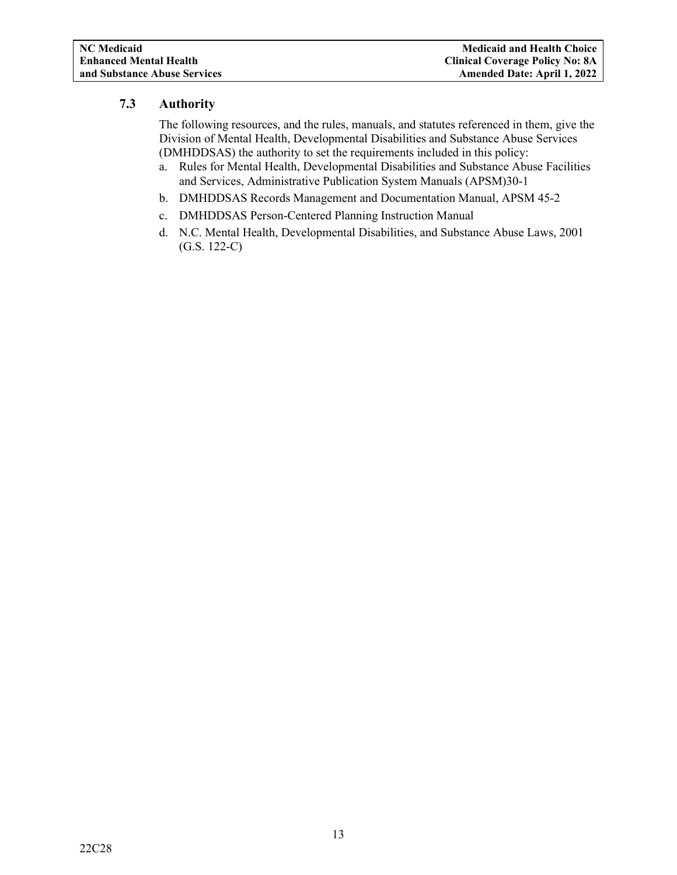## <span id="page-15-0"></span>**7.3 Authority**

The following resources, and the rules, manuals, and statutes referenced in them, give the Division of Mental Health, Developmental Disabilities and Substance Abuse Services (DMHDDSAS) the authority to set the requirements included in this policy:

- a. Rules for Mental Health, Developmental Disabilities and Substance Abuse Facilities and Services, Administrative Publication System Manuals (APSM)30-1
- b. DMHDDSAS Records Management and Documentation Manual, APSM 45-2
- c. DMHDDSAS Person-Centered Planning Instruction Manual
- d. N.C. Mental Health, Developmental Disabilities, and Substance Abuse Laws, 2001 (G.S. 122-C)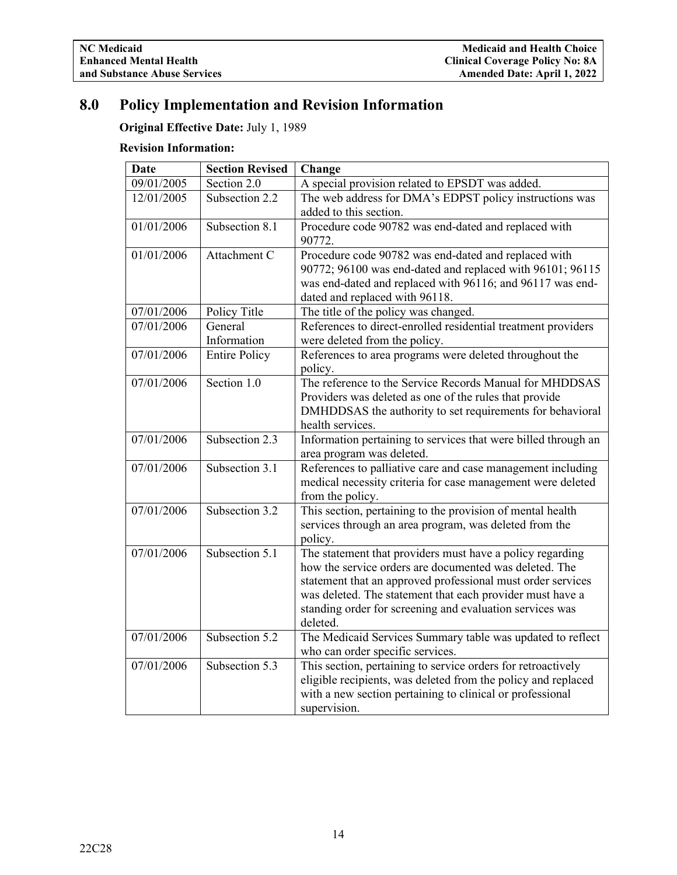## <span id="page-16-0"></span>**8.0 Policy Implementation and Revision Information**

**Original Effective Date:** July 1, 1989

## **Revision Information:**

| <b>Date</b> | <b>Section Revised</b> | Change                                                                                                                                                                                                                                                                                                                  |
|-------------|------------------------|-------------------------------------------------------------------------------------------------------------------------------------------------------------------------------------------------------------------------------------------------------------------------------------------------------------------------|
| 09/01/2005  | Section 2.0            | A special provision related to EPSDT was added.                                                                                                                                                                                                                                                                         |
| 12/01/2005  | Subsection 2.2         | The web address for DMA's EDPST policy instructions was<br>added to this section.                                                                                                                                                                                                                                       |
| 01/01/2006  | Subsection 8.1         | Procedure code 90782 was end-dated and replaced with<br>90772.                                                                                                                                                                                                                                                          |
| 01/01/2006  | Attachment C           | Procedure code 90782 was end-dated and replaced with<br>90772; 96100 was end-dated and replaced with 96101; 96115<br>was end-dated and replaced with 96116; and 96117 was end-<br>dated and replaced with 96118.                                                                                                        |
| 07/01/2006  | Policy Title           | The title of the policy was changed.                                                                                                                                                                                                                                                                                    |
| 07/01/2006  | General<br>Information | References to direct-enrolled residential treatment providers<br>were deleted from the policy.                                                                                                                                                                                                                          |
| 07/01/2006  | <b>Entire Policy</b>   | References to area programs were deleted throughout the<br>policy.                                                                                                                                                                                                                                                      |
| 07/01/2006  | Section 1.0            | The reference to the Service Records Manual for MHDDSAS<br>Providers was deleted as one of the rules that provide<br>DMHDDSAS the authority to set requirements for behavioral<br>health services.                                                                                                                      |
| 07/01/2006  | Subsection 2.3         | Information pertaining to services that were billed through an<br>area program was deleted.                                                                                                                                                                                                                             |
| 07/01/2006  | Subsection 3.1         | References to palliative care and case management including<br>medical necessity criteria for case management were deleted<br>from the policy.                                                                                                                                                                          |
| 07/01/2006  | Subsection 3.2         | This section, pertaining to the provision of mental health<br>services through an area program, was deleted from the<br>policy.                                                                                                                                                                                         |
| 07/01/2006  | Subsection 5.1         | The statement that providers must have a policy regarding<br>how the service orders are documented was deleted. The<br>statement that an approved professional must order services<br>was deleted. The statement that each provider must have a<br>standing order for screening and evaluation services was<br>deleted. |
| 07/01/2006  | Subsection 5.2         | The Medicaid Services Summary table was updated to reflect<br>who can order specific services.                                                                                                                                                                                                                          |
| 07/01/2006  | Subsection 5.3         | This section, pertaining to service orders for retroactively<br>eligible recipients, was deleted from the policy and replaced<br>with a new section pertaining to clinical or professional<br>supervision.                                                                                                              |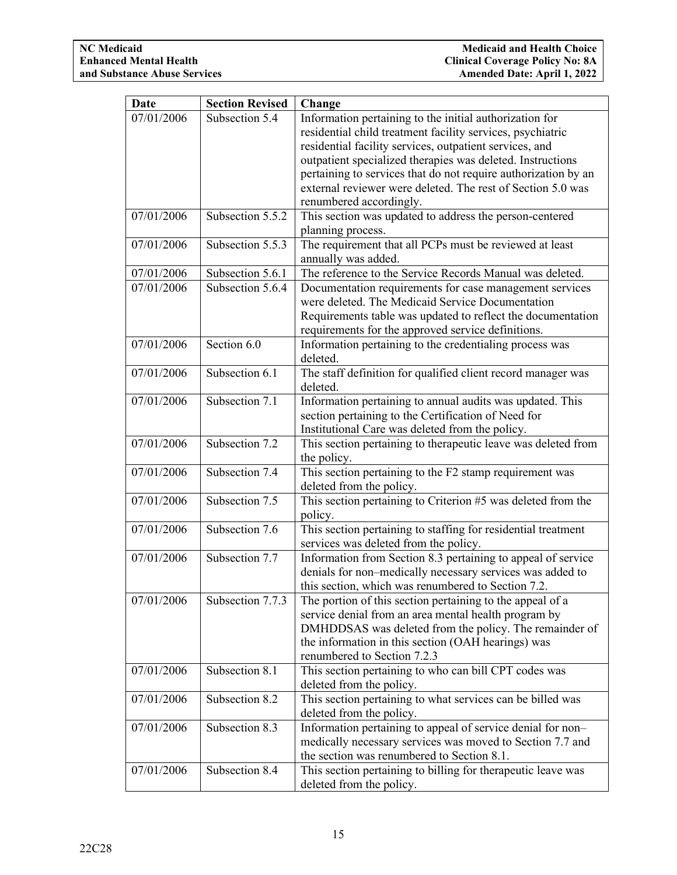| <b>Date</b> | <b>Section Revised</b>      | Change                                                                       |
|-------------|-----------------------------|------------------------------------------------------------------------------|
| 07/01/2006  | Subsection 5.4              | Information pertaining to the initial authorization for                      |
|             |                             | residential child treatment facility services, psychiatric                   |
|             |                             | residential facility services, outpatient services, and                      |
|             |                             | outpatient specialized therapies was deleted. Instructions                   |
|             |                             | pertaining to services that do not require authorization by an               |
|             |                             | external reviewer were deleted. The rest of Section 5.0 was                  |
|             |                             | renumbered accordingly.                                                      |
| 07/01/2006  | Subsection 5.5.2            | This section was updated to address the person-centered<br>planning process. |
| 07/01/2006  | Subsection 5.5.3            | The requirement that all PCPs must be reviewed at least                      |
|             |                             | annually was added.                                                          |
| 07/01/2006  | Subsection 5.6.1            | The reference to the Service Records Manual was deleted.                     |
| 07/01/2006  | Subsection 5.6.4            | Documentation requirements for case management services                      |
|             |                             | were deleted. The Medicaid Service Documentation                             |
|             |                             | Requirements table was updated to reflect the documentation                  |
|             |                             | requirements for the approved service definitions.                           |
| 07/01/2006  | Section 6.0                 | Information pertaining to the credentialing process was<br>deleted.          |
| 07/01/2006  | Subsection 6.1              | The staff definition for qualified client record manager was                 |
|             |                             | deleted.                                                                     |
| 07/01/2006  | Subsection 7.1              | Information pertaining to annual audits was updated. This                    |
|             |                             | section pertaining to the Certification of Need for                          |
|             |                             | Institutional Care was deleted from the policy.                              |
| 07/01/2006  | Subsection 7.2              | This section pertaining to therapeutic leave was deleted from                |
|             |                             | the policy.                                                                  |
| 07/01/2006  | Subsection 7.4              | This section pertaining to the $\overline{F2}$ stamp requirement was         |
|             |                             | deleted from the policy.                                                     |
| 07/01/2006  | Subsection 7.5              | This section pertaining to Criterion #5 was deleted from the                 |
|             |                             | policy.                                                                      |
| 07/01/2006  | Subsection 7.6              | This section pertaining to staffing for residential treatment                |
|             |                             | services was deleted from the policy.                                        |
| 07/01/2006  | Subsection 7.7              | Information from Section 8.3 pertaining to appeal of service                 |
|             |                             | denials for non-medically necessary services was added to                    |
|             |                             | this section, which was renumbered to Section 7.2.                           |
| 07/01/2006  | Subsection 7.7.3            | The portion of this section pertaining to the appeal of a                    |
|             |                             | service denial from an area mental health program by                         |
|             |                             | DMHDDSAS was deleted from the policy. The remainder of                       |
|             |                             | the information in this section (OAH hearings) was                           |
|             |                             | renumbered to Section 7.2.3                                                  |
| 07/01/2006  | Subsection 8.1              | This section pertaining to who can bill CPT codes was                        |
|             |                             | deleted from the policy.                                                     |
| 07/01/2006  | Subsection 8.2              | This section pertaining to what services can be billed was                   |
|             |                             | deleted from the policy.                                                     |
| 07/01/2006  | Subsection 8.3              | Information pertaining to appeal of service denial for non-                  |
|             |                             | medically necessary services was moved to Section 7.7 and                    |
|             |                             | the section was renumbered to Section 8.1.                                   |
| 07/01/2006  | Subsection $8.\overline{4}$ | This section pertaining to billing for therapeutic leave was                 |
|             |                             | deleted from the policy.                                                     |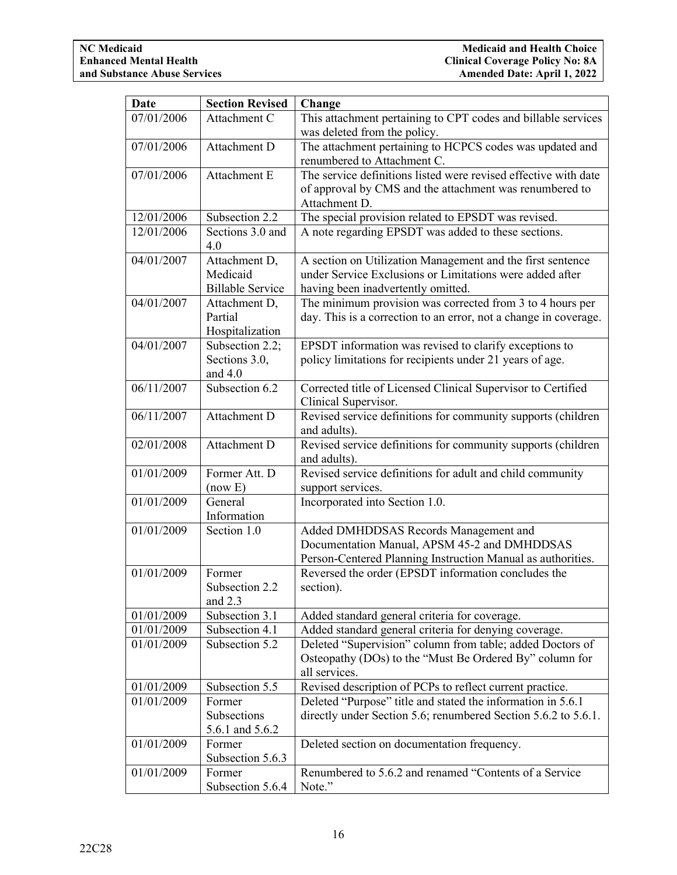| <b>Date</b> | <b>Section Revised</b>           | Change                                                                                                             |
|-------------|----------------------------------|--------------------------------------------------------------------------------------------------------------------|
| 07/01/2006  | Attachment C                     | This attachment pertaining to CPT codes and billable services                                                      |
|             |                                  | was deleted from the policy.                                                                                       |
| 07/01/2006  | Attachment D                     | The attachment pertaining to HCPCS codes was updated and                                                           |
|             |                                  | renumbered to Attachment C.                                                                                        |
| 07/01/2006  | Attachment E                     | The service definitions listed were revised effective with date                                                    |
|             |                                  | of approval by CMS and the attachment was renumbered to                                                            |
|             |                                  | Attachment D.                                                                                                      |
| 12/01/2006  | Subsection 2.2                   | The special provision related to EPSDT was revised.                                                                |
| 12/01/2006  | Sections 3.0 and                 | A note regarding EPSDT was added to these sections.                                                                |
|             | 4.0                              |                                                                                                                    |
| 04/01/2007  | Attachment D,                    | A section on Utilization Management and the first sentence                                                         |
|             | Medicaid                         | under Service Exclusions or Limitations were added after                                                           |
|             | <b>Billable Service</b>          | having been inadvertently omitted.                                                                                 |
| 04/01/2007  | Attachment D,                    | The minimum provision was corrected from 3 to 4 hours per                                                          |
|             | Partial                          | day. This is a correction to an error, not a change in coverage.                                                   |
| 04/01/2007  | Hospitalization                  |                                                                                                                    |
|             | Subsection 2.2;<br>Sections 3.0, | EPSDT information was revised to clarify exceptions to<br>policy limitations for recipients under 21 years of age. |
|             | and $4.0$                        |                                                                                                                    |
| 06/11/2007  | Subsection $6.2$                 | Corrected title of Licensed Clinical Supervisor to Certified                                                       |
|             |                                  | Clinical Supervisor.                                                                                               |
| 06/11/2007  | Attachment D                     | Revised service definitions for community supports (children                                                       |
|             |                                  | and adults).                                                                                                       |
| 02/01/2008  | Attachment D                     | Revised service definitions for community supports (children                                                       |
|             |                                  | and adults).                                                                                                       |
| 01/01/2009  | Former Att. D                    | Revised service definitions for adult and child community                                                          |
|             | (now E)                          | support services.                                                                                                  |
| 01/01/2009  | General                          | Incorporated into Section 1.0.                                                                                     |
|             | Information                      |                                                                                                                    |
| 01/01/2009  | Section 1.0                      | Added DMHDDSAS Records Management and                                                                              |
|             |                                  | Documentation Manual, APSM 45-2 and DMHDDSAS                                                                       |
|             |                                  | Person-Centered Planning Instruction Manual as authorities.                                                        |
| 01/01/2009  | Former                           | Reversed the order (EPSDT information concludes the                                                                |
|             | Subsection 2.2                   | section).                                                                                                          |
|             | and $2.3$                        |                                                                                                                    |
| 01/01/2009  | Subsection 3.1                   | Added standard general criteria for coverage.                                                                      |
| 01/01/2009  | Subsection 4.1                   | Added standard general criteria for denying coverage.                                                              |
| 01/01/2009  | Subsection 5.2                   | Deleted "Supervision" column from table; added Doctors of                                                          |
|             |                                  | Osteopathy (DOs) to the "Must Be Ordered By" column for                                                            |
| 01/01/2009  | Subsection 5.5                   | all services.<br>Revised description of PCPs to reflect current practice.                                          |
| 01/01/2009  | Former                           | Deleted "Purpose" title and stated the information in 5.6.1                                                        |
|             | Subsections                      | directly under Section 5.6; renumbered Section 5.6.2 to 5.6.1.                                                     |
|             | 5.6.1 and 5.6.2                  |                                                                                                                    |
| 01/01/2009  | Former                           | Deleted section on documentation frequency.                                                                        |
|             | Subsection 5.6.3                 |                                                                                                                    |
| 01/01/2009  | Former                           | Renumbered to 5.6.2 and renamed "Contents of a Service"                                                            |
|             | Subsection 5.6.4                 | Note."                                                                                                             |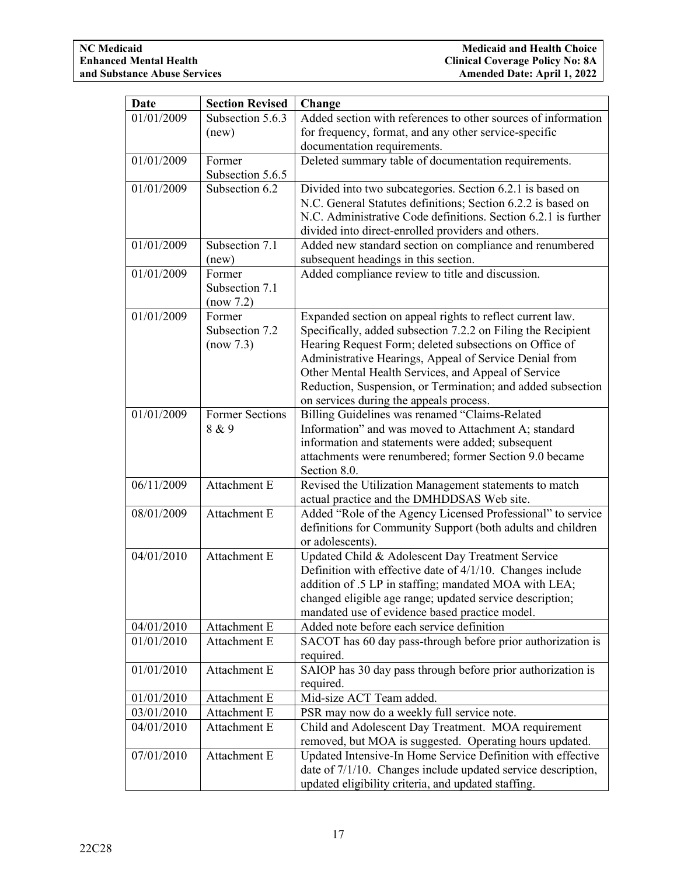| <b>Date</b> | <b>Section Revised</b> | Change                                                         |
|-------------|------------------------|----------------------------------------------------------------|
| 01/01/2009  | Subsection 5.6.3       | Added section with references to other sources of information  |
|             | (new)                  | for frequency, format, and any other service-specific          |
|             |                        | documentation requirements.                                    |
| 01/01/2009  | Former                 | Deleted summary table of documentation requirements.           |
|             | Subsection 5.6.5       |                                                                |
| 01/01/2009  | Subsection 6.2         | Divided into two subcategories. Section 6.2.1 is based on      |
|             |                        | N.C. General Statutes definitions; Section 6.2.2 is based on   |
|             |                        | N.C. Administrative Code definitions. Section 6.2.1 is further |
|             |                        | divided into direct-enrolled providers and others.             |
| 01/01/2009  | Subsection 7.1         | Added new standard section on compliance and renumbered        |
|             | (new)                  | subsequent headings in this section.                           |
| 01/01/2009  | Former                 | Added compliance review to title and discussion.               |
|             | Subsection 7.1         |                                                                |
|             | (now 7.2)              |                                                                |
| 01/01/2009  | Former                 | Expanded section on appeal rights to reflect current law.      |
|             | Subsection 7.2         | Specifically, added subsection 7.2.2 on Filing the Recipient   |
|             | (now 7.3)              | Hearing Request Form; deleted subsections on Office of         |
|             |                        | Administrative Hearings, Appeal of Service Denial from         |
|             |                        | Other Mental Health Services, and Appeal of Service            |
|             |                        | Reduction, Suspension, or Termination; and added subsection    |
|             |                        | on services during the appeals process.                        |
| 01/01/2009  | <b>Former Sections</b> | Billing Guidelines was renamed "Claims-Related                 |
|             | 8 & 9                  | Information" and was moved to Attachment A; standard           |
|             |                        | information and statements were added; subsequent              |
|             |                        | attachments were renumbered; former Section 9.0 became         |
|             |                        | Section 8.0.                                                   |
| 06/11/2009  | Attachment E           | Revised the Utilization Management statements to match         |
|             |                        | actual practice and the DMHDDSAS Web site.                     |
| 08/01/2009  | Attachment E           | Added "Role of the Agency Licensed Professional" to service    |
|             |                        | definitions for Community Support (both adults and children    |
|             |                        | or adolescents).                                               |
| 04/01/2010  | Attachment E           | Updated Child & Adolescent Day Treatment Service               |
|             |                        | Definition with effective date of 4/1/10. Changes include      |
|             |                        | addition of .5 LP in staffing; mandated MOA with LEA;          |
|             |                        | changed eligible age range; updated service description;       |
|             |                        | mandated use of evidence based practice model.                 |
| 04/01/2010  | Attachment E           | Added note before each service definition                      |
| 01/01/2010  | Attachment E           | SACOT has 60 day pass-through before prior authorization is    |
|             |                        | required.                                                      |
| 01/01/2010  | Attachment E           | SAIOP has 30 day pass through before prior authorization is    |
| 01/01/2010  | Attachment E           | required.<br>Mid-size ACT Team added.                          |
| 03/01/2010  | Attachment E           | PSR may now do a weekly full service note.                     |
| 04/01/2010  | Attachment E           | Child and Adolescent Day Treatment. MOA requirement            |
|             |                        | removed, but MOA is suggested. Operating hours updated.        |
| 07/01/2010  | Attachment E           | Updated Intensive-In Home Service Definition with effective    |
|             |                        | date of 7/1/10. Changes include updated service description,   |
|             |                        | updated eligibility criteria, and updated staffing.            |
|             |                        |                                                                |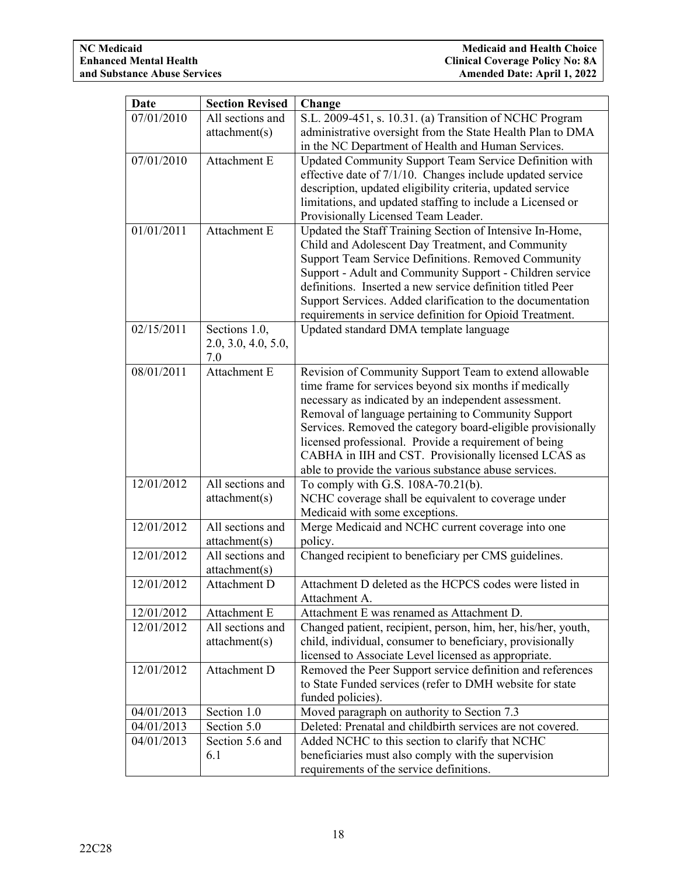| <b>Date</b> | <b>Section Revised</b>            | Change                                                        |
|-------------|-----------------------------------|---------------------------------------------------------------|
| 07/01/2010  | All sections and                  | S.L. 2009-451, s. 10.31. (a) Transition of NCHC Program       |
|             | attachment(s)                     | administrative oversight from the State Health Plan to DMA    |
|             |                                   | in the NC Department of Health and Human Services.            |
| 07/01/2010  | Attachment E                      | Updated Community Support Team Service Definition with        |
|             |                                   | effective date of 7/1/10. Changes include updated service     |
|             |                                   | description, updated eligibility criteria, updated service    |
|             |                                   | limitations, and updated staffing to include a Licensed or    |
|             |                                   | Provisionally Licensed Team Leader.                           |
| 01/01/2011  | Attachment E                      | Updated the Staff Training Section of Intensive In-Home,      |
|             |                                   | Child and Adolescent Day Treatment, and Community             |
|             |                                   | Support Team Service Definitions. Removed Community           |
|             |                                   | Support - Adult and Community Support - Children service      |
|             |                                   | definitions. Inserted a new service definition titled Peer    |
|             |                                   | Support Services. Added clarification to the documentation    |
|             |                                   | requirements in service definition for Opioid Treatment.      |
| 02/15/2011  | Sections 1.0,                     | Updated standard DMA template language                        |
|             | 2.0, 3.0, 4.0, 5.0,               |                                                               |
|             | 7.0                               |                                                               |
| 08/01/2011  | Attachment E                      | Revision of Community Support Team to extend allowable        |
|             |                                   | time frame for services beyond six months if medically        |
|             |                                   | necessary as indicated by an independent assessment.          |
|             |                                   | Removal of language pertaining to Community Support           |
|             |                                   | Services. Removed the category board-eligible provisionally   |
|             |                                   | licensed professional. Provide a requirement of being         |
|             |                                   | CABHA in IIH and CST. Provisionally licensed LCAS as          |
|             | All sections and                  | able to provide the various substance abuse services.         |
| 12/01/2012  |                                   | To comply with G.S. 108A-70.21(b).                            |
|             | attachment(s)                     | NCHC coverage shall be equivalent to coverage under           |
| 12/01/2012  | All sections and                  | Medicaid with some exceptions.                                |
|             |                                   | Merge Medicaid and NCHC current coverage into one             |
| 12/01/2012  | attachment(s)<br>All sections and | policy.                                                       |
|             |                                   | Changed recipient to beneficiary per CMS guidelines.          |
| 12/01/2012  | attachment(s)<br>Attachment D     | Attachment D deleted as the HCPCS codes were listed in        |
|             |                                   | Attachment A.                                                 |
| 12/01/2012  | Attachment E                      | Attachment E was renamed as Attachment D.                     |
| 12/01/2012  | All sections and                  | Changed patient, recipient, person, him, her, his/her, youth, |
|             | attachment(s)                     | child, individual, consumer to beneficiary, provisionally     |
|             |                                   | licensed to Associate Level licensed as appropriate.          |
| 12/01/2012  | Attachment D                      | Removed the Peer Support service definition and references    |
|             |                                   | to State Funded services (refer to DMH website for state      |
|             |                                   | funded policies).                                             |
| 04/01/2013  | Section 1.0                       | Moved paragraph on authority to Section 7.3                   |
| 04/01/2013  | Section 5.0                       | Deleted: Prenatal and childbirth services are not covered.    |
| 04/01/2013  | Section 5.6 and                   | Added NCHC to this section to clarify that NCHC               |
|             | 6.1                               | beneficiaries must also comply with the supervision           |
|             |                                   | requirements of the service definitions.                      |
|             |                                   |                                                               |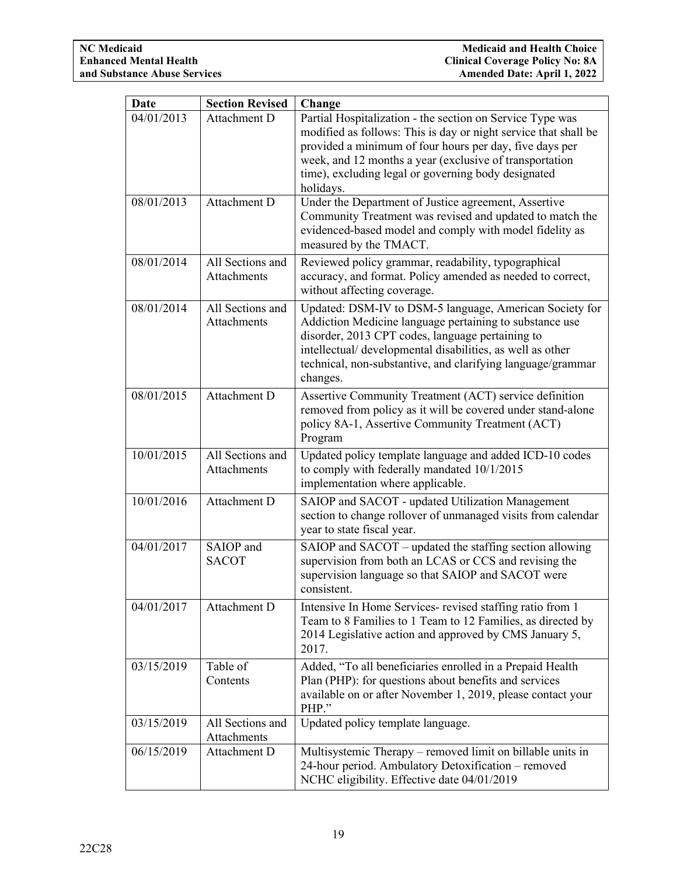| Date       | <b>Section Revised</b>                 | Change                                                                                                                                                                                                                                                                                                                 |
|------------|----------------------------------------|------------------------------------------------------------------------------------------------------------------------------------------------------------------------------------------------------------------------------------------------------------------------------------------------------------------------|
| 04/01/2013 | Attachment D                           | Partial Hospitalization - the section on Service Type was<br>modified as follows: This is day or night service that shall be<br>provided a minimum of four hours per day, five days per<br>week, and 12 months a year (exclusive of transportation<br>time), excluding legal or governing body designated<br>holidays. |
| 08/01/2013 | Attachment D                           | Under the Department of Justice agreement, Assertive<br>Community Treatment was revised and updated to match the<br>evidenced-based model and comply with model fidelity as<br>measured by the TMACT.                                                                                                                  |
| 08/01/2014 | All Sections and<br>Attachments        | Reviewed policy grammar, readability, typographical<br>accuracy, and format. Policy amended as needed to correct,<br>without affecting coverage.                                                                                                                                                                       |
| 08/01/2014 | All Sections and<br><b>Attachments</b> | Updated: DSM-IV to DSM-5 language, American Society for<br>Addiction Medicine language pertaining to substance use<br>disorder, 2013 CPT codes, language pertaining to<br>intellectual/ developmental disabilities, as well as other<br>technical, non-substantive, and clarifying language/grammar<br>changes.        |
| 08/01/2015 | Attachment D                           | Assertive Community Treatment (ACT) service definition<br>removed from policy as it will be covered under stand-alone<br>policy 8A-1, Assertive Community Treatment (ACT)<br>Program                                                                                                                                   |
| 10/01/2015 | All Sections and<br>Attachments        | Updated policy template language and added ICD-10 codes<br>to comply with federally mandated 10/1/2015<br>implementation where applicable.                                                                                                                                                                             |
| 10/01/2016 | Attachment D                           | SAIOP and SACOT - updated Utilization Management<br>section to change rollover of unmanaged visits from calendar<br>year to state fiscal year.                                                                                                                                                                         |
| 04/01/2017 | SAIOP and<br><b>SACOT</b>              | SAIOP and SACOT – updated the staffing section allowing<br>supervision from both an LCAS or CCS and revising the<br>supervision language so that SAIOP and SACOT were<br>consistent.                                                                                                                                   |
| 04/01/2017 | Attachment D                           | Intensive In Home Services-revised staffing ratio from 1<br>Team to 8 Families to 1 Team to 12 Families, as directed by<br>2014 Legislative action and approved by CMS January 5,<br>2017.                                                                                                                             |
| 03/15/2019 | Table of<br>Contents                   | Added, "To all beneficiaries enrolled in a Prepaid Health<br>Plan (PHP): for questions about benefits and services<br>available on or after November 1, 2019, please contact your<br>PHP."                                                                                                                             |
| 03/15/2019 | All Sections and<br>Attachments        | Updated policy template language.                                                                                                                                                                                                                                                                                      |
| 06/15/2019 | Attachment D                           | Multisystemic Therapy – removed limit on billable units in<br>24-hour period. Ambulatory Detoxification – removed<br>NCHC eligibility. Effective date 04/01/2019                                                                                                                                                       |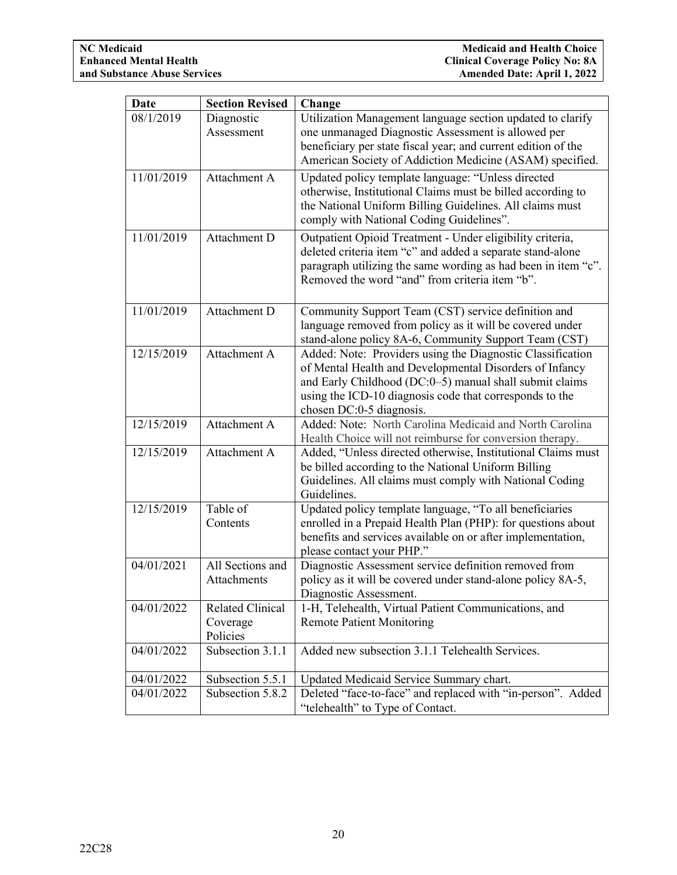| Date       | <b>Section Revised</b>  | Change                                                                                                                      |  |
|------------|-------------------------|-----------------------------------------------------------------------------------------------------------------------------|--|
| 08/1/2019  | Diagnostic              | Utilization Management language section updated to clarify                                                                  |  |
|            | Assessment              | one unmanaged Diagnostic Assessment is allowed per                                                                          |  |
|            |                         | beneficiary per state fiscal year; and current edition of the                                                               |  |
|            |                         | American Society of Addiction Medicine (ASAM) specified.                                                                    |  |
| 11/01/2019 | Attachment A            | Updated policy template language: "Unless directed<br>otherwise, Institutional Claims must be billed according to           |  |
|            |                         | the National Uniform Billing Guidelines. All claims must                                                                    |  |
|            |                         | comply with National Coding Guidelines".                                                                                    |  |
| 11/01/2019 | Attachment D            | Outpatient Opioid Treatment - Under eligibility criteria,                                                                   |  |
|            |                         | deleted criteria item "c" and added a separate stand-alone                                                                  |  |
|            |                         | paragraph utilizing the same wording as had been in item "c".                                                               |  |
|            |                         | Removed the word "and" from criteria item "b".                                                                              |  |
|            |                         |                                                                                                                             |  |
| 11/01/2019 | Attachment D            | Community Support Team (CST) service definition and                                                                         |  |
|            |                         | language removed from policy as it will be covered under                                                                    |  |
|            |                         | stand-alone policy 8A-6, Community Support Team (CST)                                                                       |  |
| 12/15/2019 | Attachment A            | Added: Note: Providers using the Diagnostic Classification                                                                  |  |
|            |                         | of Mental Health and Developmental Disorders of Infancy                                                                     |  |
|            |                         | and Early Childhood (DC:0-5) manual shall submit claims<br>using the ICD-10 diagnosis code that corresponds to the          |  |
|            |                         | chosen DC:0-5 diagnosis.                                                                                                    |  |
| 12/15/2019 | Attachment A            | Added: Note: North Carolina Medicaid and North Carolina                                                                     |  |
|            |                         | Health Choice will not reimburse for conversion therapy.                                                                    |  |
| 12/15/2019 | Attachment A            | Added, "Unless directed otherwise, Institutional Claims must                                                                |  |
|            |                         | be billed according to the National Uniform Billing                                                                         |  |
|            |                         | Guidelines. All claims must comply with National Coding                                                                     |  |
|            |                         | Guidelines.                                                                                                                 |  |
| 12/15/2019 | Table of                | Updated policy template language, "To all beneficiaries                                                                     |  |
|            | Contents                | enrolled in a Prepaid Health Plan (PHP): for questions about<br>benefits and services available on or after implementation, |  |
|            |                         | please contact your PHP."                                                                                                   |  |
| 04/01/2021 | All Sections and        | Diagnostic Assessment service definition removed from                                                                       |  |
|            | <b>Attachments</b>      | policy as it will be covered under stand-alone policy 8A-5,                                                                 |  |
|            |                         | Diagnostic Assessment.                                                                                                      |  |
| 04/01/2022 | <b>Related Clinical</b> | 1-H, Telehealth, Virtual Patient Communications, and                                                                        |  |
|            | Coverage                | <b>Remote Patient Monitoring</b>                                                                                            |  |
|            | Policies                |                                                                                                                             |  |
| 04/01/2022 | Subsection 3.1.1        | Added new subsection 3.1.1 Telehealth Services.                                                                             |  |
| 04/01/2022 | Subsection 5.5.1        | Updated Medicaid Service Summary chart.                                                                                     |  |
| 04/01/2022 | Subsection 5.8.2        | Deleted "face-to-face" and replaced with "in-person". Added                                                                 |  |
|            |                         | "telehealth" to Type of Contact.                                                                                            |  |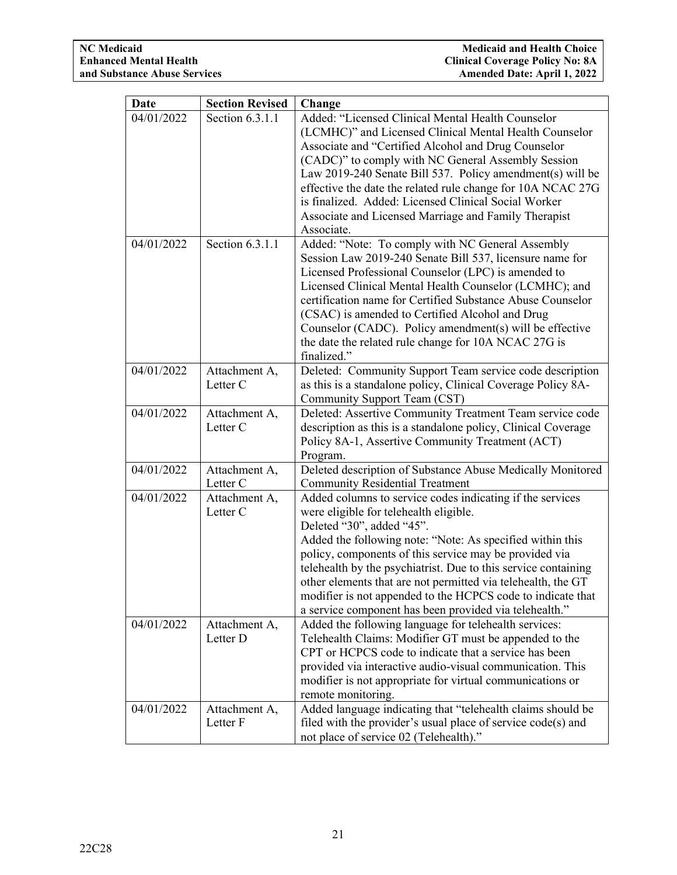| <b>Date</b> | <b>Section Revised</b>               | Change                                                                                                                                                                                                                                                                                                                                                                                                                                                                                                             |
|-------------|--------------------------------------|--------------------------------------------------------------------------------------------------------------------------------------------------------------------------------------------------------------------------------------------------------------------------------------------------------------------------------------------------------------------------------------------------------------------------------------------------------------------------------------------------------------------|
| 04/01/2022  | Section 6.3.1.1                      | Added: "Licensed Clinical Mental Health Counselor<br>(LCMHC)" and Licensed Clinical Mental Health Counselor<br>Associate and "Certified Alcohol and Drug Counselor<br>(CADC)" to comply with NC General Assembly Session<br>Law 2019-240 Senate Bill 537. Policy amendment(s) will be<br>effective the date the related rule change for 10A NCAC 27G                                                                                                                                                               |
|             |                                      | is finalized. Added: Licensed Clinical Social Worker<br>Associate and Licensed Marriage and Family Therapist<br>Associate.                                                                                                                                                                                                                                                                                                                                                                                         |
| 04/01/2022  | Section 6.3.1.1                      | Added: "Note: To comply with NC General Assembly<br>Session Law 2019-240 Senate Bill 537, licensure name for<br>Licensed Professional Counselor (LPC) is amended to<br>Licensed Clinical Mental Health Counselor (LCMHC); and<br>certification name for Certified Substance Abuse Counselor<br>(CSAC) is amended to Certified Alcohol and Drug<br>Counselor (CADC). Policy amendment(s) will be effective<br>the date the related rule change for 10A NCAC 27G is<br>finalized."                                   |
| 04/01/2022  | Attachment A,<br>Letter <sub>C</sub> | Deleted: Community Support Team service code description<br>as this is a standalone policy, Clinical Coverage Policy 8A-<br>Community Support Team (CST)                                                                                                                                                                                                                                                                                                                                                           |
| 04/01/2022  | Attachment A,<br>Letter <sub>C</sub> | Deleted: Assertive Community Treatment Team service code<br>description as this is a standalone policy, Clinical Coverage<br>Policy 8A-1, Assertive Community Treatment (ACT)<br>Program.                                                                                                                                                                                                                                                                                                                          |
| 04/01/2022  | Attachment A,<br>Letter <sub>C</sub> | Deleted description of Substance Abuse Medically Monitored<br><b>Community Residential Treatment</b>                                                                                                                                                                                                                                                                                                                                                                                                               |
| 04/01/2022  | Attachment A,<br>Letter <sub>C</sub> | Added columns to service codes indicating if the services<br>were eligible for telehealth eligible.<br>Deleted "30", added "45".<br>Added the following note: "Note: As specified within this<br>policy, components of this service may be provided via<br>telehealth by the psychiatrist. Due to this service containing<br>other elements that are not permitted via telehealth, the GT<br>modifier is not appended to the HCPCS code to indicate that<br>a service component has been provided via telehealth." |
| 04/01/2022  | Attachment A,<br>Letter D            | Added the following language for telehealth services:<br>Telehealth Claims: Modifier GT must be appended to the<br>CPT or HCPCS code to indicate that a service has been<br>provided via interactive audio-visual communication. This<br>modifier is not appropriate for virtual communications or<br>remote monitoring.                                                                                                                                                                                           |
| 04/01/2022  | Attachment A,<br>Letter F            | Added language indicating that "telehealth claims should be<br>filed with the provider's usual place of service code(s) and<br>not place of service 02 (Telehealth)."                                                                                                                                                                                                                                                                                                                                              |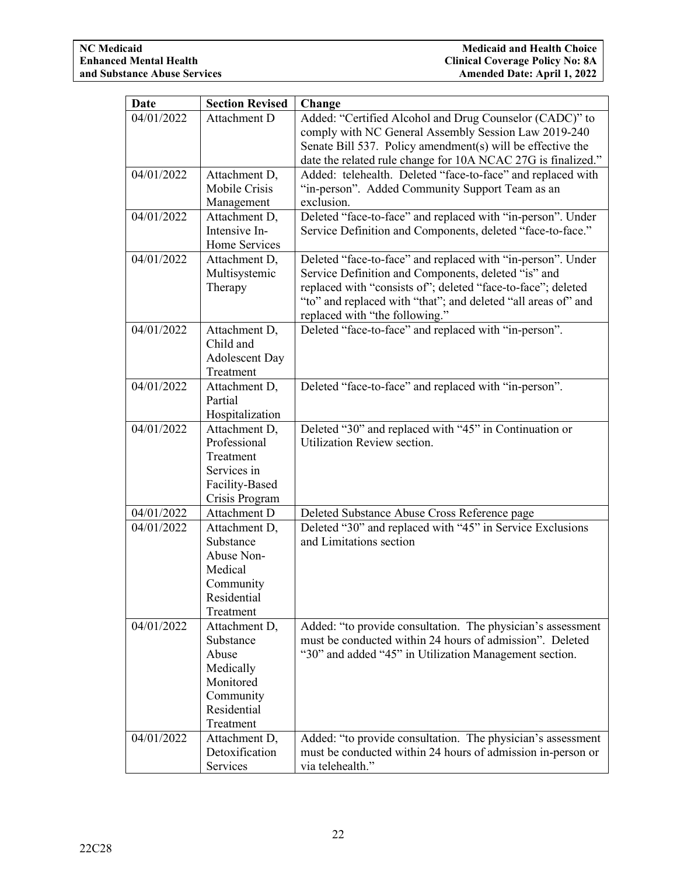| Date       | <b>Section Revised</b>         | Change                                                        |
|------------|--------------------------------|---------------------------------------------------------------|
| 04/01/2022 | Attachment D                   | Added: "Certified Alcohol and Drug Counselor (CADC)" to       |
|            |                                | comply with NC General Assembly Session Law 2019-240          |
|            |                                | Senate Bill 537. Policy amendment(s) will be effective the    |
|            |                                | date the related rule change for 10A NCAC 27G is finalized."  |
| 04/01/2022 | Attachment D,                  | Added: telehealth. Deleted "face-to-face" and replaced with   |
|            | Mobile Crisis                  | "in-person". Added Community Support Team as an               |
|            | Management                     | exclusion.                                                    |
| 04/01/2022 | Attachment D,                  | Deleted "face-to-face" and replaced with "in-person". Under   |
|            | Intensive In-                  | Service Definition and Components, deleted "face-to-face."    |
|            | Home Services                  |                                                               |
| 04/01/2022 | Attachment D,                  | Deleted "face-to-face" and replaced with "in-person". Under   |
|            | Multisystemic                  | Service Definition and Components, deleted "is" and           |
|            | Therapy                        | replaced with "consists of"; deleted "face-to-face"; deleted  |
|            |                                | "to" and replaced with "that"; and deleted "all areas of" and |
|            |                                | replaced with "the following."                                |
| 04/01/2022 | Attachment D,                  | Deleted "face-to-face" and replaced with "in-person".         |
|            | Child and                      |                                                               |
|            | <b>Adolescent Day</b>          |                                                               |
|            | Treatment                      |                                                               |
| 04/01/2022 | Attachment D,                  | Deleted "face-to-face" and replaced with "in-person".         |
|            | Partial                        |                                                               |
|            | Hospitalization                |                                                               |
| 04/01/2022 | Attachment D,                  | Deleted "30" and replaced with "45" in Continuation or        |
|            | Professional                   | Utilization Review section.                                   |
|            | Treatment                      |                                                               |
|            | Services in                    |                                                               |
|            | Facility-Based                 |                                                               |
| 04/01/2022 | Crisis Program<br>Attachment D | Deleted Substance Abuse Cross Reference page                  |
| 04/01/2022 | Attachment D,                  | Deleted "30" and replaced with "45" in Service Exclusions     |
|            | Substance                      | and Limitations section                                       |
|            | Abuse Non-                     |                                                               |
|            | Medical                        |                                                               |
|            | Community                      |                                                               |
|            | Residential                    |                                                               |
|            | Treatment                      |                                                               |
| 04/01/2022 | Attachment D,                  | Added: "to provide consultation. The physician's assessment   |
|            | Substance                      | must be conducted within 24 hours of admission". Deleted      |
|            | Abuse                          | "30" and added "45" in Utilization Management section.        |
|            | Medically                      |                                                               |
|            | Monitored                      |                                                               |
|            | Community                      |                                                               |
|            | Residential                    |                                                               |
|            | Treatment                      |                                                               |
| 04/01/2022 | Attachment D,                  | Added: "to provide consultation. The physician's assessment   |
|            | Detoxification                 | must be conducted within 24 hours of admission in-person or   |
|            | Services                       | via telehealth."                                              |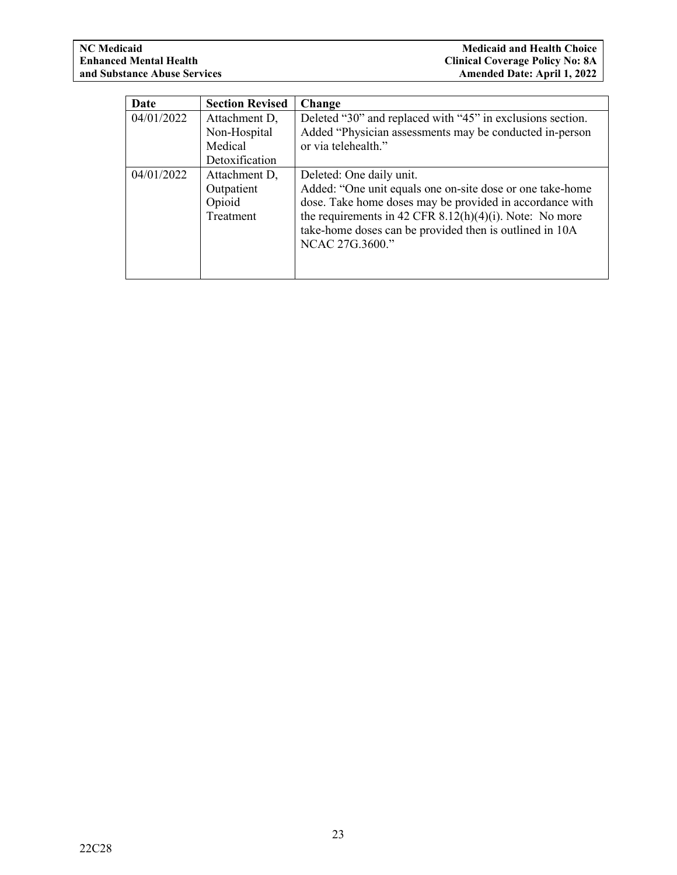| Date       | <b>Section Revised</b> | Change                                                     |
|------------|------------------------|------------------------------------------------------------|
| 04/01/2022 | Attachment D,          | Deleted "30" and replaced with "45" in exclusions section. |
|            | Non-Hospital           | Added "Physician assessments may be conducted in-person    |
|            | Medical                | or via telehealth."                                        |
|            | Detoxification         |                                                            |
| 04/01/2022 | Attachment D,          | Deleted: One daily unit.                                   |
|            | Outpatient             | Added: "One unit equals one on-site dose or one take-home  |
|            | Opioid                 | dose. Take home doses may be provided in accordance with   |
|            | Treatment              | the requirements in 42 CFR $8.12(h)(4)(i)$ . Note: No more |
|            |                        | take-home doses can be provided then is outlined in 10A    |
|            |                        | NCAC 27G.3600."                                            |
|            |                        |                                                            |
|            |                        |                                                            |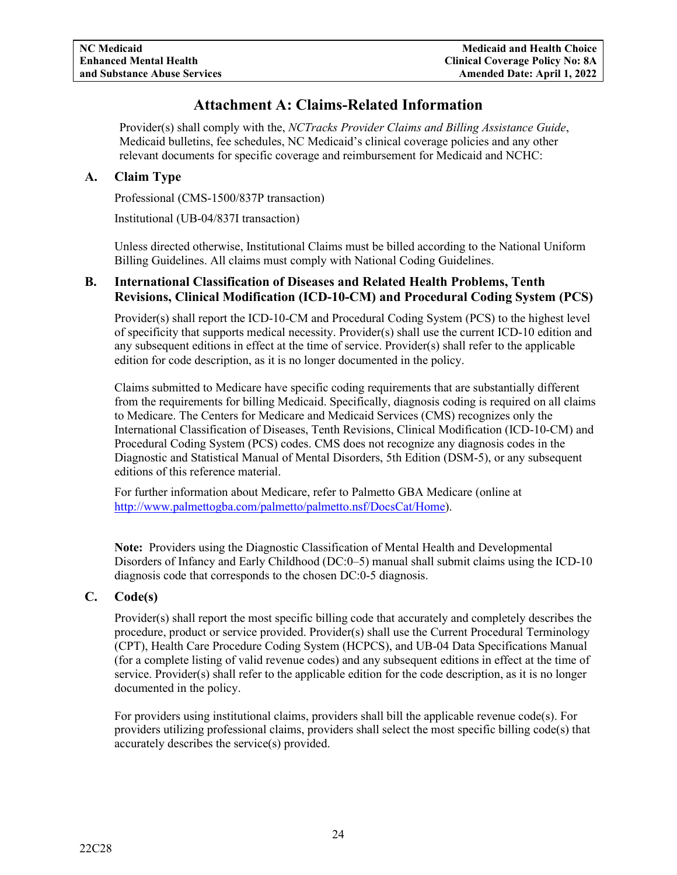## **Attachment A: Claims-Related Information**

<span id="page-26-0"></span>Provider(s) shall comply with the, *NCTracks Provider Claims and Billing Assistance Guide*, Medicaid bulletins, fee schedules, NC Medicaid's clinical coverage policies and any other relevant documents for specific coverage and reimbursement for Medicaid and NCHC:

## <span id="page-26-1"></span>**A. Claim Type**

Professional (CMS-1500/837P transaction)

Institutional (UB-04/837I transaction)

Unless directed otherwise, Institutional Claims must be billed according to the National Uniform Billing Guidelines. All claims must comply with National Coding Guidelines.

## <span id="page-26-2"></span>**B. International Classification of Diseases and Related Health Problems, Tenth Revisions, Clinical Modification (ICD-10-CM) and Procedural Coding System (PCS)**

Provider(s) shall report the ICD-10-CM and Procedural Coding System (PCS) to the highest level of specificity that supports medical necessity. Provider(s) shall use the current ICD-10 edition and any subsequent editions in effect at the time of service. Provider(s) shall refer to the applicable edition for code description, as it is no longer documented in the policy.

Claims submitted to Medicare have specific coding requirements that are substantially different from the requirements for billing Medicaid. Specifically, diagnosis coding is required on all claims to Medicare. The Centers for Medicare and Medicaid Services (CMS) recognizes only the International Classification of Diseases, Tenth Revisions, Clinical Modification (ICD-10-CM) and Procedural Coding System (PCS) codes. CMS does not recognize any diagnosis codes in the [Diagnostic and Statistical Manual of Mental Disorders, 5th Edition](http://allpsych.com/books/index.html#r) (DSM-5), or any subsequent editions of this reference material.

For further information about Medicare, refer to Palmetto GBA Medicare (online at [http://www.palmettogba.com/palmetto/palmetto.nsf/DocsCat/Home\)](http://www.palmettogba.com/palmetto/palmetto.nsf/DocsCat/Home).

**Note:** Providers using the Diagnostic Classification of Mental Health and Developmental Disorders of Infancy and Early Childhood (DC:0–5) manual shall submit claims using the ICD-10 diagnosis code that corresponds to the chosen DC:0-5 diagnosis.

## <span id="page-26-3"></span>**C. Code(s)**

Provider(s) shall report the most specific billing code that accurately and completely describes the procedure, product or service provided. Provider(s) shall use the Current Procedural Terminology (CPT), Health Care Procedure Coding System (HCPCS), and UB-04 Data Specifications Manual (for a complete listing of valid revenue codes) and any subsequent editions in effect at the time of service. Provider(s) shall refer to the applicable edition for the code description, as it is no longer documented in the policy.

For providers using institutional claims, providers shall bill the applicable revenue code(s). For providers utilizing professional claims, providers shall select the most specific billing code(s) that accurately describes the service(s) provided.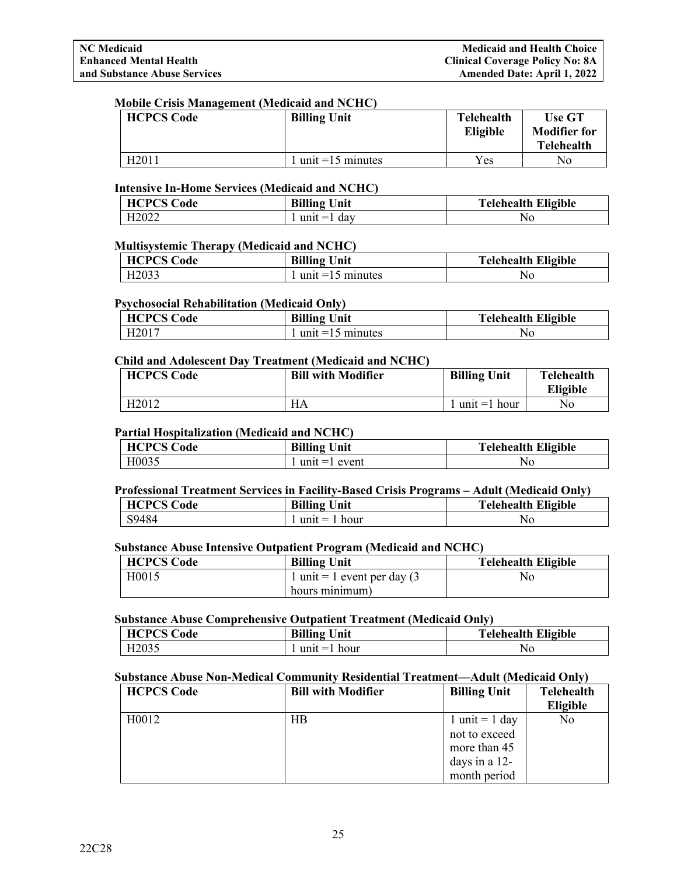#### **Mobile Crisis Management (Medicaid and NCHC)**

| <b>HCPCS Code</b> | <b>Billing Unit</b>  | <b>Telehealth</b><br>Eligible | <b>Use GT</b><br><b>Modifier for</b><br><b>Telehealth</b> |
|-------------------|----------------------|-------------------------------|-----------------------------------------------------------|
| H2011             | $1$ unit =15 minutes | Yes                           | No                                                        |

#### **Intensive In-Home Services (Medicaid and NCHC)**

| <b>HCPCS Code</b> | <b>Billing Unit</b> | <b>Telehealth Eligible</b> |
|-------------------|---------------------|----------------------------|
| H <sub>2022</sub> | $unit =$<br>day     | No                         |

#### **Multisystemic Therapy (Medicaid and NCHC)**

| <b>HCPCS Code</b> | <b>Billing</b> 1<br>Unit | <b>Telehealth Eligible</b> |
|-------------------|--------------------------|----------------------------|
| H <sub>2033</sub> | minutes<br>$unt = 15$    | ΝO                         |

#### **Psychosocial Rehabilitation (Medicaid Only)**

| <b>HCPCS Code</b> | <b>Billing Unit</b> | <b>Telehealth Eligible</b> |
|-------------------|---------------------|----------------------------|
| H <sub>2017</sub> | unit =15 minutes    | No                         |

#### **Child and Adolescent Day Treatment (Medicaid and NCHC)**

| <b>HCPCS Code</b> | <b>Bill with Modifier</b> | <b>Billing Unit</b> | Telehealth<br><b>Eligible</b> |
|-------------------|---------------------------|---------------------|-------------------------------|
| H <sub>2012</sub> | HA                        | $unit = 1$<br>hour  | No                            |

#### **Partial Hospitalization (Medicaid and NCHC)**

| <b>HCPCS Code</b> | <b>Billing Unit</b> | <b>Telehealth Eligible</b> |
|-------------------|---------------------|----------------------------|
| H0035             | event<br>$unit = 1$ | No                         |

## **Professional Treatment Services in Facility-Based Crisis Programs – Adult (Medicaid Only)**

| <b>HCPCS Code</b> | <b>Billing Unit</b> | <b>Telehealth Eligible</b> |
|-------------------|---------------------|----------------------------|
| S9484             | hour<br>$unit =$    | ΝO                         |

## **Substance Abuse Intensive Outpatient Program (Medicaid and NCHC)**

| <b>HCPCS Code</b> | <b>Billing Unit</b>            | <b>Telehealth Eligible</b> |
|-------------------|--------------------------------|----------------------------|
| H0015             | 1 unit = 1 event per day $(3)$ | No                         |
|                   | hours minimum)                 |                            |

## **Substance Abuse Comprehensive Outpatient Treatment (Medicaid Only)**

| <b>HCPCS Code</b> | <b>Billing</b><br>Unit | <b>Telehealth Eligible</b> |
|-------------------|------------------------|----------------------------|
| H <sub>2035</sub> | $unit = 1$<br>hour     | NG                         |

## **Substance Abuse Non-Medical Community Residential Treatment—Adult (Medicaid Only)**

| <b>HCPCS Code</b> | <b>Bill with Modifier</b> | <b>Billing Unit</b> | <b>Telehealth</b> |
|-------------------|---------------------------|---------------------|-------------------|
|                   |                           |                     | Eligible          |
| H0012             | HВ                        | 1 unit = 1 day      | No                |
|                   |                           | not to exceed       |                   |
|                   |                           | more than 45        |                   |
|                   |                           | days in a $12$ -    |                   |
|                   |                           | month period        |                   |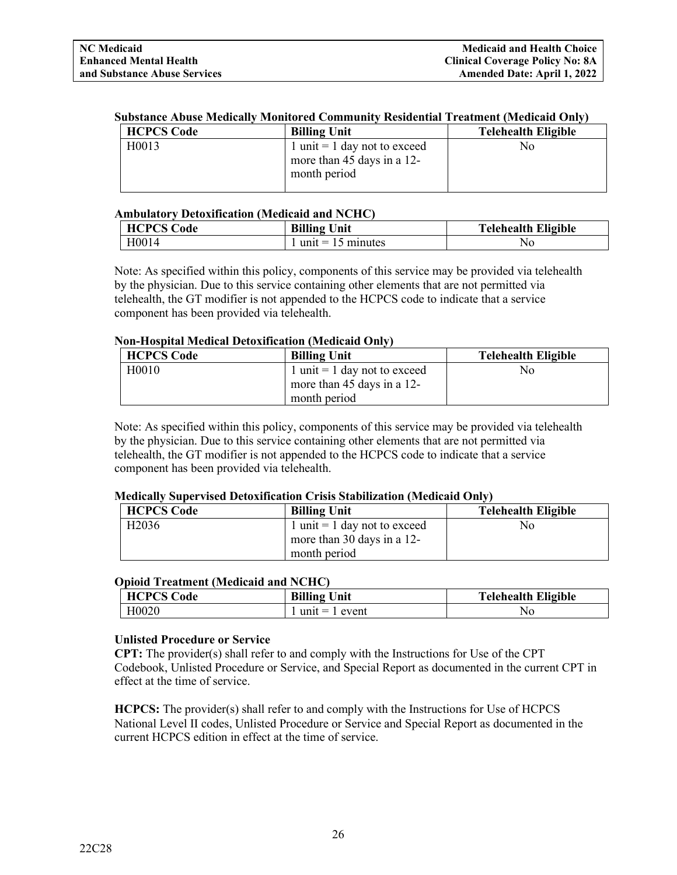#### **Substance Abuse Medically Monitored Community Residential Treatment (Medicaid Only)**

| <b>HCPCS Code</b>  | <b>Billing Unit</b>                                                        | <b>Telehealth Eligible</b> |
|--------------------|----------------------------------------------------------------------------|----------------------------|
| H <sub>0</sub> 013 | 1 unit = 1 day not to exceed<br>more than 45 days in a 12-<br>month period | Nο                         |

#### **Ambulatory Detoxification (Medicaid and NCHC)**

| <b>HCPCS Code</b> | <b>Billing Unit</b>         | <b>Telehealth Eligible</b> |
|-------------------|-----------------------------|----------------------------|
| H0014             | unit = $15 \text{ minutes}$ | No                         |

Note: As specified within this policy, components of this service may be provided via telehealth by the physician. Due to this service containing other elements that are not permitted via telehealth, the GT modifier is not appended to the HCPCS code to indicate that a service component has been provided via telehealth.

#### **Non-Hospital Medical Detoxification (Medicaid Only)**

| <b>HCPCS Code</b>  | <b>Billing Unit</b>           | <b>Telehealth Eligible</b> |
|--------------------|-------------------------------|----------------------------|
| H <sub>0</sub> 010 | 1 unit = 1 day not to exceed  | No                         |
|                    | more than 45 days in a $12$ - |                            |
|                    | month period                  |                            |

Note: As specified within this policy, components of this service may be provided via telehealth by the physician. Due to this service containing other elements that are not permitted via telehealth, the GT modifier is not appended to the HCPCS code to indicate that a service component has been provided via telehealth.

#### **Medically Supervised Detoxification Crisis Stabilization (Medicaid Only)**

| <b>HCPCS Code</b> | <b>Billing Unit</b>          | <b>Telehealth Eligible</b> |
|-------------------|------------------------------|----------------------------|
| H <sub>2036</sub> | 1 unit = 1 day not to exceed | No                         |
|                   | more than 30 days in a 12-   |                            |
|                   | month period                 |                            |

#### **Opioid Treatment (Medicaid and NCHC)**

| <b>HCPCS Code</b> | <b>Billing Unit</b> | <b>Telehealth Eligible</b> |
|-------------------|---------------------|----------------------------|
| H0020             | $unit = 1$ event    | No                         |

#### **Unlisted Procedure or Service**

**CPT:** The provider(s) shall refer to and comply with the Instructions for Use of the CPT Codebook, Unlisted Procedure or Service, and Special Report as documented in the current CPT in effect at the time of service.

**HCPCS:** The provider(s) shall refer to and comply with the Instructions for Use of HCPCS National Level II codes, Unlisted Procedure or Service and Special Report as documented in the current HCPCS edition in effect at the time of service.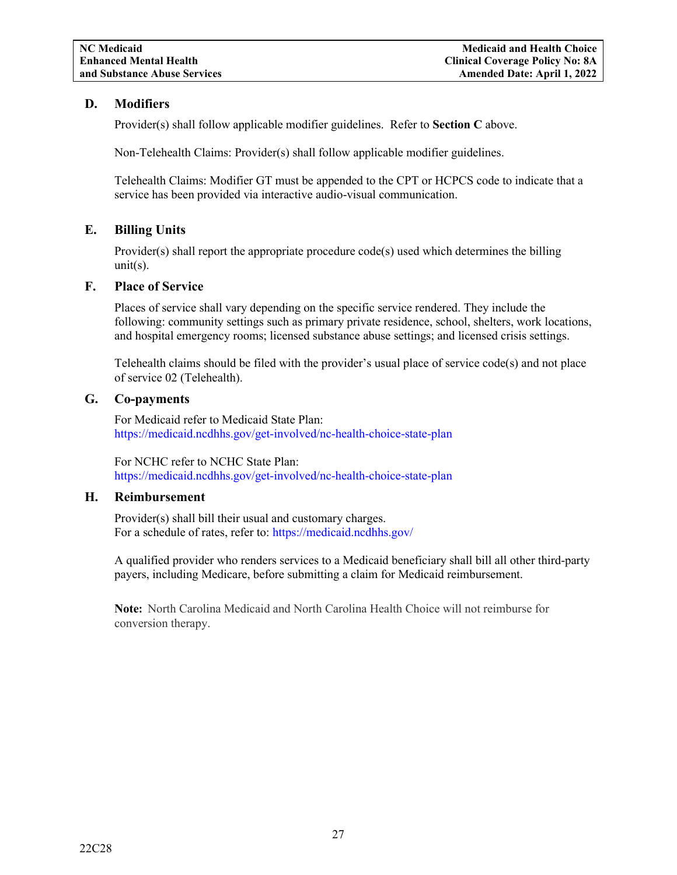## <span id="page-29-0"></span>**D. Modifiers**

Provider(s) shall follow applicable modifier guidelines. Refer to **Section C** above.

Non-Telehealth Claims: Provider(s) shall follow applicable modifier guidelines.

Telehealth Claims: Modifier GT must be appended to the CPT or HCPCS code to indicate that a service has been provided via interactive audio-visual communication.

## <span id="page-29-1"></span>**E. Billing Units**

Provider(s) shall report the appropriate procedure  $code(s)$  used which determines the billing  $unit(s)$ .

## <span id="page-29-2"></span>**F. Place of Service**

Places of service shall vary depending on the specific service rendered. They include the following: community settings such as primary private residence, school, shelters, work locations, and hospital emergency rooms; licensed substance abuse settings; and licensed crisis settings.

Telehealth claims should be filed with the provider's usual place of service code(s) and not place of service 02 (Telehealth).

## <span id="page-29-3"></span>**G. Co-payments**

For Medicaid refer to Medicaid State Plan: <https://medicaid.ncdhhs.gov/get-involved/nc-health-choice-state-plan>

For NCHC refer to NCHC State Plan: <https://medicaid.ncdhhs.gov/get-involved/nc-health-choice-state-plan>

#### <span id="page-29-4"></span>**H. Reimbursement**

Provider(s) shall bill their usual and customary charges. For a schedule of rates, refer to:<https://medicaid.ncdhhs.gov/>

A qualified provider who renders services to a Medicaid beneficiary shall bill all other third-party payers, including Medicare, before submitting a claim for Medicaid reimbursement.

**Note:** North Carolina Medicaid and North Carolina Health Choice will not reimburse for conversion therapy.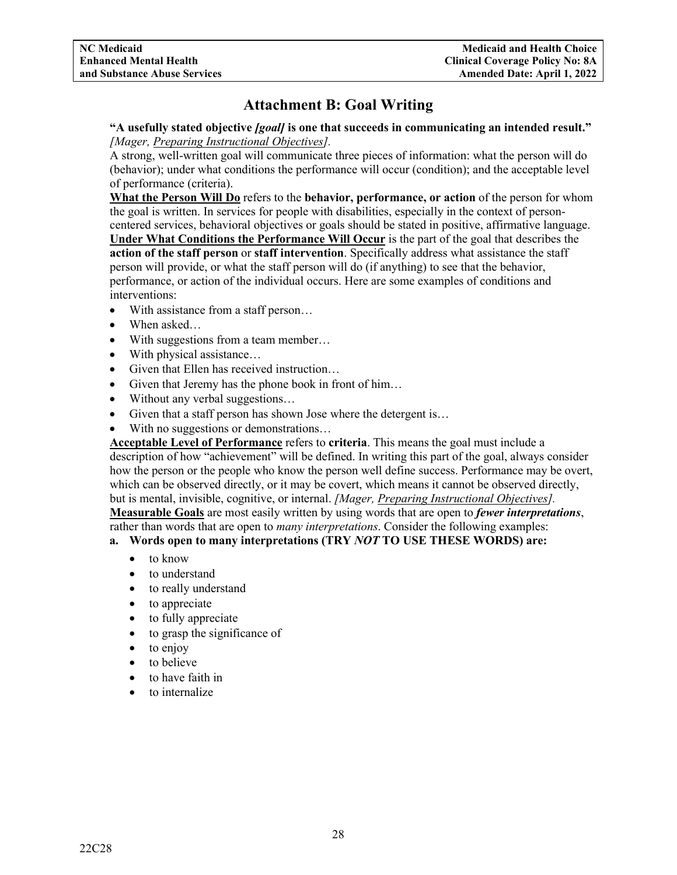## **Attachment B: Goal Writing**

<span id="page-30-0"></span>**"A usefully stated objective** *[goal]* **is one that succeeds in communicating an intended result."**  *[Mager, Preparing Instructional Objectives].*

A strong, well-written goal will communicate three pieces of information: what the person will do (behavior); under what conditions the performance will occur (condition); and the acceptable level of performance (criteria).

**What the Person Will Do** refers to the **behavior, performance, or action** of the person for whom the goal is written. In services for people with disabilities, especially in the context of personcentered services, behavioral objectives or goals should be stated in positive, affirmative language. **Under What Conditions the Performance Will Occur** is the part of the goal that describes the **action of the staff person** or **staff intervention**. Specifically address what assistance the staff person will provide, or what the staff person will do (if anything) to see that the behavior, performance, or action of the individual occurs. Here are some examples of conditions and interventions:

- With assistance from a staff person...
- When asked…
- With suggestions from a team member...
- With physical assistance...
- Given that Ellen has received instruction...
- Given that Jeremy has the phone book in front of him...
- Without any verbal suggestions...
- Given that a staff person has shown Jose where the detergent is...
- With no suggestions or demonstrations...

**Acceptable Level of Performance** refers to **criteria**. This means the goal must include a description of how "achievement" will be defined. In writing this part of the goal, always consider how the person or the people who know the person well define success. Performance may be overt, which can be observed directly, or it may be covert, which means it cannot be observed directly, but is mental, invisible, cognitive, or internal. *[Mager, Preparing Instructional Objectives].* **Measurable Goals** are most easily written by using words that are open to *fewer interpretations*, rather than words that are open to *many interpretations*. Consider the following examples:

## **a. Words open to many interpretations (TRY** *NOT* **TO USE THESE WORDS) are:**

- to know
- to understand
- to really understand
- to appreciate
- to fully appreciate
- to grasp the significance of
- to enjoy
- to believe
- to have faith in
- to internalize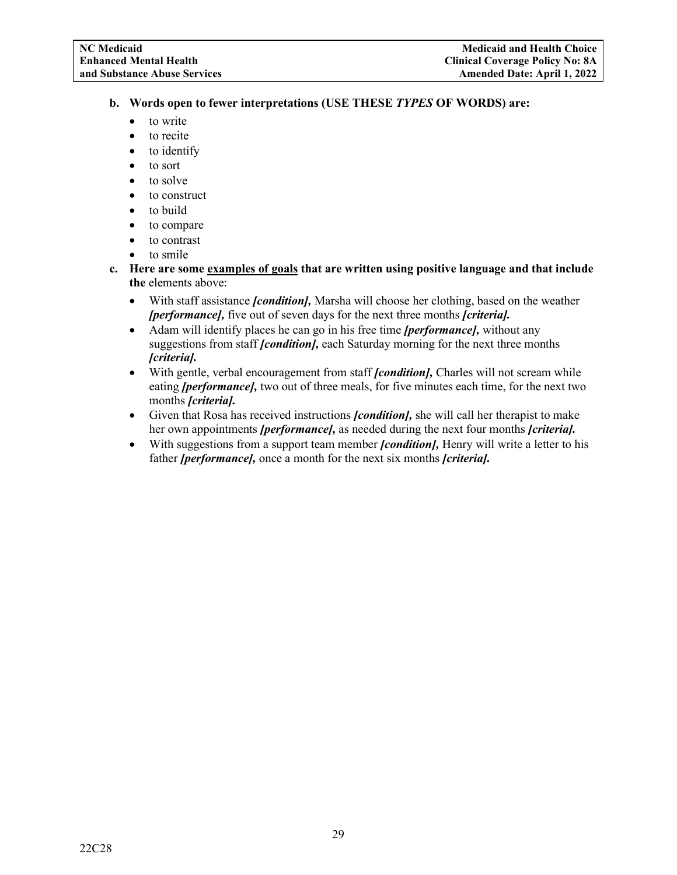- **b. Words open to fewer interpretations (USE THESE** *TYPES* **OF WORDS) are:**
	- to write
	- to recite
	- to identify
	- to sort
	- to solve
	- to construct
	- to build
	- to compare
	- to contrast
	- to smile
- **c. Here are some examples of goals that are written using positive language and that include the** elements above:
	- With staff assistance *[condition],* Marsha will choose her clothing, based on the weather *[performance],* five out of seven days for the next three months *[criteria].*
	- Adam will identify places he can go in his free time *[performance],* without any suggestions from staff *[condition],* each Saturday morning for the next three months *[criteria].*
	- With gentle, verbal encouragement from staff *[condition]*, Charles will not scream while eating *[performance],* two out of three meals, for five minutes each time, for the next two months *[criteria].*
	- Given that Rosa has received instructions *[condition],* she will call her therapist to make her own appointments *[performance],* as needed during the next four months *[criteria].*
	- With suggestions from a support team member *[condition],* Henry will write a letter to his father *[performance],* once a month for the next six months *[criteria].*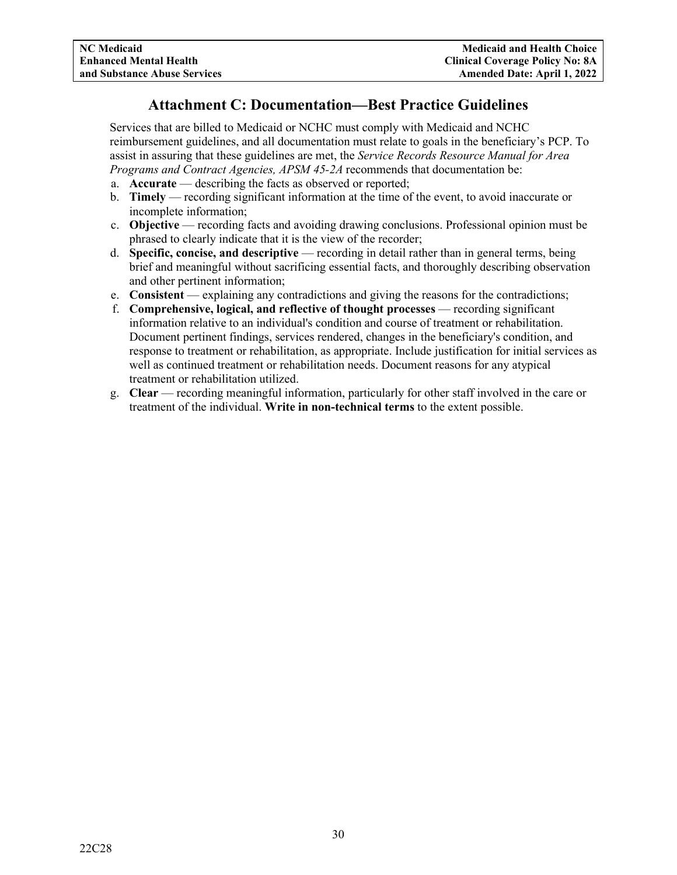## **Attachment C: Documentation—Best Practice Guidelines**

<span id="page-32-0"></span>Services that are billed to Medicaid or NCHC must comply with Medicaid and NCHC reimbursement guidelines, and all documentation must relate to goals in the beneficiary's PCP. To assist in assuring that these guidelines are met, the *Service Records Resource Manual for Area Programs and Contract Agencies, APSM 45-2A* recommends that documentation be:

- a. **Accurate** describing the facts as observed or reported;
- b. **Timely** recording significant information at the time of the event, to avoid inaccurate or incomplete information;
- c. **Objective** recording facts and avoiding drawing conclusions. Professional opinion must be phrased to clearly indicate that it is the view of the recorder;
- d. **Specific, concise, and descriptive** recording in detail rather than in general terms, being brief and meaningful without sacrificing essential facts, and thoroughly describing observation and other pertinent information;
- e. **Consistent** explaining any contradictions and giving the reasons for the contradictions;
- f. **Comprehensive, logical, and reflective of thought processes** recording significant information relative to an individual's condition and course of treatment or rehabilitation. Document pertinent findings, services rendered, changes in the beneficiary's condition, and response to treatment or rehabilitation, as appropriate. Include justification for initial services as well as continued treatment or rehabilitation needs. Document reasons for any atypical treatment or rehabilitation utilized.
- g. **Clear** recording meaningful information, particularly for other staff involved in the care or treatment of the individual. **Write in non-technical terms** to the extent possible.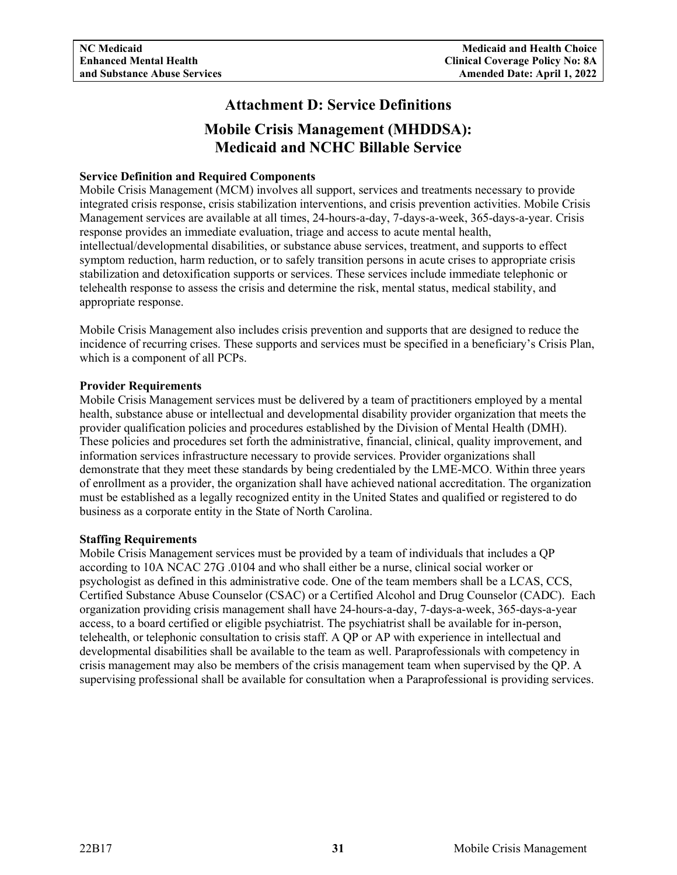## **Attachment D: Service Definitions**

## **Mobile Crisis Management (MHDDSA): Medicaid and NCHC Billable Service**

### <span id="page-33-1"></span><span id="page-33-0"></span>**Service Definition and Required Components**

Mobile Crisis Management (MCM) involves all support, services and treatments necessary to provide integrated crisis response, crisis stabilization interventions, and crisis prevention activities. Mobile Crisis Management services are available at all times, 24-hours-a-day, 7-days-a-week, 365-days-a-year. Crisis response provides an immediate evaluation, triage and access to acute mental health, intellectual/developmental disabilities, or substance abuse services, treatment, and supports to effect symptom reduction, harm reduction, or to safely transition persons in acute crises to appropriate crisis stabilization and detoxification supports or services. These services include immediate telephonic or telehealth response to assess the crisis and determine the risk, mental status, medical stability, and appropriate response.

Mobile Crisis Management also includes crisis prevention and supports that are designed to reduce the incidence of recurring crises. These supports and services must be specified in a beneficiary's Crisis Plan, which is a component of all PCPs.

#### **Provider Requirements**

Mobile Crisis Management services must be delivered by a team of practitioners employed by a mental health, substance abuse or intellectual and developmental disability provider organization that meets the provider qualification policies and procedures established by the Division of Mental Health (DMH). These policies and procedures set forth the administrative, financial, clinical, quality improvement, and information services infrastructure necessary to provide services. Provider organizations shall demonstrate that they meet these standards by being credentialed by the LME-MCO. Within three years of enrollment as a provider, the organization shall have achieved national accreditation. The organization must be established as a legally recognized entity in the United States and qualified or registered to do business as a corporate entity in the State of North Carolina.

#### **Staffing Requirements**

Mobile Crisis Management services must be provided by a team of individuals that includes a QP according to 10A NCAC 27G .0104 and who shall either be a nurse, clinical social worker or psychologist as defined in this administrative code. One of the team members shall be a LCAS, CCS, Certified Substance Abuse Counselor (CSAC) or a Certified Alcohol and Drug Counselor (CADC). Each organization providing crisis management shall have 24-hours-a-day, 7-days-a-week, 365-days-a-year access, to a board certified or eligible psychiatrist. The psychiatrist shall be available for in-person, telehealth, or telephonic consultation to crisis staff. A QP or AP with experience in intellectual and developmental disabilities shall be available to the team as well. Paraprofessionals with competency in crisis management may also be members of the crisis management team when supervised by the QP. A supervising professional shall be available for consultation when a Paraprofessional is providing services.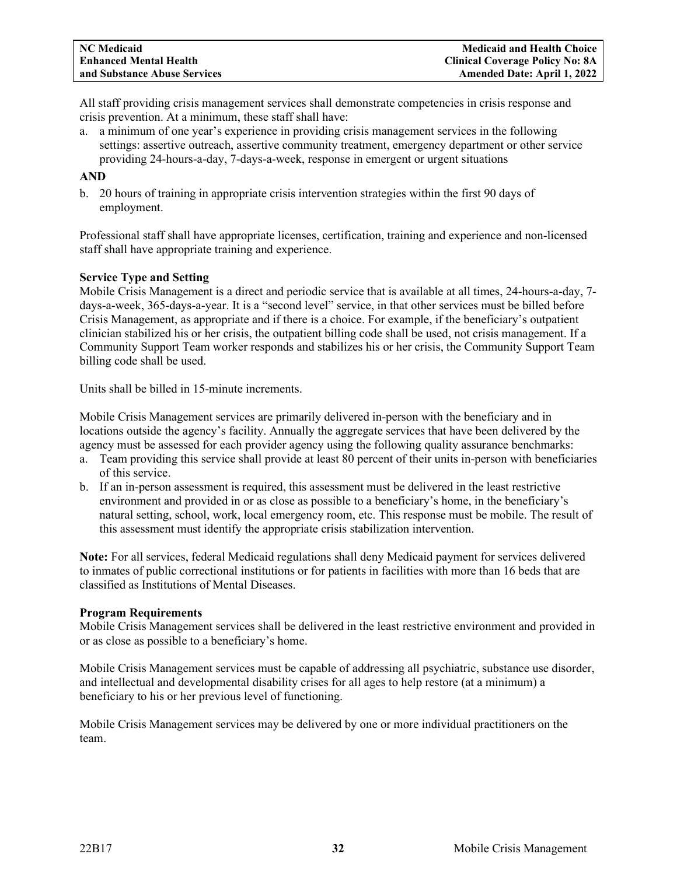All staff providing crisis management services shall demonstrate competencies in crisis response and crisis prevention. At a minimum, these staff shall have:

a. a minimum of one year's experience in providing crisis management services in the following settings: assertive outreach, assertive community treatment, emergency department or other service providing 24-hours-a-day, 7-days-a-week, response in emergent or urgent situations

## **AND**

b. 20 hours of training in appropriate crisis intervention strategies within the first 90 days of employment.

Professional staff shall have appropriate licenses, certification, training and experience and non-licensed staff shall have appropriate training and experience.

#### **Service Type and Setting**

Mobile Crisis Management is a direct and periodic service that is available at all times, 24-hours-a-day, 7 days-a-week, 365-days-a-year. It is a "second level" service, in that other services must be billed before Crisis Management, as appropriate and if there is a choice. For example, if the beneficiary's outpatient clinician stabilized his or her crisis, the outpatient billing code shall be used, not crisis management. If a Community Support Team worker responds and stabilizes his or her crisis, the Community Support Team billing code shall be used.

Units shall be billed in 15-minute increments.

Mobile Crisis Management services are primarily delivered in-person with the beneficiary and in locations outside the agency's facility. Annually the aggregate services that have been delivered by the agency must be assessed for each provider agency using the following quality assurance benchmarks:

- a. Team providing this service shall provide at least 80 percent of their units in-person with beneficiaries of this service.
- b. If an in-person assessment is required, this assessment must be delivered in the least restrictive environment and provided in or as close as possible to a beneficiary's home, in the beneficiary's natural setting, school, work, local emergency room, etc. This response must be mobile. The result of this assessment must identify the appropriate crisis stabilization intervention.

**Note:** For all services, federal Medicaid regulations shall deny Medicaid payment for services delivered to inmates of public correctional institutions or for patients in facilities with more than 16 beds that are classified as Institutions of Mental Diseases.

#### **Program Requirements**

Mobile Crisis Management services shall be delivered in the least restrictive environment and provided in or as close as possible to a beneficiary's home.

Mobile Crisis Management services must be capable of addressing all psychiatric, substance use disorder, and intellectual and developmental disability crises for all ages to help restore (at a minimum) a beneficiary to his or her previous level of functioning.

Mobile Crisis Management services may be delivered by one or more individual practitioners on the team.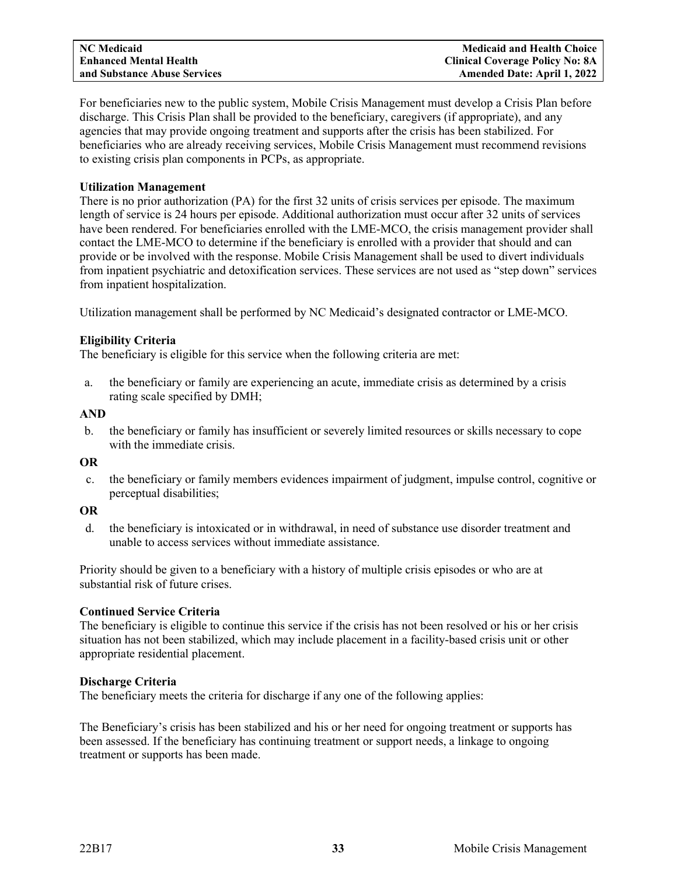For beneficiaries new to the public system, Mobile Crisis Management must develop a Crisis Plan before discharge. This Crisis Plan shall be provided to the beneficiary, caregivers (if appropriate), and any agencies that may provide ongoing treatment and supports after the crisis has been stabilized. For beneficiaries who are already receiving services, Mobile Crisis Management must recommend revisions to existing crisis plan components in PCPs, as appropriate.

### **Utilization Management**

There is no prior authorization (PA) for the first 32 units of crisis services per episode. The maximum length of service is 24 hours per episode. Additional authorization must occur after 32 units of services have been rendered. For beneficiaries enrolled with the LME-MCO, the crisis management provider shall contact the LME-MCO to determine if the beneficiary is enrolled with a provider that should and can provide or be involved with the response. Mobile Crisis Management shall be used to divert individuals from inpatient psychiatric and detoxification services. These services are not used as "step down" services from inpatient hospitalization.

Utilization management shall be performed by NC Medicaid's designated contractor or LME-MCO.

## **Eligibility Criteria**

The beneficiary is eligible for this service when the following criteria are met:

a. the beneficiary or family are experiencing an acute, immediate crisis as determined by a crisis rating scale specified by DMH;

## **AND**

b. the beneficiary or family has insufficient or severely limited resources or skills necessary to cope with the immediate crisis.

### **OR**

c. the beneficiary or family members evidences impairment of judgment, impulse control, cognitive or perceptual disabilities;

#### **OR**

d. the beneficiary is intoxicated or in withdrawal, in need of substance use disorder treatment and unable to access services without immediate assistance.

Priority should be given to a beneficiary with a history of multiple crisis episodes or who are at substantial risk of future crises.

## **Continued Service Criteria**

The beneficiary is eligible to continue this service if the crisis has not been resolved or his or her crisis situation has not been stabilized, which may include placement in a facility-based crisis unit or other appropriate residential placement.

#### **Discharge Criteria**

The beneficiary meets the criteria for discharge if any one of the following applies:

The Beneficiary's crisis has been stabilized and his or her need for ongoing treatment or supports has been assessed. If the beneficiary has continuing treatment or support needs, a linkage to ongoing treatment or supports has been made.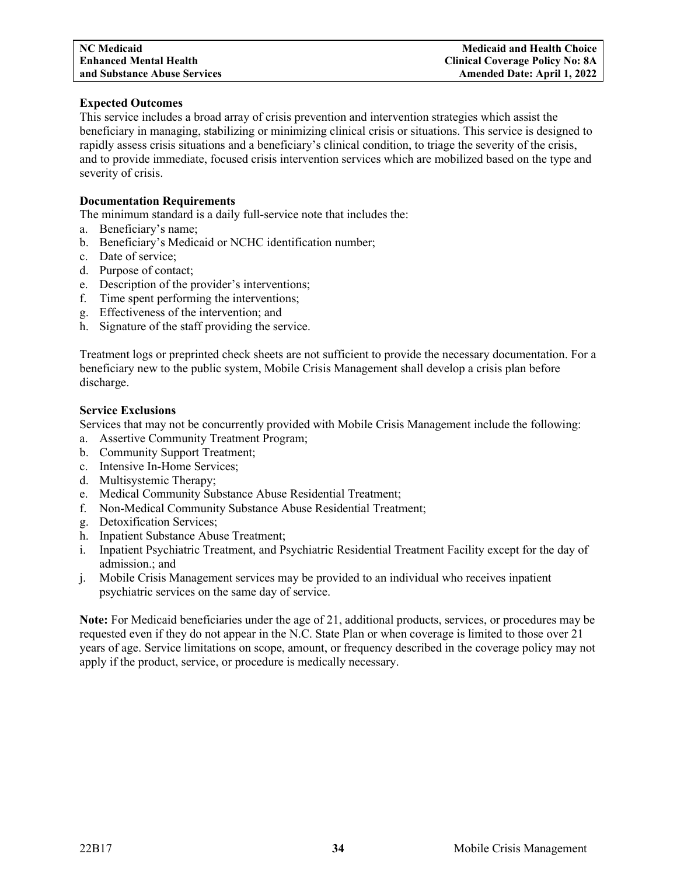# **Expected Outcomes**

This service includes a broad array of crisis prevention and intervention strategies which assist the beneficiary in managing, stabilizing or minimizing clinical crisis or situations. This service is designed to rapidly assess crisis situations and a beneficiary's clinical condition, to triage the severity of the crisis, and to provide immediate, focused crisis intervention services which are mobilized based on the type and severity of crisis.

# **Documentation Requirements**

The minimum standard is a daily full-service note that includes the:

- a. Beneficiary's name;
- b. Beneficiary's Medicaid or NCHC identification number;
- c. Date of service;
- d. Purpose of contact;
- e. Description of the provider's interventions;
- f. Time spent performing the interventions;
- g. Effectiveness of the intervention; and
- h. Signature of the staff providing the service.

Treatment logs or preprinted check sheets are not sufficient to provide the necessary documentation. For a beneficiary new to the public system, Mobile Crisis Management shall develop a crisis plan before discharge.

# **Service Exclusions**

Services that may not be concurrently provided with Mobile Crisis Management include the following:

- a. Assertive Community Treatment Program;
- b. Community Support Treatment;
- c. Intensive In-Home Services;
- d. Multisystemic Therapy;
- e. Medical Community Substance Abuse Residential Treatment;
- f. Non-Medical Community Substance Abuse Residential Treatment;
- g. Detoxification Services;
- h. Inpatient Substance Abuse Treatment;
- i. Inpatient Psychiatric Treatment, and Psychiatric Residential Treatment Facility except for the day of admission.; and
- j. Mobile Crisis Management services may be provided to an individual who receives inpatient psychiatric services on the same day of service.

**Note:** For Medicaid beneficiaries under the age of 21, additional products, services, or procedures may be requested even if they do not appear in the N.C. State Plan or when coverage is limited to those over 21 years of age. Service limitations on scope, amount, or frequency described in the coverage policy may not apply if the product, service, or procedure is medically necessary.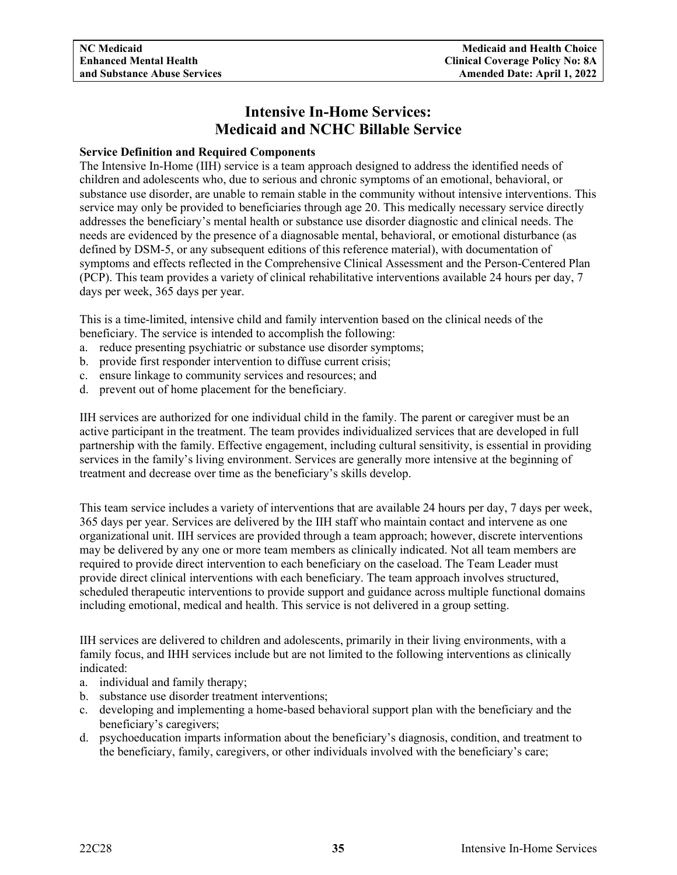# **Intensive In-Home Services: Medicaid and NCHC Billable Service**

# **Service Definition and Required Components**

The Intensive In-Home (IIH) service is a team approach designed to address the identified needs of children and adolescents who, due to serious and chronic symptoms of an emotional, behavioral, or substance use disorder, are unable to remain stable in the community without intensive interventions. This service may only be provided to beneficiaries through age 20. This medically necessary service directly addresses the beneficiary's mental health or substance use disorder diagnostic and clinical needs. The needs are evidenced by the presence of a diagnosable mental, behavioral, or emotional disturbance (as defined by DSM-5, or any subsequent editions of this reference material), with documentation of symptoms and effects reflected in the Comprehensive Clinical Assessment and the Person-Centered Plan (PCP). This team provides a variety of clinical rehabilitative interventions available 24 hours per day, 7 days per week, 365 days per year.

This is a time-limited, intensive child and family intervention based on the clinical needs of the beneficiary. The service is intended to accomplish the following:

- a. reduce presenting psychiatric or substance use disorder symptoms;
- b. provide first responder intervention to diffuse current crisis;
- c. ensure linkage to community services and resources; and
- d. prevent out of home placement for the beneficiary.

IIH services are authorized for one individual child in the family. The parent or caregiver must be an active participant in the treatment. The team provides individualized services that are developed in full partnership with the family. Effective engagement, including cultural sensitivity, is essential in providing services in the family's living environment. Services are generally more intensive at the beginning of treatment and decrease over time as the beneficiary's skills develop.

This team service includes a variety of interventions that are available 24 hours per day, 7 days per week, 365 days per year. Services are delivered by the IIH staff who maintain contact and intervene as one organizational unit. IIH services are provided through a team approach; however, discrete interventions may be delivered by any one or more team members as clinically indicated. Not all team members are required to provide direct intervention to each beneficiary on the caseload. The Team Leader must provide direct clinical interventions with each beneficiary. The team approach involves structured, scheduled therapeutic interventions to provide support and guidance across multiple functional domains including emotional, medical and health. This service is not delivered in a group setting.

IIH services are delivered to children and adolescents, primarily in their living environments, with a family focus, and IHH services include but are not limited to the following interventions as clinically indicated:

- a. individual and family therapy;
- b. substance use disorder treatment interventions;
- c. developing and implementing a home-based behavioral support plan with the beneficiary and the beneficiary's caregivers;
- d. psychoeducation imparts information about the beneficiary's diagnosis, condition, and treatment to the beneficiary, family, caregivers, or other individuals involved with the beneficiary's care;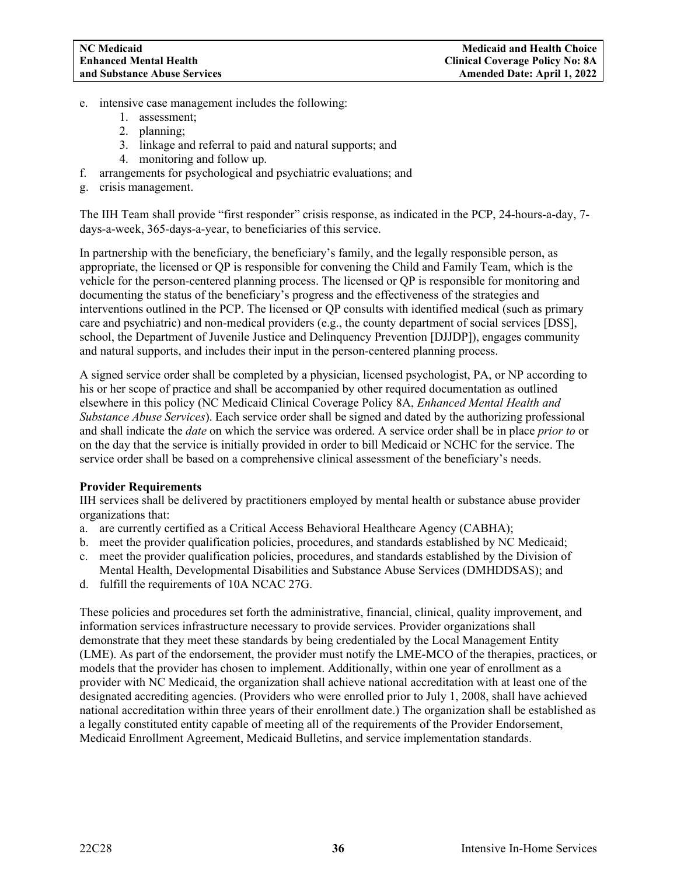- e. intensive case management includes the following:
	- 1. assessment;
	- 2. planning;
	- 3. linkage and referral to paid and natural supports; and
	- 4. monitoring and follow up.
- f. arrangements for psychological and psychiatric evaluations; and
- g. crisis management.

The IIH Team shall provide "first responder" crisis response, as indicated in the PCP, 24-hours-a-day, 7 days-a-week, 365-days-a-year, to beneficiaries of this service.

In partnership with the beneficiary, the beneficiary's family, and the legally responsible person, as appropriate, the licensed or QP is responsible for convening the Child and Family Team, which is the vehicle for the person-centered planning process. The licensed or QP is responsible for monitoring and documenting the status of the beneficiary's progress and the effectiveness of the strategies and interventions outlined in the PCP. The licensed or QP consults with identified medical (such as primary care and psychiatric) and non-medical providers (e.g., the county department of social services [DSS], school, the Department of Juvenile Justice and Delinquency Prevention [DJJDP]), engages community and natural supports, and includes their input in the person-centered planning process.

A signed service order shall be completed by a physician, licensed psychologist, PA, or NP according to his or her scope of practice and shall be accompanied by other required documentation as outlined elsewhere in this policy (NC Medicaid Clinical Coverage Policy 8A, *Enhanced Mental Health and Substance Abuse Services*). Each service order shall be signed and dated by the authorizing professional and shall indicate the *date* on which the service was ordered. A service order shall be in place *prior to* or on the day that the service is initially provided in order to bill Medicaid or NCHC for the service. The service order shall be based on a comprehensive clinical assessment of the beneficiary's needs.

# **Provider Requirements**

IIH services shall be delivered by practitioners employed by mental health or substance abuse provider organizations that:

- a. are currently certified as a Critical Access Behavioral Healthcare Agency (CABHA);
- b. meet the provider qualification policies, procedures, and standards established by NC Medicaid;
- c. meet the provider qualification policies, procedures, and standards established by the Division of Mental Health, Developmental Disabilities and Substance Abuse Services (DMHDDSAS); and
- d. fulfill the requirements of 10A NCAC 27G.

These policies and procedures set forth the administrative, financial, clinical, quality improvement, and information services infrastructure necessary to provide services. Provider organizations shall demonstrate that they meet these standards by being credentialed by the Local Management Entity (LME). As part of the endorsement, the provider must notify the LME-MCO of the therapies, practices, or models that the provider has chosen to implement. Additionally, within one year of enrollment as a provider with NC Medicaid, the organization shall achieve national accreditation with at least one of the designated accrediting agencies. (Providers who were enrolled prior to July 1, 2008, shall have achieved national accreditation within three years of their enrollment date.) The organization shall be established as a legally constituted entity capable of meeting all of the requirements of the Provider Endorsement, Medicaid Enrollment Agreement, Medicaid Bulletins, and service implementation standards.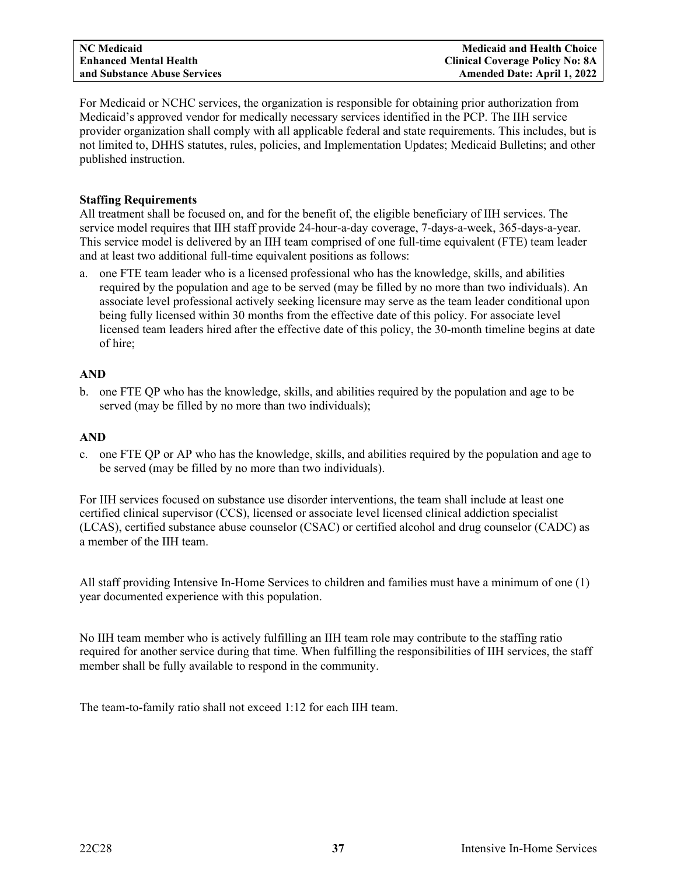For Medicaid or NCHC services, the organization is responsible for obtaining prior authorization from Medicaid's approved vendor for medically necessary services identified in the PCP. The IIH service provider organization shall comply with all applicable federal and state requirements. This includes, but is not limited to, DHHS statutes, rules, policies, and Implementation Updates; Medicaid Bulletins; and other published instruction.

# **Staffing Requirements**

All treatment shall be focused on, and for the benefit of, the eligible beneficiary of IIH services. The service model requires that IIH staff provide 24-hour-a-day coverage, 7-days-a-week, 365-days-a-year. This service model is delivered by an IIH team comprised of one full-time equivalent (FTE) team leader and at least two additional full-time equivalent positions as follows:

a. one FTE team leader who is a licensed professional who has the knowledge, skills, and abilities required by the population and age to be served (may be filled by no more than two individuals). An associate level professional actively seeking licensure may serve as the team leader conditional upon being fully licensed within 30 months from the effective date of this policy. For associate level licensed team leaders hired after the effective date of this policy, the 30-month timeline begins at date of hire;

# **AND**

b. one FTE QP who has the knowledge, skills, and abilities required by the population and age to be served (may be filled by no more than two individuals);

# **AND**

c. one FTE QP or AP who has the knowledge, skills, and abilities required by the population and age to be served (may be filled by no more than two individuals).

For IIH services focused on substance use disorder interventions, the team shall include at least one certified clinical supervisor (CCS), licensed or associate level licensed clinical addiction specialist (LCAS), certified substance abuse counselor (CSAC) or certified alcohol and drug counselor (CADC) as a member of the IIH team.

All staff providing Intensive In-Home Services to children and families must have a minimum of one (1) year documented experience with this population.

No IIH team member who is actively fulfilling an IIH team role may contribute to the staffing ratio required for another service during that time. When fulfilling the responsibilities of IIH services, the staff member shall be fully available to respond in the community.

The team-to-family ratio shall not exceed 1:12 for each IIH team.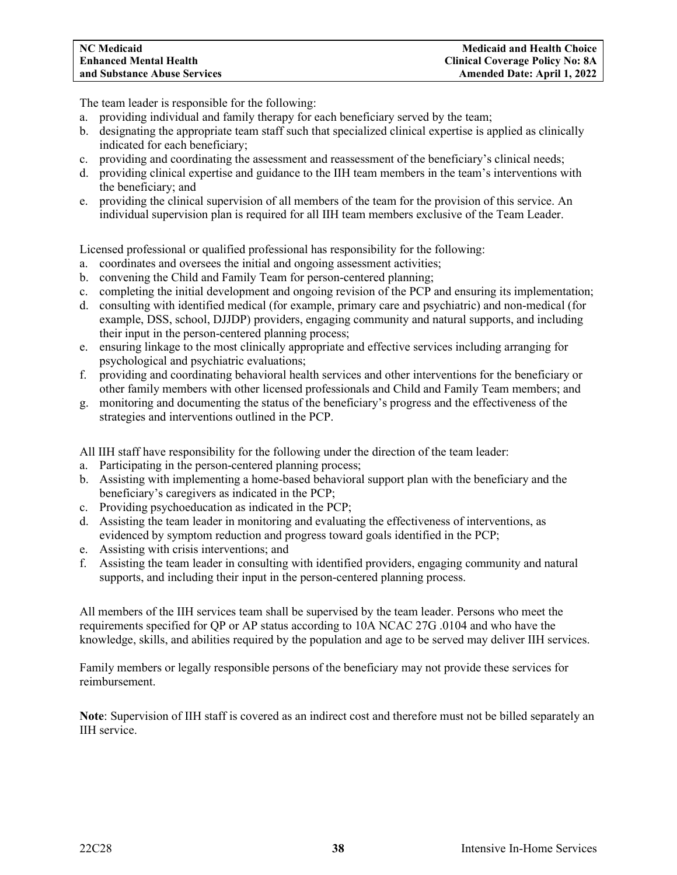The team leader is responsible for the following:

- a. providing individual and family therapy for each beneficiary served by the team;
- b. designating the appropriate team staff such that specialized clinical expertise is applied as clinically indicated for each beneficiary;
- c. providing and coordinating the assessment and reassessment of the beneficiary's clinical needs;
- d. providing clinical expertise and guidance to the IIH team members in the team's interventions with the beneficiary; and
- e. providing the clinical supervision of all members of the team for the provision of this service. An individual supervision plan is required for all IIH team members exclusive of the Team Leader.

Licensed professional or qualified professional has responsibility for the following:

- a. coordinates and oversees the initial and ongoing assessment activities;
- b. convening the Child and Family Team for person-centered planning;
- c. completing the initial development and ongoing revision of the PCP and ensuring its implementation;
- d. consulting with identified medical (for example, primary care and psychiatric) and non-medical (for example, DSS, school, DJJDP) providers, engaging community and natural supports, and including their input in the person-centered planning process;
- e. ensuring linkage to the most clinically appropriate and effective services including arranging for psychological and psychiatric evaluations;
- f. providing and coordinating behavioral health services and other interventions for the beneficiary or other family members with other licensed professionals and Child and Family Team members; and
- g. monitoring and documenting the status of the beneficiary's progress and the effectiveness of the strategies and interventions outlined in the PCP.

All IIH staff have responsibility for the following under the direction of the team leader:

- a. Participating in the person-centered planning process;
- b. Assisting with implementing a home-based behavioral support plan with the beneficiary and the beneficiary's caregivers as indicated in the PCP;
- c. Providing psychoeducation as indicated in the PCP;
- d. Assisting the team leader in monitoring and evaluating the effectiveness of interventions, as evidenced by symptom reduction and progress toward goals identified in the PCP;
- e. Assisting with crisis interventions; and
- f. Assisting the team leader in consulting with identified providers, engaging community and natural supports, and including their input in the person-centered planning process.

All members of the IIH services team shall be supervised by the team leader. Persons who meet the requirements specified for QP or AP status according to 10A NCAC 27G .0104 and who have the knowledge, skills, and abilities required by the population and age to be served may deliver IIH services.

Family members or legally responsible persons of the beneficiary may not provide these services for reimbursement.

**Note**: Supervision of IIH staff is covered as an indirect cost and therefore must not be billed separately an IIH service.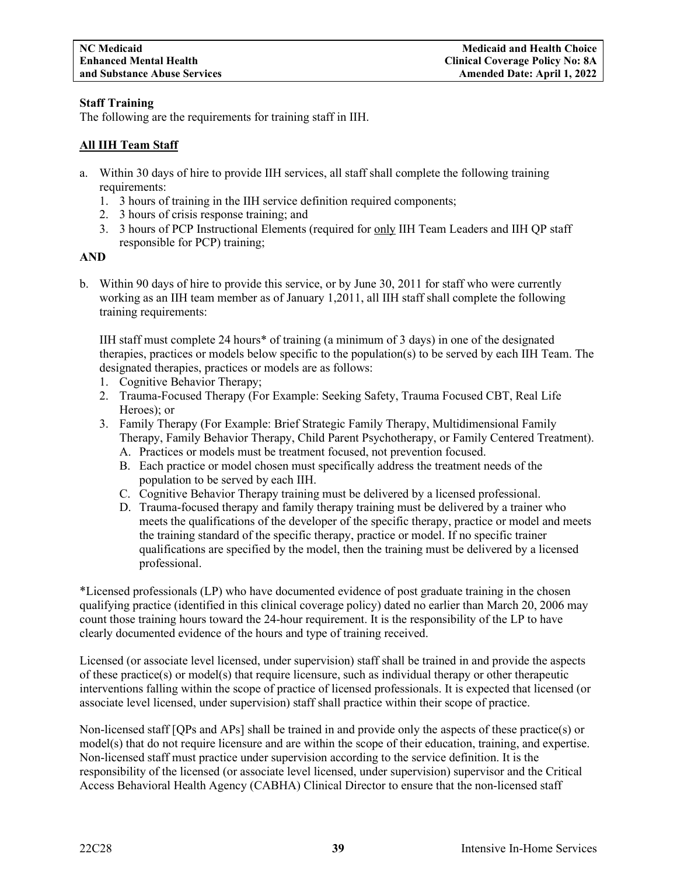# **Staff Training**

The following are the requirements for training staff in IIH.

# **All IIH Team Staff**

- a. Within 30 days of hire to provide IIH services, all staff shall complete the following training requirements:
	- 1. 3 hours of training in the IIH service definition required components;
	- 2. 3 hours of crisis response training; and
	- 3. 3 hours of PCP Instructional Elements (required for only IIH Team Leaders and IIH QP staff responsible for PCP) training;

# **AND**

b. Within 90 days of hire to provide this service, or by June 30, 2011 for staff who were currently working as an IIH team member as of January 1,2011, all IIH staff shall complete the following training requirements:

IIH staff must complete 24 hours\* of training (a minimum of 3 days) in one of the designated therapies, practices or models below specific to the population(s) to be served by each IIH Team. The designated therapies, practices or models are as follows:

- 1. Cognitive Behavior Therapy;
- 2. Trauma-Focused Therapy (For Example: Seeking Safety, Trauma Focused CBT, Real Life Heroes); or
- 3. Family Therapy (For Example: Brief Strategic Family Therapy, Multidimensional Family Therapy, Family Behavior Therapy, Child Parent Psychotherapy, or Family Centered Treatment).
	- A. Practices or models must be treatment focused, not prevention focused.
	- B. Each practice or model chosen must specifically address the treatment needs of the population to be served by each IIH.
	- C. Cognitive Behavior Therapy training must be delivered by a licensed professional.
	- D. Trauma-focused therapy and family therapy training must be delivered by a trainer who meets the qualifications of the developer of the specific therapy, practice or model and meets the training standard of the specific therapy, practice or model. If no specific trainer qualifications are specified by the model, then the training must be delivered by a licensed professional.

\*Licensed professionals (LP) who have documented evidence of post graduate training in the chosen qualifying practice (identified in this clinical coverage policy) dated no earlier than March 20, 2006 may count those training hours toward the 24-hour requirement. It is the responsibility of the LP to have clearly documented evidence of the hours and type of training received.

Licensed (or associate level licensed, under supervision) staff shall be trained in and provide the aspects of these practice(s) or model(s) that require licensure, such as individual therapy or other therapeutic interventions falling within the scope of practice of licensed professionals. It is expected that licensed (or associate level licensed, under supervision) staff shall practice within their scope of practice.

Non-licensed staff [QPs and APs] shall be trained in and provide only the aspects of these practice(s) or model(s) that do not require licensure and are within the scope of their education, training, and expertise. Non-licensed staff must practice under supervision according to the service definition. It is the responsibility of the licensed (or associate level licensed, under supervision) supervisor and the Critical Access Behavioral Health Agency (CABHA) Clinical Director to ensure that the non-licensed staff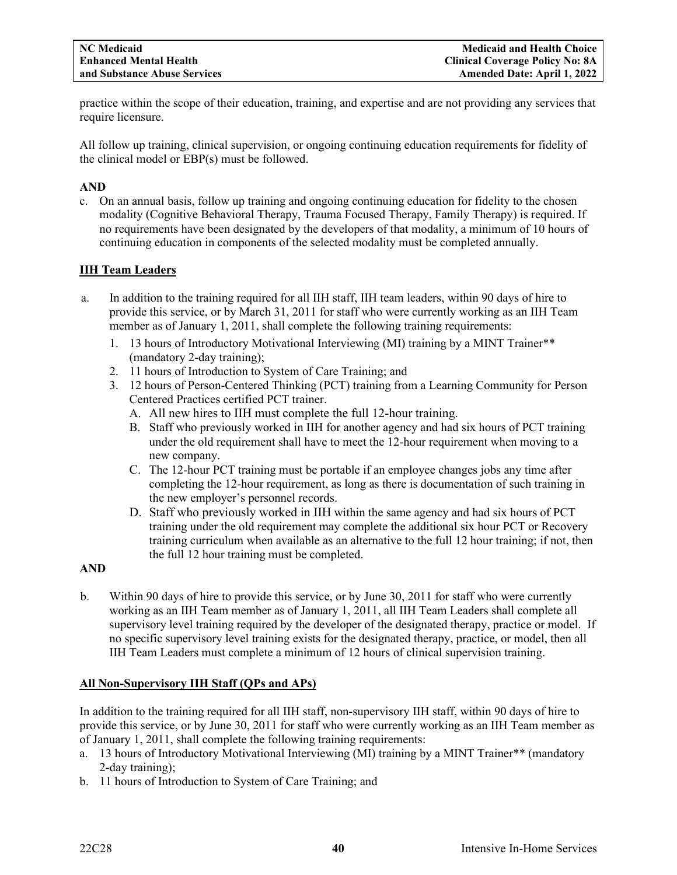practice within the scope of their education, training, and expertise and are not providing any services that require licensure.

All follow up training, clinical supervision, or ongoing continuing education requirements for fidelity of the clinical model or EBP(s) must be followed.

# **AND**

c. On an annual basis, follow up training and ongoing continuing education for fidelity to the chosen modality (Cognitive Behavioral Therapy, Trauma Focused Therapy, Family Therapy) is required. If no requirements have been designated by the developers of that modality, a minimum of 10 hours of continuing education in components of the selected modality must be completed annually.

# **IIH Team Leaders**

- a. In addition to the training required for all IIH staff, IIH team leaders, within 90 days of hire to provide this service, or by March 31, 2011 for staff who were currently working as an IIH Team member as of January 1, 2011, shall complete the following training requirements:
	- 1. 13 hours of Introductory Motivational Interviewing (MI) training by a MINT Trainer\*\* (mandatory 2-day training);
	- 2. 11 hours of Introduction to System of Care Training; and
	- 3. 12 hours of Person-Centered Thinking (PCT) training from a Learning Community for Person Centered Practices certified PCT trainer.
		- A. All new hires to IIH must complete the full 12-hour training.
		- B. Staff who previously worked in IIH for another agency and had six hours of PCT training under the old requirement shall have to meet the 12-hour requirement when moving to a new company.
		- C. The 12-hour PCT training must be portable if an employee changes jobs any time after completing the 12-hour requirement, as long as there is documentation of such training in the new employer's personnel records.
		- D. Staff who previously worked in IIH within the same agency and had six hours of PCT training under the old requirement may complete the additional six hour PCT or Recovery training curriculum when available as an alternative to the full 12 hour training; if not, then the full 12 hour training must be completed.

# **AND**

b. Within 90 days of hire to provide this service, or by June 30, 2011 for staff who were currently working as an IIH Team member as of January 1, 2011, all IIH Team Leaders shall complete all supervisory level training required by the developer of the designated therapy, practice or model. If no specific supervisory level training exists for the designated therapy, practice, or model, then all IIH Team Leaders must complete a minimum of 12 hours of clinical supervision training.

# **All Non-Supervisory IIH Staff (QPs and APs)**

In addition to the training required for all IIH staff, non-supervisory IIH staff, within 90 days of hire to provide this service, or by June 30, 2011 for staff who were currently working as an IIH Team member as of January 1, 2011, shall complete the following training requirements:

- a. 13 hours of Introductory Motivational Interviewing (MI) training by a MINT Trainer\*\* (mandatory 2-day training);
- b. 11 hours of Introduction to System of Care Training; and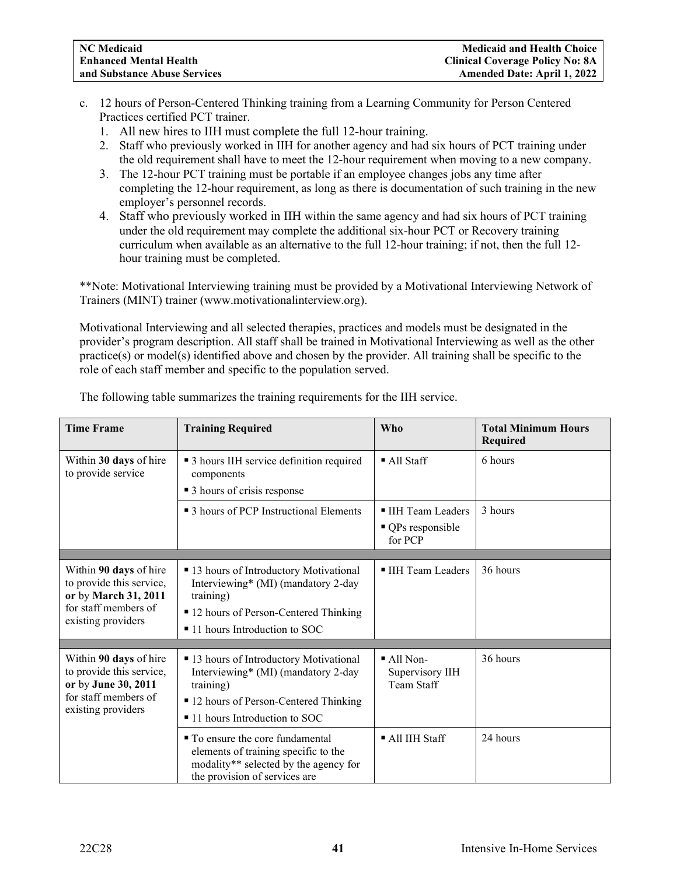- c. 12 hours of Person-Centered Thinking training from a Learning Community for Person Centered Practices certified PCT trainer.
	- 1. All new hires to IIH must complete the full 12-hour training.
	- 2. Staff who previously worked in IIH for another agency and had six hours of PCT training under the old requirement shall have to meet the 12-hour requirement when moving to a new company.
	- 3. The 12-hour PCT training must be portable if an employee changes jobs any time after completing the 12-hour requirement, as long as there is documentation of such training in the new employer's personnel records.
	- 4. Staff who previously worked in IIH within the same agency and had six hours of PCT training under the old requirement may complete the additional six-hour PCT or Recovery training curriculum when available as an alternative to the full 12-hour training; if not, then the full 12 hour training must be completed.

\*\*Note: Motivational Interviewing training must be provided by a Motivational Interviewing Network of Trainers (MINT) trainer (www.motivationalinterview.org).

Motivational Interviewing and all selected therapies, practices and models must be designated in the provider's program description. All staff shall be trained in Motivational Interviewing as well as the other practice(s) or model(s) identified above and chosen by the provider. All training shall be specific to the role of each staff member and specific to the population served.

| <b>Time Frame</b>                                                                                                        | <b>Training Required</b>                                                                                                                                                | <b>Who</b>                                               | <b>Total Minimum Hours</b><br>Required |
|--------------------------------------------------------------------------------------------------------------------------|-------------------------------------------------------------------------------------------------------------------------------------------------------------------------|----------------------------------------------------------|----------------------------------------|
| Within 30 days of hire<br>to provide service                                                                             | • 3 hours IIH service definition required<br>components<br>■ 3 hours of crisis response                                                                                 | $\blacksquare$ All Staff                                 | 6 hours                                |
|                                                                                                                          | • 3 hours of PCP Instructional Elements                                                                                                                                 | IIH Team Leaders<br>• QPs responsible<br>for PCP         | 3 hours                                |
|                                                                                                                          |                                                                                                                                                                         |                                                          |                                        |
| Within 90 days of hire<br>to provide this service,<br>or by March 31, 2011<br>for staff members of<br>existing providers | ■ 13 hours of Introductory Motivational<br>Interviewing* (MI) (mandatory 2-day<br>training)<br>■ 12 hours of Person-Centered Thinking<br>■ 11 hours Introduction to SOC | ■ IIH Team Leaders                                       | 36 hours                               |
|                                                                                                                          |                                                                                                                                                                         |                                                          |                                        |
| Within 90 days of hire<br>to provide this service,<br>or by June 30, 2011<br>for staff members of<br>existing providers  | ■ 13 hours of Introductory Motivational<br>Interviewing* (MI) (mandatory 2-day<br>training)<br>■ 12 hours of Person-Centered Thinking<br>■ 11 hours Introduction to SOC | $\blacksquare$ All Non-<br>Supervisory IIH<br>Team Staff | 36 hours                               |
|                                                                                                                          | ■ To ensure the core fundamental<br>elements of training specific to the<br>modality** selected by the agency for<br>the provision of services are                      | $\blacksquare$ All IIH Staff                             | 24 hours                               |

The following table summarizes the training requirements for the IIH service.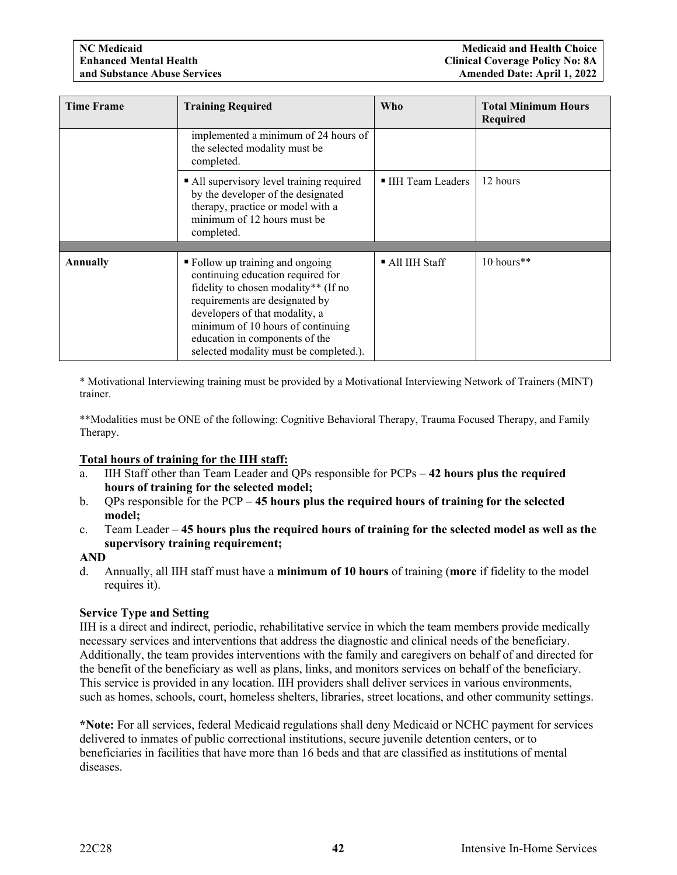| <b>Time Frame</b> | <b>Training Required</b>                                                                                                                                                                                                                                                                           | <b>Who</b>         | <b>Total Minimum Hours</b><br><b>Required</b> |
|-------------------|----------------------------------------------------------------------------------------------------------------------------------------------------------------------------------------------------------------------------------------------------------------------------------------------------|--------------------|-----------------------------------------------|
|                   | implemented a minimum of 24 hours of<br>the selected modality must be<br>completed.                                                                                                                                                                                                                |                    |                                               |
|                   | • All supervisory level training required<br>by the developer of the designated<br>therapy, practice or model with a<br>minimum of 12 hours must be<br>completed.                                                                                                                                  | ■ IIH Team Leaders | 12 hours                                      |
| Annually          | • Follow up training and ongoing<br>continuing education required for<br>fidelity to chosen modality** (If no<br>requirements are designated by<br>developers of that modality, a<br>minimum of 10 hours of continuing<br>education in components of the<br>selected modality must be completed.). | ■ All IIH Staff    | 10 hours**                                    |

\* Motivational Interviewing training must be provided by a Motivational Interviewing Network of Trainers (MINT) trainer.

\*\*Modalities must be ONE of the following: Cognitive Behavioral Therapy, Trauma Focused Therapy, and Family Therapy.

# **Total hours of training for the IIH staff:**

- a. IIH Staff other than Team Leader and QPs responsible for PCPs **42 hours plus the required hours of training for the selected model;**
- b. QPs responsible for the PCP **45 hours plus the required hours of training for the selected model;**
- c. Team Leader **45 hours plus the required hours of training for the selected model as well as the supervisory training requirement;**

# **AND**

d. Annually, all IIH staff must have a **minimum of 10 hours** of training (**more** if fidelity to the model requires it).

# **Service Type and Setting**

IIH is a direct and indirect, periodic, rehabilitative service in which the team members provide medically necessary services and interventions that address the diagnostic and clinical needs of the beneficiary. Additionally, the team provides interventions with the family and caregivers on behalf of and directed for the benefit of the beneficiary as well as plans, links, and monitors services on behalf of the beneficiary. This service is provided in any location. IIH providers shall deliver services in various environments, such as homes, schools, court, homeless shelters, libraries, street locations, and other community settings.

**\*Note:** For all services, federal Medicaid regulations shall deny Medicaid or NCHC payment for services delivered to inmates of public correctional institutions, secure juvenile detention centers, or to beneficiaries in facilities that have more than 16 beds and that are classified as institutions of mental diseases.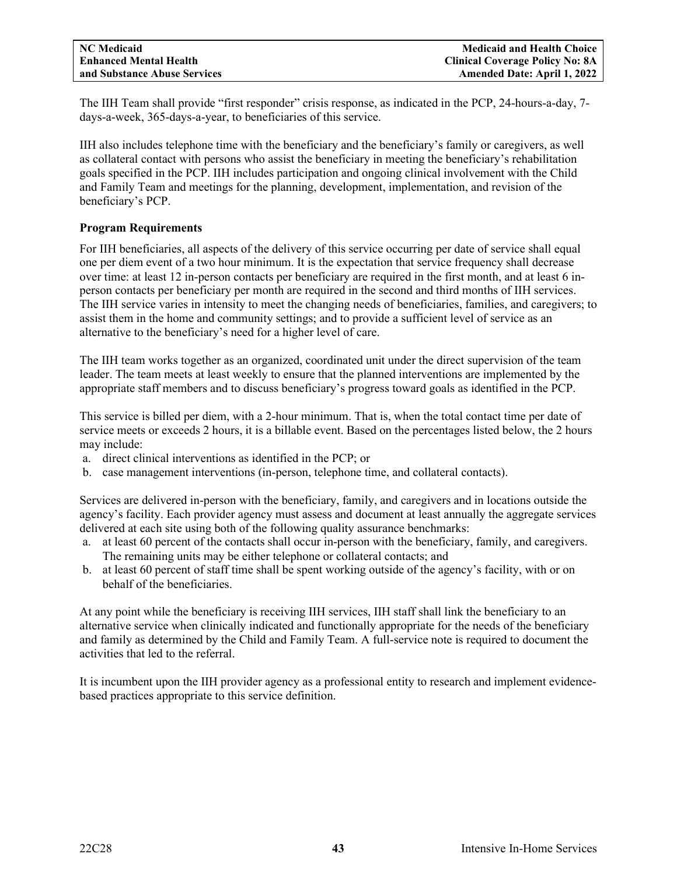The IIH Team shall provide "first responder" crisis response, as indicated in the PCP, 24-hours-a-day, 7 days-a-week, 365-days-a-year, to beneficiaries of this service.

IIH also includes telephone time with the beneficiary and the beneficiary's family or caregivers, as well as collateral contact with persons who assist the beneficiary in meeting the beneficiary's rehabilitation goals specified in the PCP. IIH includes participation and ongoing clinical involvement with the Child and Family Team and meetings for the planning, development, implementation, and revision of the beneficiary's PCP.

# **Program Requirements**

For IIH beneficiaries, all aspects of the delivery of this service occurring per date of service shall equal one per diem event of a two hour minimum. It is the expectation that service frequency shall decrease over time: at least 12 in-person contacts per beneficiary are required in the first month, and at least 6 inperson contacts per beneficiary per month are required in the second and third months of IIH services. The IIH service varies in intensity to meet the changing needs of beneficiaries, families, and caregivers; to assist them in the home and community settings; and to provide a sufficient level of service as an alternative to the beneficiary's need for a higher level of care.

The IIH team works together as an organized, coordinated unit under the direct supervision of the team leader. The team meets at least weekly to ensure that the planned interventions are implemented by the appropriate staff members and to discuss beneficiary's progress toward goals as identified in the PCP.

This service is billed per diem, with a 2-hour minimum. That is, when the total contact time per date of service meets or exceeds 2 hours, it is a billable event. Based on the percentages listed below, the 2 hours may include:

- a. direct clinical interventions as identified in the PCP; or
- b. case management interventions (in-person, telephone time, and collateral contacts).

Services are delivered in-person with the beneficiary, family, and caregivers and in locations outside the agency's facility. Each provider agency must assess and document at least annually the aggregate services delivered at each site using both of the following quality assurance benchmarks:

- a. at least 60 percent of the contacts shall occur in-person with the beneficiary, family, and caregivers. The remaining units may be either telephone or collateral contacts; and
- b. at least 60 percent of staff time shall be spent working outside of the agency's facility, with or on behalf of the beneficiaries.

At any point while the beneficiary is receiving IIH services, IIH staff shall link the beneficiary to an alternative service when clinically indicated and functionally appropriate for the needs of the beneficiary and family as determined by the Child and Family Team. A full-service note is required to document the activities that led to the referral.

It is incumbent upon the IIH provider agency as a professional entity to research and implement evidencebased practices appropriate to this service definition.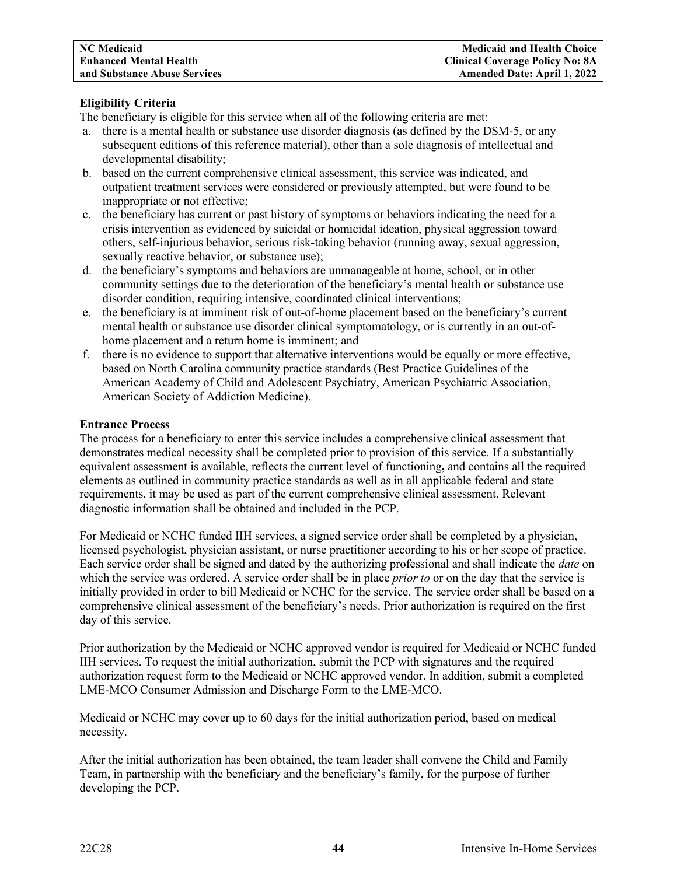# **Eligibility Criteria**

The beneficiary is eligible for this service when all of the following criteria are met:

- a. there is a mental health or substance use disorder diagnosis (as defined by the DSM-5, or any subsequent editions of this reference material), other than a sole diagnosis of intellectual and developmental disability;
- b. based on the current comprehensive clinical assessment, this service was indicated, and outpatient treatment services were considered or previously attempted, but were found to be inappropriate or not effective;
- c. the beneficiary has current or past history of symptoms or behaviors indicating the need for a crisis intervention as evidenced by suicidal or homicidal ideation, physical aggression toward others, self-injurious behavior, serious risk-taking behavior (running away, sexual aggression, sexually reactive behavior, or substance use);
- d. the beneficiary's symptoms and behaviors are unmanageable at home, school, or in other community settings due to the deterioration of the beneficiary's mental health or substance use disorder condition, requiring intensive, coordinated clinical interventions;
- e. the beneficiary is at imminent risk of out-of-home placement based on the beneficiary's current mental health or substance use disorder clinical symptomatology, or is currently in an out-ofhome placement and a return home is imminent; and
- f. there is no evidence to support that alternative interventions would be equally or more effective, based on North Carolina community practice standards (Best Practice Guidelines of the American Academy of Child and Adolescent Psychiatry, American Psychiatric Association, American Society of Addiction Medicine).

#### **Entrance Process**

The process for a beneficiary to enter this service includes a comprehensive clinical assessment that demonstrates medical necessity shall be completed prior to provision of this service. If a substantially equivalent assessment is available, reflects the current level of functioning**,** and contains all the required elements as outlined in community practice standards as well as in all applicable federal and state requirements, it may be used as part of the current comprehensive clinical assessment. Relevant diagnostic information shall be obtained and included in the PCP.

For Medicaid or NCHC funded IIH services, a signed service order shall be completed by a physician, licensed psychologist, physician assistant, or nurse practitioner according to his or her scope of practice. Each service order shall be signed and dated by the authorizing professional and shall indicate the *date* on which the service was ordered. A service order shall be in place *prior to* or on the day that the service is initially provided in order to bill Medicaid or NCHC for the service. The service order shall be based on a comprehensive clinical assessment of the beneficiary's needs. Prior authorization is required on the first day of this service.

Prior authorization by the Medicaid or NCHC approved vendor is required for Medicaid or NCHC funded IIH services. To request the initial authorization, submit the PCP with signatures and the required authorization request form to the Medicaid or NCHC approved vendor. In addition, submit a completed LME-MCO Consumer Admission and Discharge Form to the LME-MCO.

Medicaid or NCHC may cover up to 60 days for the initial authorization period, based on medical necessity.

After the initial authorization has been obtained, the team leader shall convene the Child and Family Team, in partnership with the beneficiary and the beneficiary's family, for the purpose of further developing the PCP.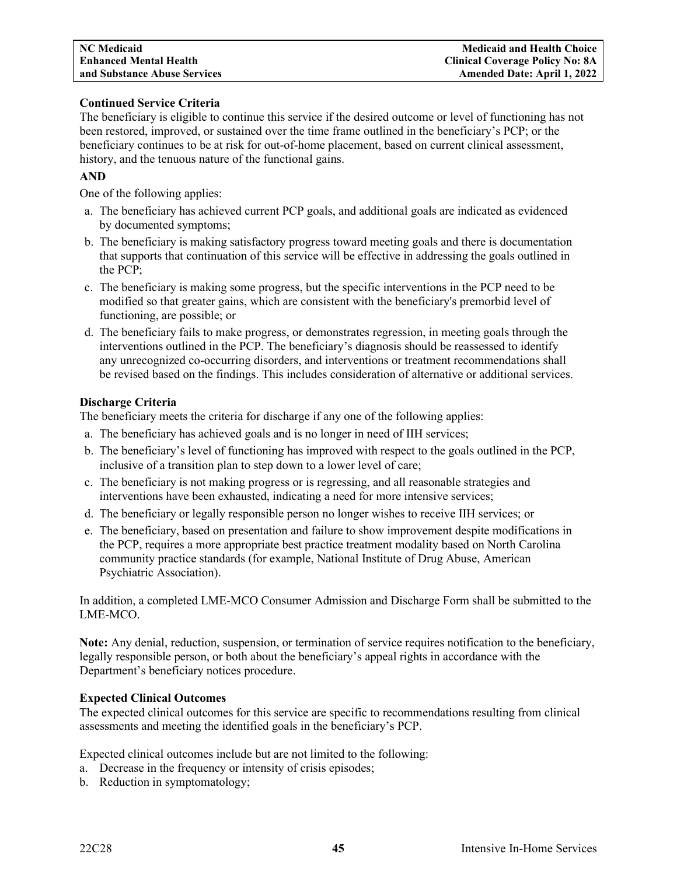# **Continued Service Criteria**

The beneficiary is eligible to continue this service if the desired outcome or level of functioning has not been restored, improved, or sustained over the time frame outlined in the beneficiary's PCP; or the beneficiary continues to be at risk for out-of-home placement, based on current clinical assessment, history, and the tenuous nature of the functional gains.

# **AND**

One of the following applies:

- a. The beneficiary has achieved current PCP goals, and additional goals are indicated as evidenced by documented symptoms;
- b. The beneficiary is making satisfactory progress toward meeting goals and there is documentation that supports that continuation of this service will be effective in addressing the goals outlined in the PCP;
- c. The beneficiary is making some progress, but the specific interventions in the PCP need to be modified so that greater gains, which are consistent with the beneficiary's premorbid level of functioning, are possible; or
- d. The beneficiary fails to make progress, or demonstrates regression, in meeting goals through the interventions outlined in the PCP. The beneficiary's diagnosis should be reassessed to identify any unrecognized co-occurring disorders, and interventions or treatment recommendations shall be revised based on the findings. This includes consideration of alternative or additional services.

# **Discharge Criteria**

The beneficiary meets the criteria for discharge if any one of the following applies:

- a. The beneficiary has achieved goals and is no longer in need of IIH services;
- b. The beneficiary's level of functioning has improved with respect to the goals outlined in the PCP, inclusive of a transition plan to step down to a lower level of care;
- c. The beneficiary is not making progress or is regressing, and all reasonable strategies and interventions have been exhausted, indicating a need for more intensive services;
- d. The beneficiary or legally responsible person no longer wishes to receive IIH services; or
- e. The beneficiary, based on presentation and failure to show improvement despite modifications in the PCP, requires a more appropriate best practice treatment modality based on North Carolina community practice standards (for example, National Institute of Drug Abuse, American Psychiatric Association).

In addition, a completed LME-MCO Consumer Admission and Discharge Form shall be submitted to the LME-MCO.

**Note:** Any denial, reduction, suspension, or termination of service requires notification to the beneficiary, legally responsible person, or both about the beneficiary's appeal rights in accordance with the Department's beneficiary notices procedure.

# **Expected Clinical Outcomes**

The expected clinical outcomes for this service are specific to recommendations resulting from clinical assessments and meeting the identified goals in the beneficiary's PCP.

Expected clinical outcomes include but are not limited to the following:

- a. Decrease in the frequency or intensity of crisis episodes;
- b. Reduction in symptomatology;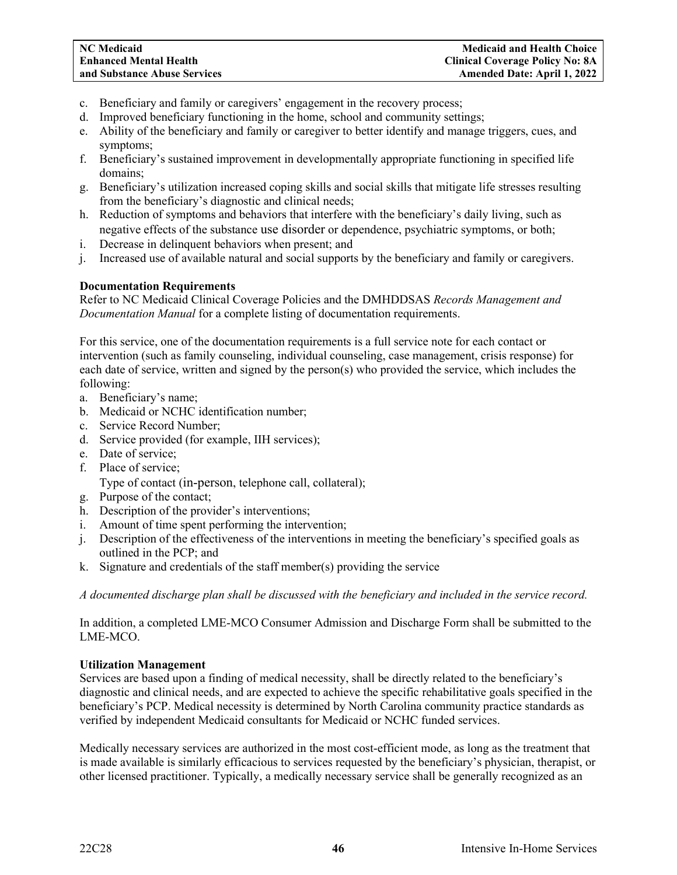- c. Beneficiary and family or caregivers' engagement in the recovery process;
- d. Improved beneficiary functioning in the home, school and community settings;
- e. Ability of the beneficiary and family or caregiver to better identify and manage triggers, cues, and symptoms;
- f. Beneficiary's sustained improvement in developmentally appropriate functioning in specified life domains;
- g. Beneficiary's utilization increased coping skills and social skills that mitigate life stresses resulting from the beneficiary's diagnostic and clinical needs;
- h. Reduction of symptoms and behaviors that interfere with the beneficiary's daily living, such as negative effects of the substance use disorder or dependence, psychiatric symptoms, or both;
- i. Decrease in delinquent behaviors when present; and
- j. Increased use of available natural and social supports by the beneficiary and family or caregivers.

# **Documentation Requirements**

Refer to NC Medicaid Clinical Coverage Policies and the DMHDDSAS *Records Management and Documentation Manual* for a complete listing of documentation requirements.

For this service, one of the documentation requirements is a full service note for each contact or intervention (such as family counseling, individual counseling, case management, crisis response) for each date of service, written and signed by the person(s) who provided the service, which includes the following:

- a. Beneficiary's name;
- b. Medicaid or NCHC identification number;
- c. Service Record Number;
- d. Service provided (for example, IIH services);
- e. Date of service;
- f. Place of service;
	- Type of contact (in-person, telephone call, collateral);
- g. Purpose of the contact;
- h. Description of the provider's interventions;
- i. Amount of time spent performing the intervention;
- j. Description of the effectiveness of the interventions in meeting the beneficiary's specified goals as outlined in the PCP; and
- k. Signature and credentials of the staff member(s) providing the service

*A documented discharge plan shall be discussed with the beneficiary and included in the service record.*

In addition, a completed LME-MCO Consumer Admission and Discharge Form shall be submitted to the LME-MCO.

# **Utilization Management**

Services are based upon a finding of medical necessity, shall be directly related to the beneficiary's diagnostic and clinical needs, and are expected to achieve the specific rehabilitative goals specified in the beneficiary's PCP. Medical necessity is determined by North Carolina community practice standards as verified by independent Medicaid consultants for Medicaid or NCHC funded services.

Medically necessary services are authorized in the most cost-efficient mode, as long as the treatment that is made available is similarly efficacious to services requested by the beneficiary's physician, therapist, or other licensed practitioner. Typically, a medically necessary service shall be generally recognized as an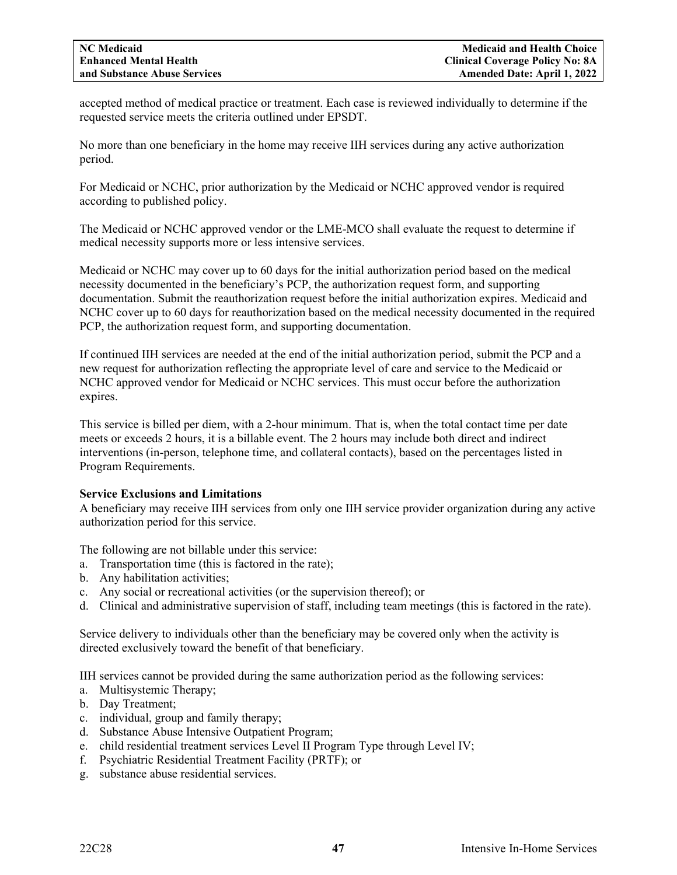accepted method of medical practice or treatment. Each case is reviewed individually to determine if the requested service meets the criteria outlined under EPSDT.

No more than one beneficiary in the home may receive IIH services during any active authorization period.

For Medicaid or NCHC, prior authorization by the Medicaid or NCHC approved vendor is required according to published policy.

The Medicaid or NCHC approved vendor or the LME-MCO shall evaluate the request to determine if medical necessity supports more or less intensive services.

Medicaid or NCHC may cover up to 60 days for the initial authorization period based on the medical necessity documented in the beneficiary's PCP, the authorization request form, and supporting documentation. Submit the reauthorization request before the initial authorization expires. Medicaid and NCHC cover up to 60 days for reauthorization based on the medical necessity documented in the required PCP, the authorization request form, and supporting documentation.

If continued IIH services are needed at the end of the initial authorization period, submit the PCP and a new request for authorization reflecting the appropriate level of care and service to the Medicaid or NCHC approved vendor for Medicaid or NCHC services. This must occur before the authorization expires.

This service is billed per diem, with a 2-hour minimum. That is, when the total contact time per date meets or exceeds 2 hours, it is a billable event. The 2 hours may include both direct and indirect interventions (in-person, telephone time, and collateral contacts), based on the percentages listed in Program Requirements.

# **Service Exclusions and Limitations**

A beneficiary may receive IIH services from only one IIH service provider organization during any active authorization period for this service.

The following are not billable under this service:

- a. Transportation time (this is factored in the rate);
- b. Any habilitation activities;
- c. Any social or recreational activities (or the supervision thereof); or
- d. Clinical and administrative supervision of staff, including team meetings (this is factored in the rate).

Service delivery to individuals other than the beneficiary may be covered only when the activity is directed exclusively toward the benefit of that beneficiary.

IIH services cannot be provided during the same authorization period as the following services:

- a. Multisystemic Therapy;
- b. Day Treatment;
- c. individual, group and family therapy;
- d. Substance Abuse Intensive Outpatient Program;
- e. child residential treatment services Level II Program Type through Level IV;
- f. Psychiatric Residential Treatment Facility (PRTF); or
- g. substance abuse residential services.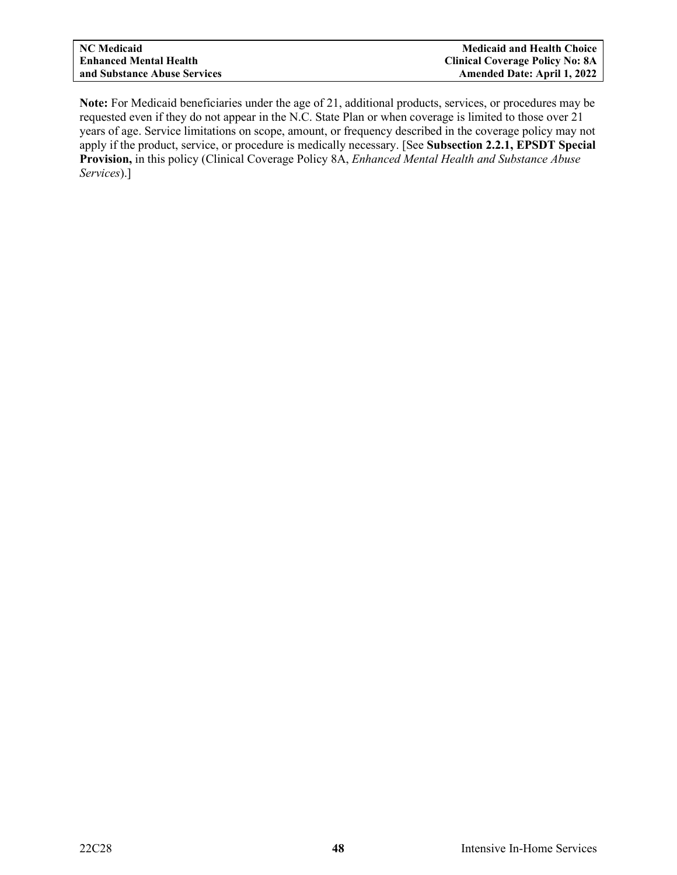**Note:** For Medicaid beneficiaries under the age of 21, additional products, services, or procedures may be requested even if they do not appear in the N.C. State Plan or when coverage is limited to those over 21 years of age. Service limitations on scope, amount, or frequency described in the coverage policy may not apply if the product, service, or procedure is medically necessary. [See **Subsection 2.2.1, EPSDT Special Provision,** in this policy (Clinical Coverage Policy 8A, *Enhanced Mental Health and Substance Abuse Services*).]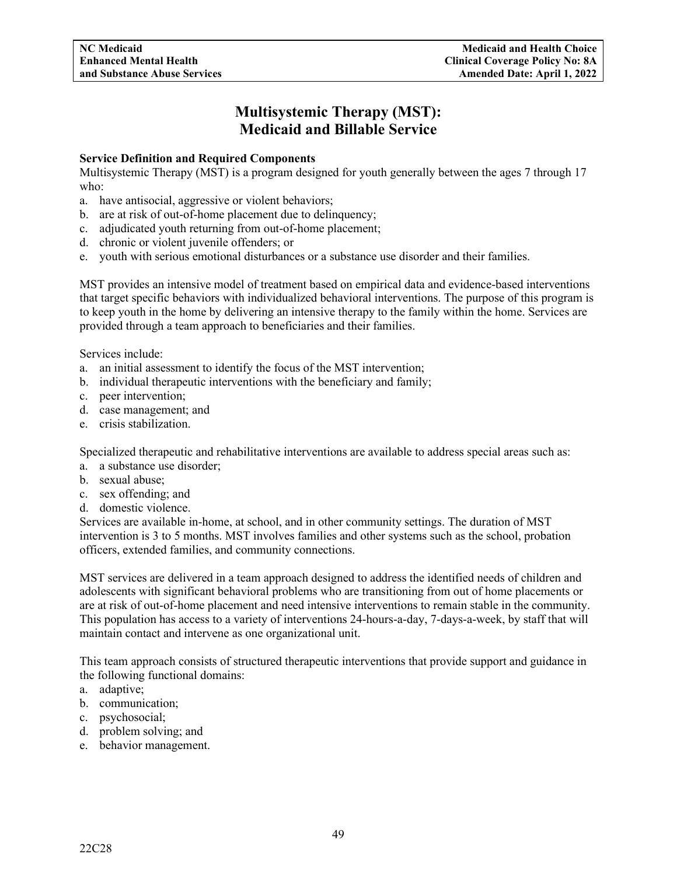# **Multisystemic Therapy (MST): Medicaid and Billable Service**

# **Service Definition and Required Components**

Multisystemic Therapy (MST) is a program designed for youth generally between the ages 7 through 17 who:

- a. have antisocial, aggressive or violent behaviors;
- b. are at risk of out-of-home placement due to delinquency;
- c. adjudicated youth returning from out-of-home placement;
- d. chronic or violent juvenile offenders; or
- e. youth with serious emotional disturbances or a substance use disorder and their families.

MST provides an intensive model of treatment based on empirical data and evidence-based interventions that target specific behaviors with individualized behavioral interventions. The purpose of this program is to keep youth in the home by delivering an intensive therapy to the family within the home. Services are provided through a team approach to beneficiaries and their families.

Services include:

- a. an initial assessment to identify the focus of the MST intervention;
- b. individual therapeutic interventions with the beneficiary and family;
- c. peer intervention;
- d. case management; and
- e. crisis stabilization.

Specialized therapeutic and rehabilitative interventions are available to address special areas such as:

- a. a substance use disorder;
- b. sexual abuse;
- c. sex offending; and
- d. domestic violence.

Services are available in-home, at school, and in other community settings. The duration of MST intervention is 3 to 5 months. MST involves families and other systems such as the school, probation officers, extended families, and community connections.

MST services are delivered in a team approach designed to address the identified needs of children and adolescents with significant behavioral problems who are transitioning from out of home placements or are at risk of out-of-home placement and need intensive interventions to remain stable in the community. This population has access to a variety of interventions 24-hours-a-day, 7-days-a-week, by staff that will maintain contact and intervene as one organizational unit.

This team approach consists of structured therapeutic interventions that provide support and guidance in the following functional domains:

- a. adaptive;
- b. communication;
- c. psychosocial;
- d. problem solving; and
- e. behavior management.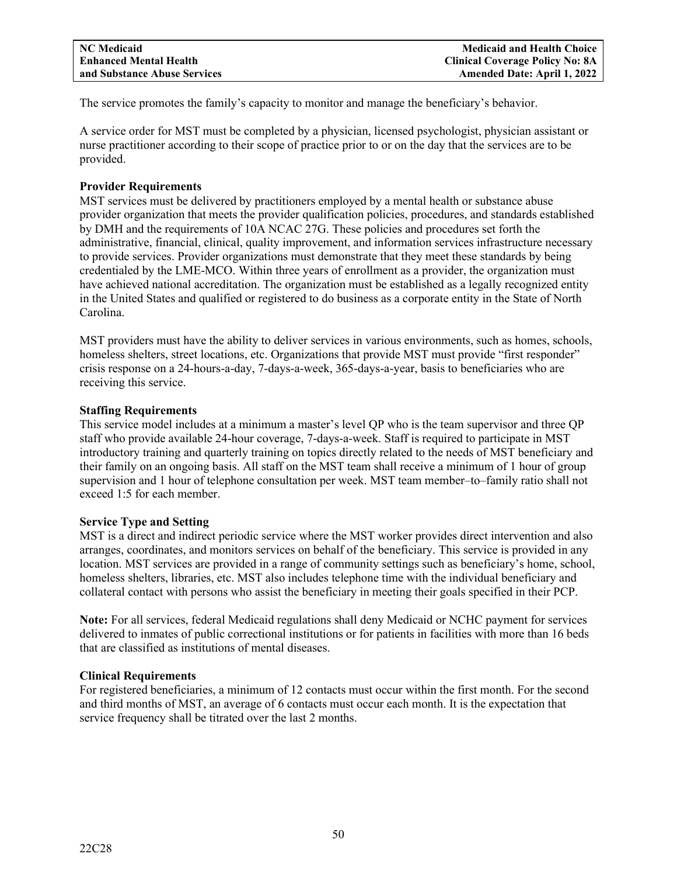The service promotes the family's capacity to monitor and manage the beneficiary's behavior.

A service order for MST must be completed by a physician, licensed psychologist, physician assistant or nurse practitioner according to their scope of practice prior to or on the day that the services are to be provided.

# **Provider Requirements**

MST services must be delivered by practitioners employed by a mental health or substance abuse provider organization that meets the provider qualification policies, procedures, and standards established by DMH and the requirements of 10A NCAC 27G. These policies and procedures set forth the administrative, financial, clinical, quality improvement, and information services infrastructure necessary to provide services. Provider organizations must demonstrate that they meet these standards by being credentialed by the LME-MCO. Within three years of enrollment as a provider, the organization must have achieved national accreditation. The organization must be established as a legally recognized entity in the United States and qualified or registered to do business as a corporate entity in the State of North Carolina.

MST providers must have the ability to deliver services in various environments, such as homes, schools, homeless shelters, street locations, etc. Organizations that provide MST must provide "first responder" crisis response on a 24-hours-a-day, 7-days-a-week, 365-days-a-year, basis to beneficiaries who are receiving this service.

# **Staffing Requirements**

This service model includes at a minimum a master's level QP who is the team supervisor and three QP staff who provide available 24-hour coverage, 7-days-a-week. Staff is required to participate in MST introductory training and quarterly training on topics directly related to the needs of MST beneficiary and their family on an ongoing basis. All staff on the MST team shall receive a minimum of 1 hour of group supervision and 1 hour of telephone consultation per week. MST team member–to–family ratio shall not exceed 1:5 for each member.

# **Service Type and Setting**

MST is a direct and indirect periodic service where the MST worker provides direct intervention and also arranges, coordinates, and monitors services on behalf of the beneficiary. This service is provided in any location. MST services are provided in a range of community settings such as beneficiary's home, school, homeless shelters, libraries, etc. MST also includes telephone time with the individual beneficiary and collateral contact with persons who assist the beneficiary in meeting their goals specified in their PCP.

**Note:** For all services, federal Medicaid regulations shall deny Medicaid or NCHC payment for services delivered to inmates of public correctional institutions or for patients in facilities with more than 16 beds that are classified as institutions of mental diseases.

# **Clinical Requirements**

For registered beneficiaries, a minimum of 12 contacts must occur within the first month. For the second and third months of MST, an average of 6 contacts must occur each month. It is the expectation that service frequency shall be titrated over the last 2 months.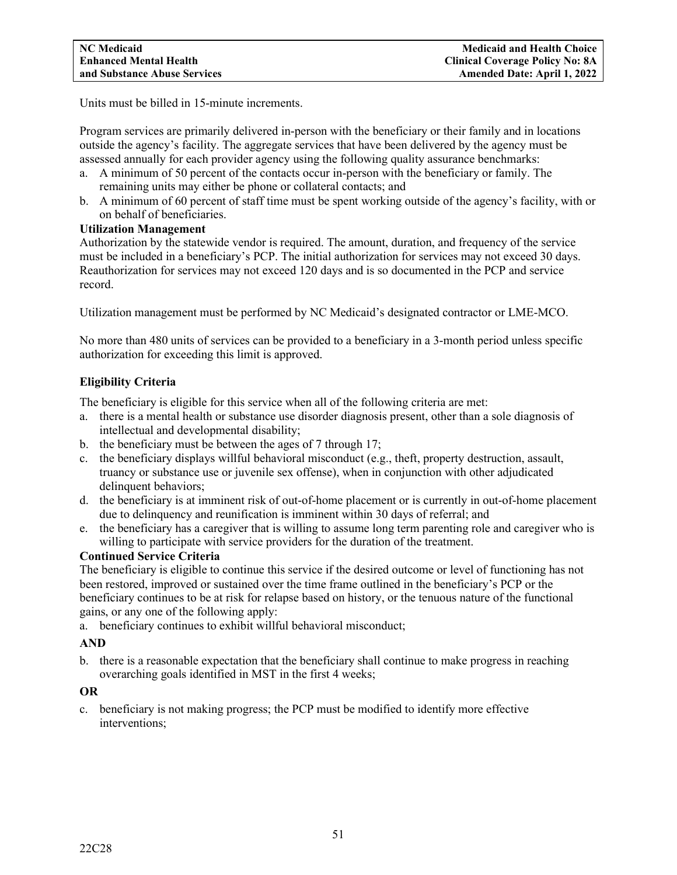Units must be billed in 15-minute increments.

Program services are primarily delivered in-person with the beneficiary or their family and in locations outside the agency's facility. The aggregate services that have been delivered by the agency must be assessed annually for each provider agency using the following quality assurance benchmarks:

- a. A minimum of 50 percent of the contacts occur in-person with the beneficiary or family. The remaining units may either be phone or collateral contacts; and
- b. A minimum of 60 percent of staff time must be spent working outside of the agency's facility, with or on behalf of beneficiaries.

# **Utilization Management**

Authorization by the statewide vendor is required. The amount, duration, and frequency of the service must be included in a beneficiary's PCP. The initial authorization for services may not exceed 30 days. Reauthorization for services may not exceed 120 days and is so documented in the PCP and service record.

Utilization management must be performed by NC Medicaid's designated contractor or LME-MCO.

No more than 480 units of services can be provided to a beneficiary in a 3-month period unless specific authorization for exceeding this limit is approved.

# **Eligibility Criteria**

The beneficiary is eligible for this service when all of the following criteria are met:

- a. there is a mental health or substance use disorder diagnosis present, other than a sole diagnosis of intellectual and developmental disability;
- b. the beneficiary must be between the ages of 7 through 17;
- c. the beneficiary displays willful behavioral misconduct  $(e.g., the\text{fft}, property destruction, assault,$ truancy or substance use or juvenile sex offense), when in conjunction with other adjudicated delinquent behaviors;
- d. the beneficiary is at imminent risk of out-of-home placement or is currently in out-of-home placement due to delinquency and reunification is imminent within 30 days of referral; and
- e. the beneficiary has a caregiver that is willing to assume long term parenting role and caregiver who is willing to participate with service providers for the duration of the treatment.

# **Continued Service Criteria**

The beneficiary is eligible to continue this service if the desired outcome or level of functioning has not been restored, improved or sustained over the time frame outlined in the beneficiary's PCP or the beneficiary continues to be at risk for relapse based on history, or the tenuous nature of the functional gains, or any one of the following apply:

a. beneficiary continues to exhibit willful behavioral misconduct;

# **AND**

b. there is a reasonable expectation that the beneficiary shall continue to make progress in reaching overarching goals identified in MST in the first 4 weeks;

# **OR**

c. beneficiary is not making progress; the PCP must be modified to identify more effective interventions;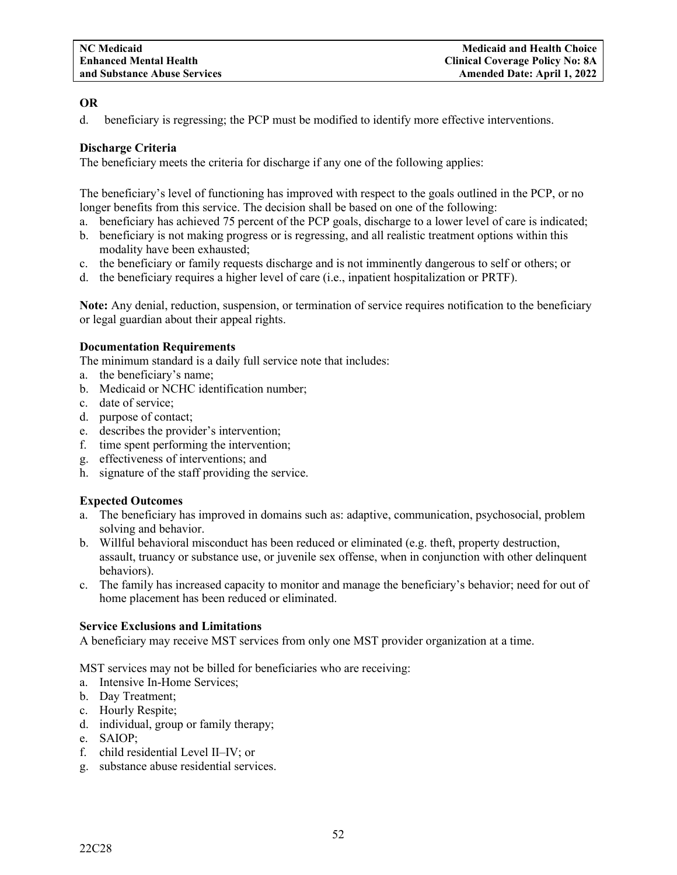# **OR**

d. beneficiary is regressing; the PCP must be modified to identify more effective interventions.

# **Discharge Criteria**

The beneficiary meets the criteria for discharge if any one of the following applies:

The beneficiary's level of functioning has improved with respect to the goals outlined in the PCP, or no longer benefits from this service. The decision shall be based on one of the following:

- a. beneficiary has achieved 75 percent of the PCP goals, discharge to a lower level of care is indicated;
- b. beneficiary is not making progress or is regressing, and all realistic treatment options within this modality have been exhausted;
- c. the beneficiary or family requests discharge and is not imminently dangerous to self or others; or
- d. the beneficiary requires a higher level of care (i.e., inpatient hospitalization or PRTF).

**Note:** Any denial, reduction, suspension, or termination of service requires notification to the beneficiary or legal guardian about their appeal rights.

# **Documentation Requirements**

The minimum standard is a daily full service note that includes:

- a. the beneficiary's name;
- b. Medicaid or NCHC identification number;
- c. date of service;
- d. purpose of contact;
- e. describes the provider's intervention;
- f. time spent performing the intervention;
- g. effectiveness of interventions; and
- h. signature of the staff providing the service.

# **Expected Outcomes**

- a. The beneficiary has improved in domains such as: adaptive, communication, psychosocial, problem solving and behavior.
- b. Willful behavioral misconduct has been reduced or eliminated (e.g. theft, property destruction, assault, truancy or substance use, or juvenile sex offense, when in conjunction with other delinquent behaviors).
- c. The family has increased capacity to monitor and manage the beneficiary's behavior; need for out of home placement has been reduced or eliminated.

# **Service Exclusions and Limitations**

A beneficiary may receive MST services from only one MST provider organization at a time.

MST services may not be billed for beneficiaries who are receiving:

- a. Intensive In-Home Services;
- b. Day Treatment;
- c. Hourly Respite;
- d. individual, group or family therapy;
- e. SAIOP;
- f. child residential Level II–IV; or
- g. substance abuse residential services.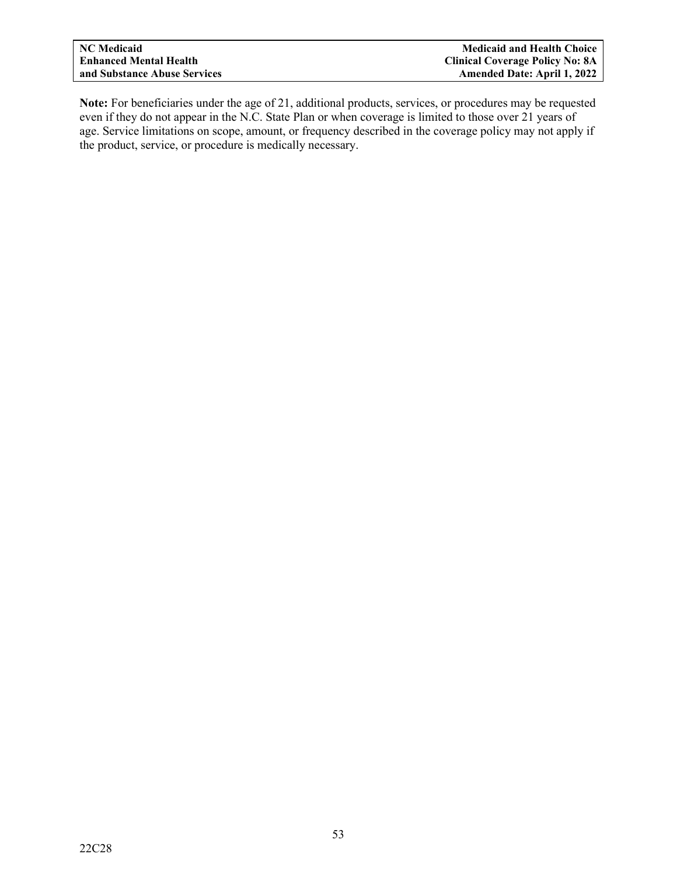**Note:** For beneficiaries under the age of 21, additional products, services, or procedures may be requested even if they do not appear in the N.C. State Plan or when coverage is limited to those over 21 years of age. Service limitations on scope, amount, or frequency described in the coverage policy may not apply if the product, service, or procedure is medically necessary.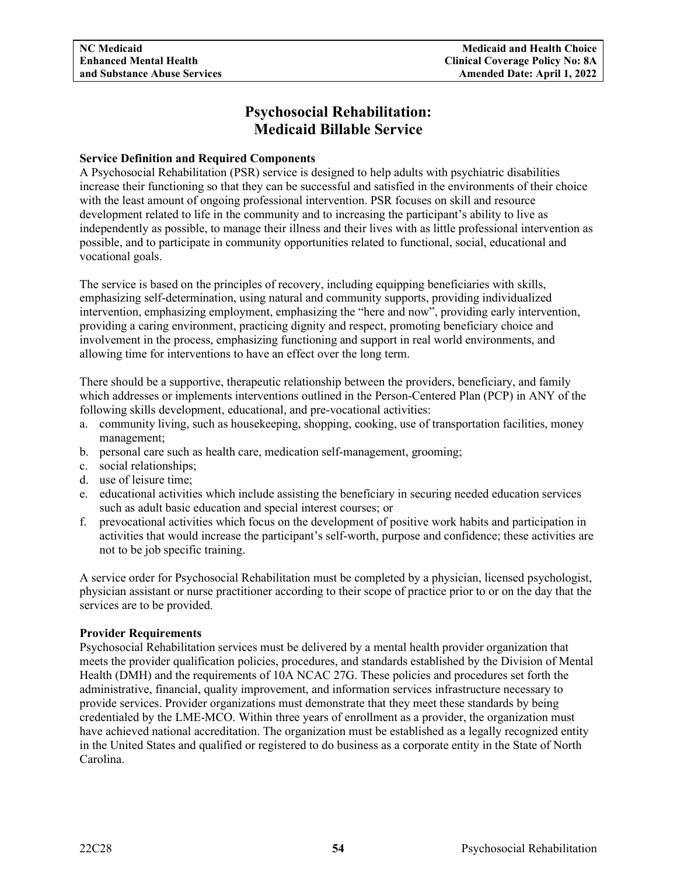# **Psychosocial Rehabilitation: Medicaid Billable Service**

# **Service Definition and Required Components**

A Psychosocial Rehabilitation (PSR) service is designed to help adults with psychiatric disabilities increase their functioning so that they can be successful and satisfied in the environments of their choice with the least amount of ongoing professional intervention. PSR focuses on skill and resource development related to life in the community and to increasing the participant's ability to live as independently as possible, to manage their illness and their lives with as little professional intervention as possible, and to participate in community opportunities related to functional, social, educational and vocational goals.

The service is based on the principles of recovery, including equipping beneficiaries with skills, emphasizing self-determination, using natural and community supports, providing individualized intervention, emphasizing employment, emphasizing the "here and now", providing early intervention, providing a caring environment, practicing dignity and respect, promoting beneficiary choice and involvement in the process, emphasizing functioning and support in real world environments, and allowing time for interventions to have an effect over the long term.

There should be a supportive, therapeutic relationship between the providers, beneficiary, and family which addresses or implements interventions outlined in the Person-Centered Plan (PCP) in ANY of the following skills development, educational, and pre-vocational activities:

- a. community living, such as housekeeping, shopping, cooking, use of transportation facilities, money management;
- b. personal care such as health care, medication self-management, grooming;
- c. social relationships;
- d. use of leisure time;
- e. educational activities which include assisting the beneficiary in securing needed education services such as adult basic education and special interest courses; or
- f. prevocational activities which focus on the development of positive work habits and participation in activities that would increase the participant's self-worth, purpose and confidence; these activities are not to be job specific training.

A service order for Psychosocial Rehabilitation must be completed by a physician, licensed psychologist, physician assistant or nurse practitioner according to their scope of practice prior to or on the day that the services are to be provided.

# **Provider Requirements**

Psychosocial Rehabilitation services must be delivered by a mental health provider organization that meets the provider qualification policies, procedures, and standards established by the Division of Mental Health (DMH) and the requirements of 10A NCAC 27G. These policies and procedures set forth the administrative, financial, quality improvement, and information services infrastructure necessary to provide services. Provider organizations must demonstrate that they meet these standards by being credentialed by the LME-MCO. Within three years of enrollment as a provider, the organization must have achieved national accreditation. The organization must be established as a legally recognized entity in the United States and qualified or registered to do business as a corporate entity in the State of North Carolina.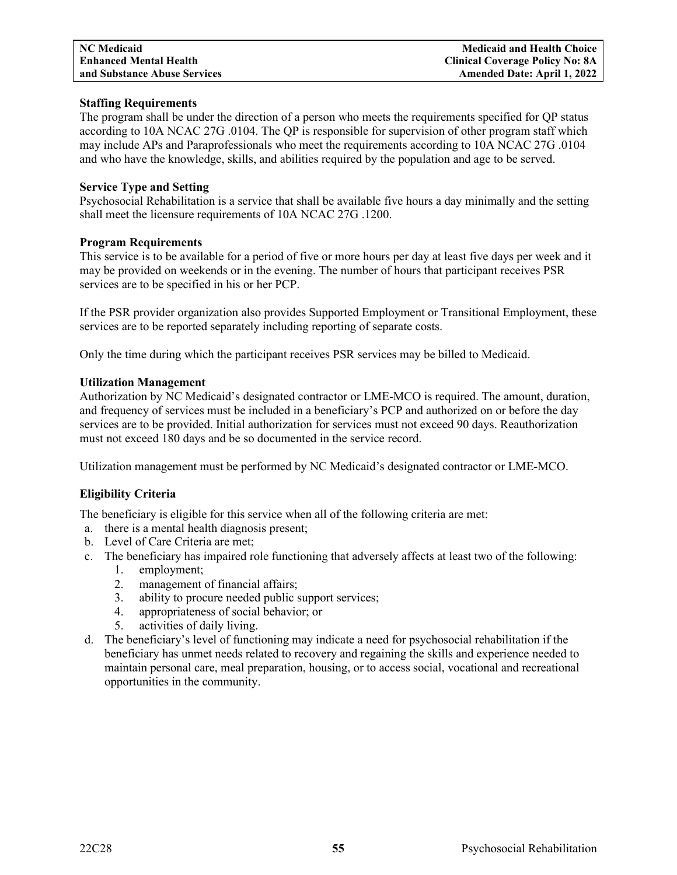**NC Medicaid Medicaid and Health Choice Enhanced Mental Health Clinical Coverage Policy No: 8A Amended Date: April 1, 2022** 

# **Staffing Requirements**

The program shall be under the direction of a person who meets the requirements specified for QP status according to 10A NCAC 27G .0104. The QP is responsible for supervision of other program staff which may include APs and Paraprofessionals who meet the requirements according to 10A NCAC 27G .0104 and who have the knowledge, skills, and abilities required by the population and age to be served.

### **Service Type and Setting**

Psychosocial Rehabilitation is a service that shall be available five hours a day minimally and the setting shall meet the licensure requirements of 10A NCAC 27G .1200.

#### **Program Requirements**

This service is to be available for a period of five or more hours per day at least five days per week and it may be provided on weekends or in the evening. The number of hours that participant receives PSR services are to be specified in his or her PCP.

If the PSR provider organization also provides Supported Employment or Transitional Employment, these services are to be reported separately including reporting of separate costs.

Only the time during which the participant receives PSR services may be billed to Medicaid.

#### **Utilization Management**

Authorization by NC Medicaid's designated contractor or LME-MCO is required. The amount, duration, and frequency of services must be included in a beneficiary's PCP and authorized on or before the day services are to be provided. Initial authorization for services must not exceed 90 days. Reauthorization must not exceed 180 days and be so documented in the service record.

Utilization management must be performed by NC Medicaid's designated contractor or LME-MCO.

# **Eligibility Criteria**

The beneficiary is eligible for this service when all of the following criteria are met:

- a. there is a mental health diagnosis present;
- b. Level of Care Criteria are met;
- c. The beneficiary has impaired role functioning that adversely affects at least two of the following:
	- 1. employment;
	- 2. management of financial affairs;
	- 3. ability to procure needed public support services;
	- 4. appropriateness of social behavior; or
	- 5. activities of daily living.
- d. The beneficiary's level of functioning may indicate a need for psychosocial rehabilitation if the beneficiary has unmet needs related to recovery and regaining the skills and experience needed to maintain personal care, meal preparation, housing, or to access social, vocational and recreational opportunities in the community.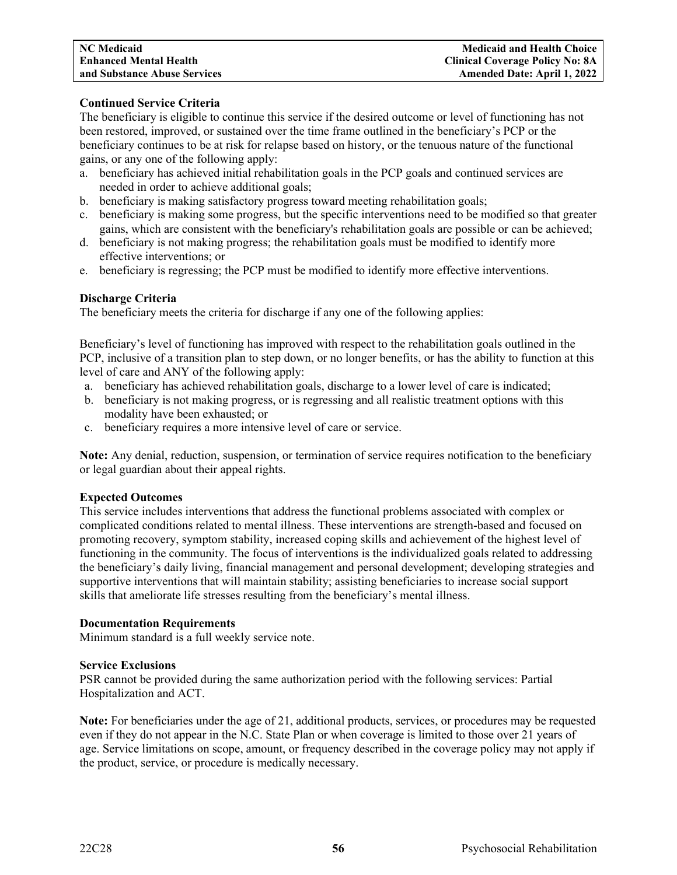# **Continued Service Criteria**

The beneficiary is eligible to continue this service if the desired outcome or level of functioning has not been restored, improved, or sustained over the time frame outlined in the beneficiary's PCP or the beneficiary continues to be at risk for relapse based on history, or the tenuous nature of the functional gains, or any one of the following apply:

- a. beneficiary has achieved initial rehabilitation goals in the PCP goals and continued services are needed in order to achieve additional goals;
- b. beneficiary is making satisfactory progress toward meeting rehabilitation goals;
- c. beneficiary is making some progress, but the specific interventions need to be modified so that greater gains, which are consistent with the beneficiary's rehabilitation goals are possible or can be achieved;
- d. beneficiary is not making progress; the rehabilitation goals must be modified to identify more effective interventions; or
- e. beneficiary is regressing; the PCP must be modified to identify more effective interventions.

# **Discharge Criteria**

The beneficiary meets the criteria for discharge if any one of the following applies:

Beneficiary's level of functioning has improved with respect to the rehabilitation goals outlined in the PCP, inclusive of a transition plan to step down, or no longer benefits, or has the ability to function at this level of care and ANY of the following apply:

- a. beneficiary has achieved rehabilitation goals, discharge to a lower level of care is indicated;
- b. beneficiary is not making progress, or is regressing and all realistic treatment options with this modality have been exhausted; or
- c. beneficiary requires a more intensive level of care or service.

**Note:** Any denial, reduction, suspension, or termination of service requires notification to the beneficiary or legal guardian about their appeal rights.

# **Expected Outcomes**

This service includes interventions that address the functional problems associated with complex or complicated conditions related to mental illness. These interventions are strength-based and focused on promoting recovery, symptom stability, increased coping skills and achievement of the highest level of functioning in the community. The focus of interventions is the individualized goals related to addressing the beneficiary's daily living, financial management and personal development; developing strategies and supportive interventions that will maintain stability; assisting beneficiaries to increase social support skills that ameliorate life stresses resulting from the beneficiary's mental illness.

# **Documentation Requirements**

Minimum standard is a full weekly service note.

#### **Service Exclusions**

PSR cannot be provided during the same authorization period with the following services: Partial Hospitalization and ACT.

**Note:** For beneficiaries under the age of 21, additional products, services, or procedures may be requested even if they do not appear in the N.C. State Plan or when coverage is limited to those over 21 years of age. Service limitations on scope, amount, or frequency described in the coverage policy may not apply if the product, service, or procedure is medically necessary.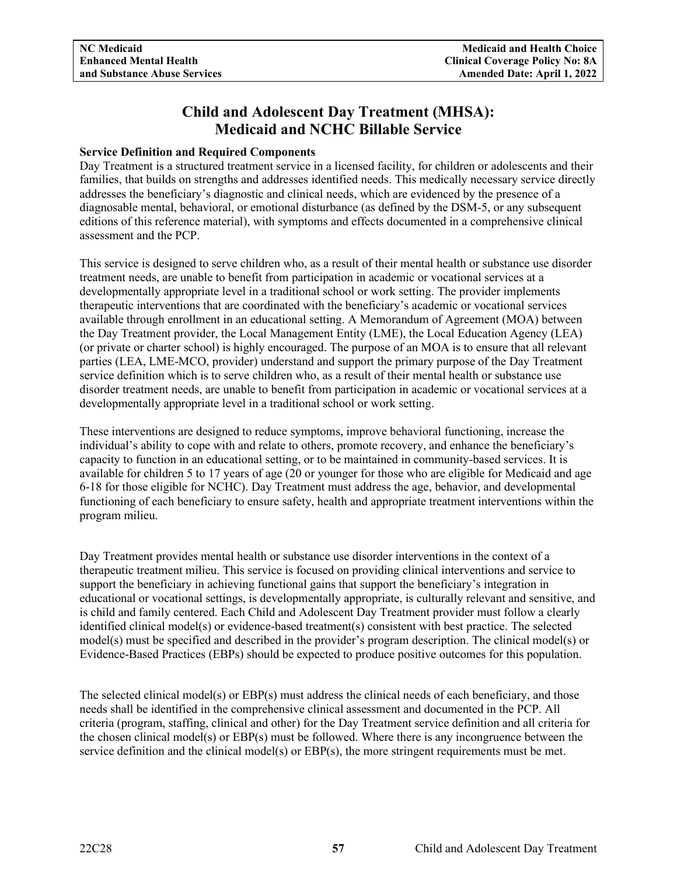# **Child and Adolescent Day Treatment (MHSA): Medicaid and NCHC Billable Service**

# **Service Definition and Required Components**

Day Treatment is a structured treatment service in a licensed facility, for children or adolescents and their families, that builds on strengths and addresses identified needs. This medically necessary service directly addresses the beneficiary's diagnostic and clinical needs, which are evidenced by the presence of a diagnosable mental, behavioral, or emotional disturbance (as defined by the DSM-5, or any subsequent editions of this reference material), with symptoms and effects documented in a comprehensive clinical assessment and the PCP.

This service is designed to serve children who, as a result of their mental health or substance use disorder treatment needs, are unable to benefit from participation in academic or vocational services at a developmentally appropriate level in a traditional school or work setting. The provider implements therapeutic interventions that are coordinated with the beneficiary's academic or vocational services available through enrollment in an educational setting. A Memorandum of Agreement (MOA) between the Day Treatment provider, the Local Management Entity (LME), the Local Education Agency (LEA) (or private or charter school) is highly encouraged. The purpose of an MOA is to ensure that all relevant parties (LEA, LME-MCO, provider) understand and support the primary purpose of the Day Treatment service definition which is to serve children who, as a result of their mental health or substance use disorder treatment needs, are unable to benefit from participation in academic or vocational services at a developmentally appropriate level in a traditional school or work setting.

These interventions are designed to reduce symptoms, improve behavioral functioning, increase the individual's ability to cope with and relate to others, promote recovery, and enhance the beneficiary's capacity to function in an educational setting, or to be maintained in community-based services. It is available for children 5 to 17 years of age (20 or younger for those who are eligible for Medicaid and age 6-18 for those eligible for NCHC). Day Treatment must address the age, behavior, and developmental functioning of each beneficiary to ensure safety, health and appropriate treatment interventions within the program milieu.

Day Treatment provides mental health or substance use disorder interventions in the context of a therapeutic treatment milieu. This service is focused on providing clinical interventions and service to support the beneficiary in achieving functional gains that support the beneficiary's integration in educational or vocational settings, is developmentally appropriate, is culturally relevant and sensitive, and is child and family centered. Each Child and Adolescent Day Treatment provider must follow a clearly identified clinical model(s) or evidence-based treatment(s) consistent with best practice. The selected model(s) must be specified and described in the provider's program description. The clinical model(s) or Evidence-Based Practices (EBPs) should be expected to produce positive outcomes for this population.

The selected clinical model(s) or EBP(s) must address the clinical needs of each beneficiary, and those needs shall be identified in the comprehensive clinical assessment and documented in the PCP. All criteria (program, staffing, clinical and other) for the Day Treatment service definition and all criteria for the chosen clinical model(s) or EBP(s) must be followed. Where there is any incongruence between the service definition and the clinical model(s) or EBP(s), the more stringent requirements must be met.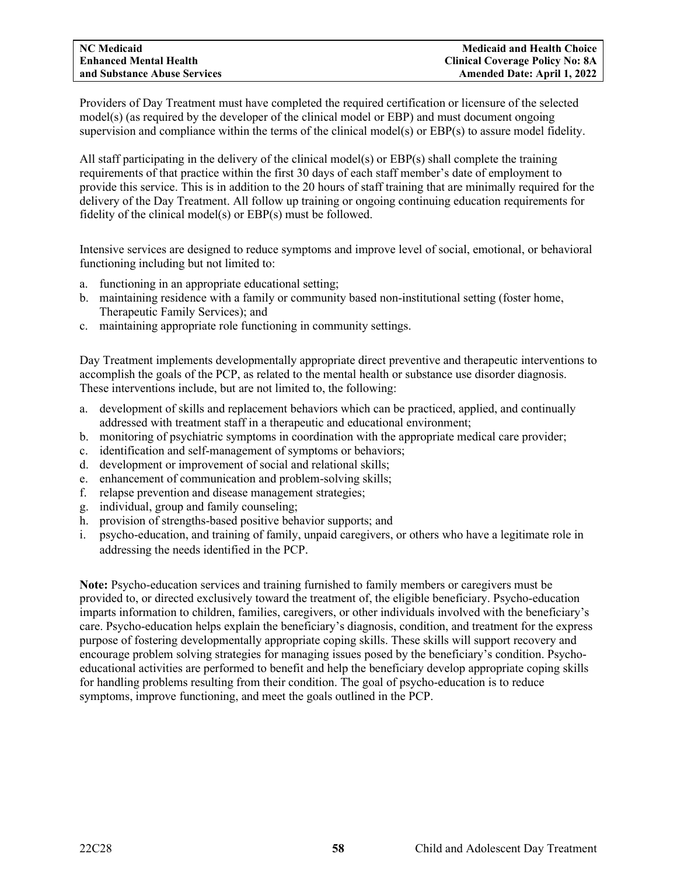Providers of Day Treatment must have completed the required certification or licensure of the selected model(s) (as required by the developer of the clinical model or EBP) and must document ongoing supervision and compliance within the terms of the clinical model(s) or EBP(s) to assure model fidelity.

All staff participating in the delivery of the clinical model(s) or EBP(s) shall complete the training requirements of that practice within the first 30 days of each staff member's date of employment to provide this service. This is in addition to the 20 hours of staff training that are minimally required for the delivery of the Day Treatment. All follow up training or ongoing continuing education requirements for fidelity of the clinical model(s) or EBP(s) must be followed.

Intensive services are designed to reduce symptoms and improve level of social, emotional, or behavioral functioning including but not limited to:

- a. functioning in an appropriate educational setting;
- b. maintaining residence with a family or community based non-institutional setting (foster home, Therapeutic Family Services); and
- c. maintaining appropriate role functioning in community settings.

Day Treatment implements developmentally appropriate direct preventive and therapeutic interventions to accomplish the goals of the PCP, as related to the mental health or substance use disorder diagnosis. These interventions include, but are not limited to, the following:

- a. development of skills and replacement behaviors which can be practiced, applied, and continually addressed with treatment staff in a therapeutic and educational environment;
- b. monitoring of psychiatric symptoms in coordination with the appropriate medical care provider;
- c. identification and self-management of symptoms or behaviors;
- d. development or improvement of social and relational skills;
- e. enhancement of communication and problem-solving skills;
- f. relapse prevention and disease management strategies;
- g. individual, group and family counseling;
- h. provision of strengths-based positive behavior supports; and
- i. psycho-education, and training of family, unpaid caregivers, or others who have a legitimate role in addressing the needs identified in the PCP.

**Note:** Psycho-education services and training furnished to family members or caregivers must be provided to, or directed exclusively toward the treatment of, the eligible beneficiary. Psycho-education imparts information to children, families, caregivers, or other individuals involved with the beneficiary's care. Psycho-education helps explain the beneficiary's diagnosis, condition, and treatment for the express purpose of fostering developmentally appropriate coping skills. These skills will support recovery and encourage problem solving strategies for managing issues posed by the beneficiary's condition. Psychoeducational activities are performed to benefit and help the beneficiary develop appropriate coping skills for handling problems resulting from their condition. The goal of psycho-education is to reduce symptoms, improve functioning, and meet the goals outlined in the PCP.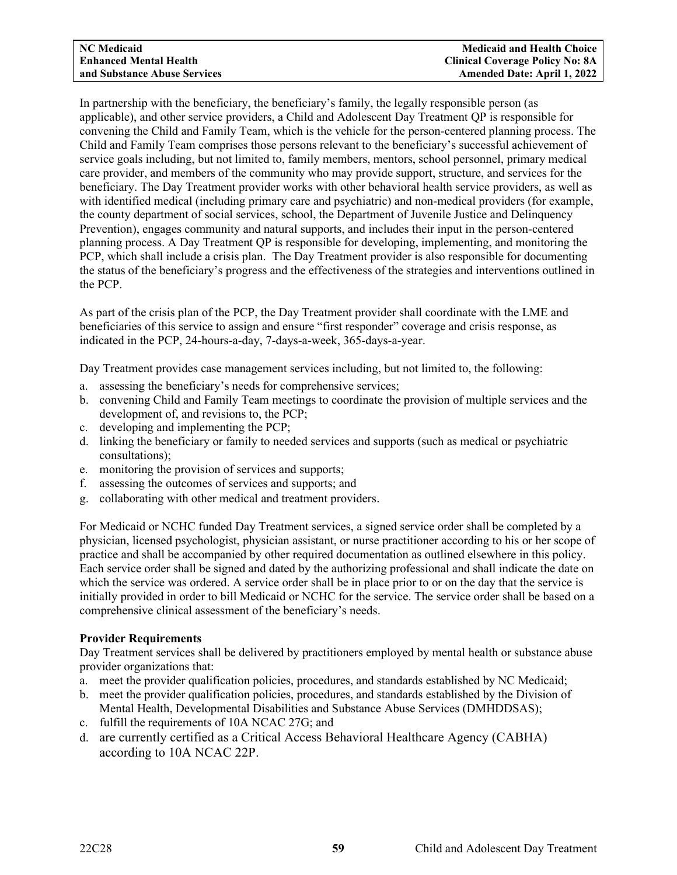In partnership with the beneficiary, the beneficiary's family, the legally responsible person (as applicable), and other service providers, a Child and Adolescent Day Treatment QP is responsible for convening the Child and Family Team, which is the vehicle for the person-centered planning process. The Child and Family Team comprises those persons relevant to the beneficiary's successful achievement of service goals including, but not limited to, family members, mentors, school personnel, primary medical care provider, and members of the community who may provide support, structure, and services for the beneficiary. The Day Treatment provider works with other behavioral health service providers, as well as with identified medical (including primary care and psychiatric) and non-medical providers (for example, the county department of social services, school, the Department of Juvenile Justice and Delinquency Prevention), engages community and natural supports, and includes their input in the person-centered planning process. A Day Treatment QP is responsible for developing, implementing, and monitoring the PCP, which shall include a crisis plan. The Day Treatment provider is also responsible for documenting the status of the beneficiary's progress and the effectiveness of the strategies and interventions outlined in the PCP.

As part of the crisis plan of the PCP, the Day Treatment provider shall coordinate with the LME and beneficiaries of this service to assign and ensure "first responder" coverage and crisis response, as indicated in the PCP, 24-hours-a-day, 7-days-a-week, 365-days-a-year.

Day Treatment provides case management services including, but not limited to, the following:

- a. assessing the beneficiary's needs for comprehensive services;
- b. convening Child and Family Team meetings to coordinate the provision of multiple services and the development of, and revisions to, the PCP;
- c. developing and implementing the PCP;
- d. linking the beneficiary or family to needed services and supports (such as medical or psychiatric consultations);
- e. monitoring the provision of services and supports;
- f. assessing the outcomes of services and supports; and
- g. collaborating with other medical and treatment providers.

For Medicaid or NCHC funded Day Treatment services, a signed service order shall be completed by a physician, licensed psychologist, physician assistant, or nurse practitioner according to his or her scope of practice and shall be accompanied by other required documentation as outlined elsewhere in this policy. Each service order shall be signed and dated by the authorizing professional and shall indicate the date on which the service was ordered. A service order shall be in place prior to or on the day that the service is initially provided in order to bill Medicaid or NCHC for the service. The service order shall be based on a comprehensive clinical assessment of the beneficiary's needs.

# **Provider Requirements**

Day Treatment services shall be delivered by practitioners employed by mental health or substance abuse provider organizations that:

- a. meet the provider qualification policies, procedures, and standards established by NC Medicaid;
- b. meet the provider qualification policies, procedures, and standards established by the Division of Mental Health, Developmental Disabilities and Substance Abuse Services (DMHDDSAS);
- c. fulfill the requirements of 10A NCAC 27G; and
- d. are currently certified as a Critical Access Behavioral Healthcare Agency (CABHA) according to 10A NCAC 22P.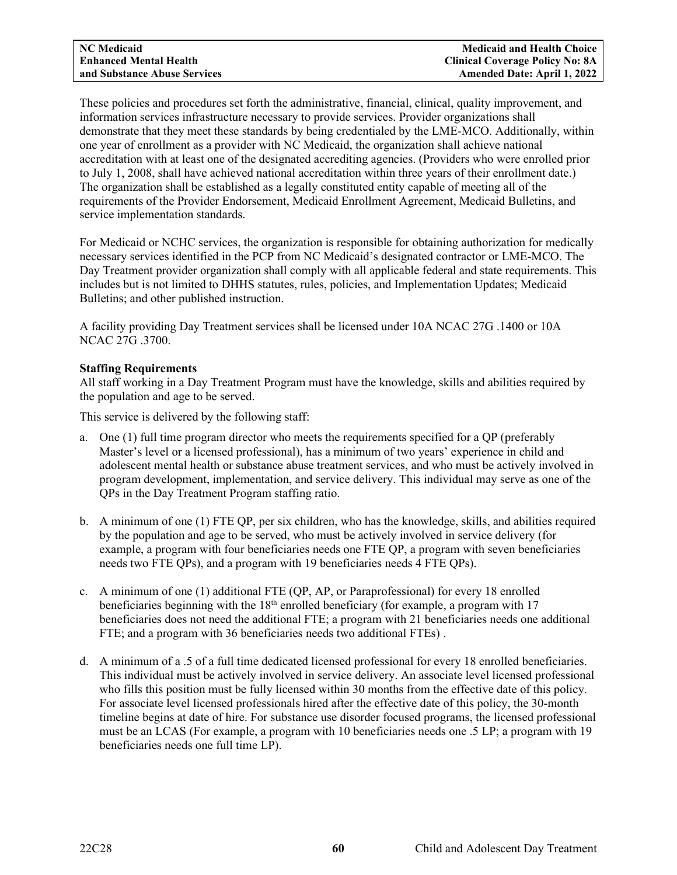These policies and procedures set forth the administrative, financial, clinical, quality improvement, and information services infrastructure necessary to provide services. Provider organizations shall demonstrate that they meet these standards by being credentialed by the LME-MCO. Additionally, within one year of enrollment as a provider with NC Medicaid, the organization shall achieve national accreditation with at least one of the designated accrediting agencies. (Providers who were enrolled prior to July 1, 2008, shall have achieved national accreditation within three years of their enrollment date.) The organization shall be established as a legally constituted entity capable of meeting all of the requirements of the Provider Endorsement, Medicaid Enrollment Agreement, Medicaid Bulletins, and service implementation standards.

For Medicaid or NCHC services, the organization is responsible for obtaining authorization for medically necessary services identified in the PCP from NC Medicaid's designated contractor or LME-MCO. The Day Treatment provider organization shall comply with all applicable federal and state requirements. This includes but is not limited to DHHS statutes, rules, policies, and Implementation Updates; Medicaid Bulletins; and other published instruction.

A facility providing Day Treatment services shall be licensed under 10A NCAC 27G .1400 or 10A NCAC 27G .3700.

# **Staffing Requirements**

All staff working in a Day Treatment Program must have the knowledge, skills and abilities required by the population and age to be served.

This service is delivered by the following staff:

- a. One (1) full time program director who meets the requirements specified for a QP (preferably Master's level or a licensed professional), has a minimum of two years' experience in child and adolescent mental health or substance abuse treatment services, and who must be actively involved in program development, implementation, and service delivery. This individual may serve as one of the QPs in the Day Treatment Program staffing ratio.
- b. A minimum of one (1) FTE QP, per six children, who has the knowledge, skills, and abilities required by the population and age to be served, who must be actively involved in service delivery (for example, a program with four beneficiaries needs one FTE QP, a program with seven beneficiaries needs two FTE QPs), and a program with 19 beneficiaries needs 4 FTE QPs).
- c. A minimum of one (1) additional FTE (QP, AP, or Paraprofessional) for every 18 enrolled beneficiaries beginning with the  $18<sup>th</sup>$  enrolled beneficiary (for example, a program with 17 beneficiaries does not need the additional FTE; a program with 21 beneficiaries needs one additional FTE; and a program with 36 beneficiaries needs two additional FTEs) .
- d. A minimum of a .5 of a full time dedicated licensed professional for every 18 enrolled beneficiaries. This individual must be actively involved in service delivery. An associate level licensed professional who fills this position must be fully licensed within 30 months from the effective date of this policy. For associate level licensed professionals hired after the effective date of this policy, the 30-month timeline begins at date of hire. For substance use disorder focused programs, the licensed professional must be an LCAS (For example, a program with 10 beneficiaries needs one .5 LP; a program with 19 beneficiaries needs one full time LP).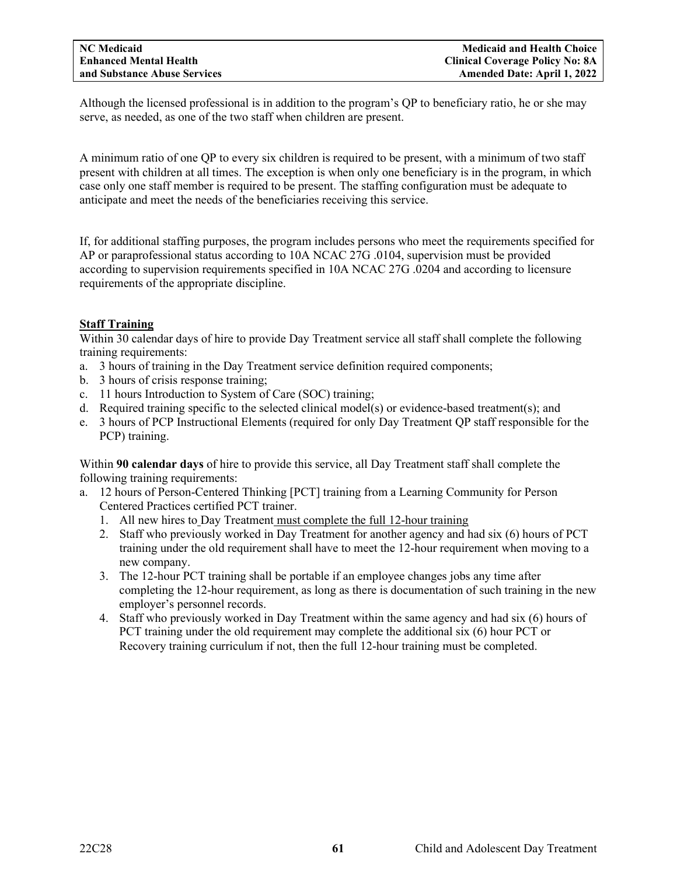Although the licensed professional is in addition to the program's QP to beneficiary ratio, he or she may serve, as needed, as one of the two staff when children are present.

A minimum ratio of one QP to every six children is required to be present, with a minimum of two staff present with children at all times. The exception is when only one beneficiary is in the program, in which case only one staff member is required to be present. The staffing configuration must be adequate to anticipate and meet the needs of the beneficiaries receiving this service.

If, for additional staffing purposes, the program includes persons who meet the requirements specified for AP or paraprofessional status according to 10A NCAC 27G .0104, supervision must be provided according to supervision requirements specified in 10A NCAC 27G .0204 and according to licensure requirements of the appropriate discipline.

# **Staff Training**

Within 30 calendar days of hire to provide Day Treatment service all staff shall complete the following training requirements:

- a. 3 hours of training in the Day Treatment service definition required components;
- b. 3 hours of crisis response training;
- c. 11 hours Introduction to System of Care (SOC) training;
- d. Required training specific to the selected clinical model(s) or evidence-based treatment(s); and
- e. 3 hours of PCP Instructional Elements (required for only Day Treatment QP staff responsible for the PCP) training.

Within **90 calendar days** of hire to provide this service, all Day Treatment staff shall complete the following training requirements:

- a. 12 hours of Person-Centered Thinking [PCT] training from a Learning Community for Person Centered Practices certified PCT trainer.
	- 1. All new hires to Day Treatment must complete the full 12-hour training
	- 2. Staff who previously worked in Day Treatment for another agency and had six (6) hours of PCT training under the old requirement shall have to meet the 12-hour requirement when moving to a new company.
	- 3. The 12-hour PCT training shall be portable if an employee changes jobs any time after completing the 12-hour requirement, as long as there is documentation of such training in the new employer's personnel records.
	- 4. Staff who previously worked in Day Treatment within the same agency and had six (6) hours of PCT training under the old requirement may complete the additional six (6) hour PCT or Recovery training curriculum if not, then the full 12-hour training must be completed.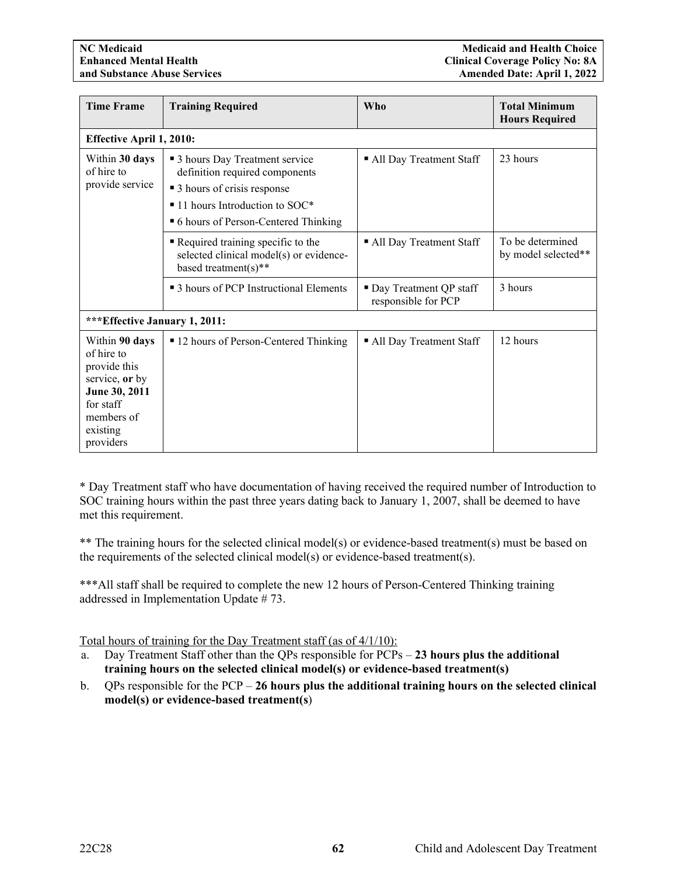| <b>Time Frame</b>                                                                                                                   | <b>Training Required</b>                                                                             | <b>Who</b>                                      | <b>Total Minimum</b><br><b>Hours Required</b> |  |  |  |
|-------------------------------------------------------------------------------------------------------------------------------------|------------------------------------------------------------------------------------------------------|-------------------------------------------------|-----------------------------------------------|--|--|--|
| <b>Effective April 1, 2010:</b>                                                                                                     |                                                                                                      |                                                 |                                               |  |  |  |
| Within 30 days<br>of hire to<br>provide service                                                                                     | • 3 hours Day Treatment service<br>definition required components<br>■ 3 hours of crisis response    | All Day Treatment Staff                         | 23 hours                                      |  |  |  |
|                                                                                                                                     | $\blacksquare$ 11 hours Introduction to SOC*<br>• 6 hours of Person-Centered Thinking                |                                                 |                                               |  |  |  |
|                                                                                                                                     | Required training specific to the<br>selected clinical model(s) or evidence-<br>based treatment(s)** | All Day Treatment Staff                         | To be determined<br>by model selected**       |  |  |  |
|                                                                                                                                     | • 3 hours of PCP Instructional Elements                                                              | • Day Treatment QP staff<br>responsible for PCP | 3 hours                                       |  |  |  |
| *** Effective January 1, 2011:                                                                                                      |                                                                                                      |                                                 |                                               |  |  |  |
| Within 90 days<br>of hire to<br>provide this<br>service, or by<br>June 30, 2011<br>for staff<br>members of<br>existing<br>providers | ■ 12 hours of Person-Centered Thinking                                                               | • All Day Treatment Staff                       | 12 hours                                      |  |  |  |

\* Day Treatment staff who have documentation of having received the required number of Introduction to SOC training hours within the past three years dating back to January 1, 2007, shall be deemed to have met this requirement.

\*\* The training hours for the selected clinical model(s) or evidence-based treatment(s) must be based on the requirements of the selected clinical model(s) or evidence-based treatment(s).

\*\*\*All staff shall be required to complete the new 12 hours of Person-Centered Thinking training addressed in Implementation Update # 73.

Total hours of training for the Day Treatment staff (as of 4/1/10):

- a. Day Treatment Staff other than the QPs responsible for PCPs **23 hours plus the additional training hours on the selected clinical model(s) or evidence-based treatment(s)**
- b. QPs responsible for the PCP **26 hours plus the additional training hours on the selected clinical model(s) or evidence-based treatment(s**)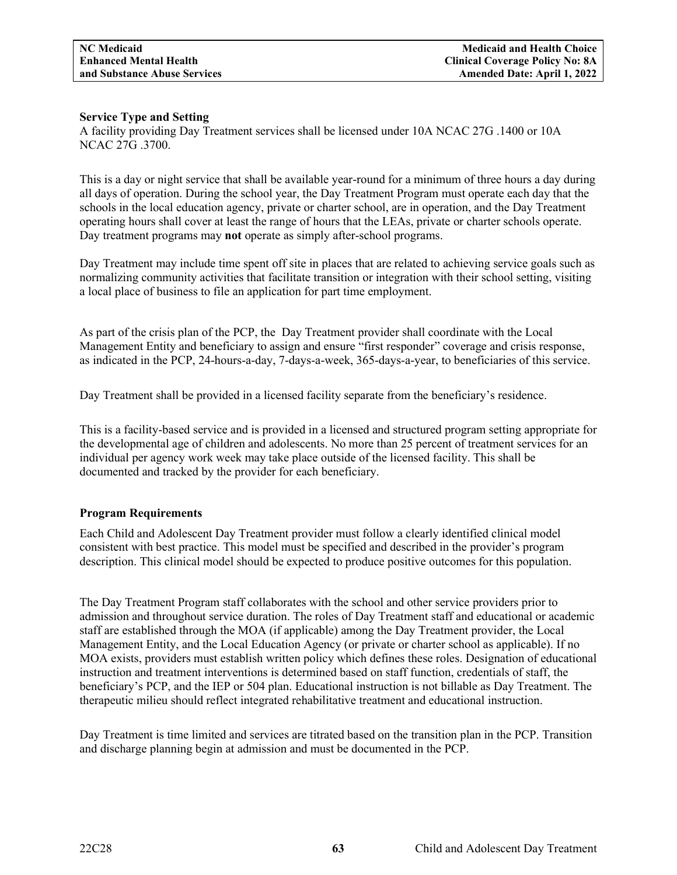# **Service Type and Setting**

A facility providing Day Treatment services shall be licensed under 10A NCAC 27G .1400 or 10A NCAC 27G .3700.

This is a day or night service that shall be available year-round for a minimum of three hours a day during all days of operation. During the school year, the Day Treatment Program must operate each day that the schools in the local education agency, private or charter school, are in operation, and the Day Treatment operating hours shall cover at least the range of hours that the LEAs, private or charter schools operate. Day treatment programs may **not** operate as simply after-school programs.

Day Treatment may include time spent off site in places that are related to achieving service goals such as normalizing community activities that facilitate transition or integration with their school setting, visiting a local place of business to file an application for part time employment.

As part of the crisis plan of the PCP, the Day Treatment provider shall coordinate with the Local Management Entity and beneficiary to assign and ensure "first responder" coverage and crisis response, as indicated in the PCP, 24-hours-a-day, 7-days-a-week, 365-days-a-year, to beneficiaries of this service.

Day Treatment shall be provided in a licensed facility separate from the beneficiary's residence.

This is a facility-based service and is provided in a licensed and structured program setting appropriate for the developmental age of children and adolescents. No more than 25 percent of treatment services for an individual per agency work week may take place outside of the licensed facility. This shall be documented and tracked by the provider for each beneficiary.

# **Program Requirements**

Each Child and Adolescent Day Treatment provider must follow a clearly identified clinical model consistent with best practice. This model must be specified and described in the provider's program description. This clinical model should be expected to produce positive outcomes for this population.

The Day Treatment Program staff collaborates with the school and other service providers prior to admission and throughout service duration. The roles of Day Treatment staff and educational or academic staff are established through the MOA (if applicable) among the Day Treatment provider, the Local Management Entity, and the Local Education Agency (or private or charter school as applicable). If no MOA exists, providers must establish written policy which defines these roles. Designation of educational instruction and treatment interventions is determined based on staff function, credentials of staff, the beneficiary's PCP, and the IEP or 504 plan. Educational instruction is not billable as Day Treatment. The therapeutic milieu should reflect integrated rehabilitative treatment and educational instruction.

Day Treatment is time limited and services are titrated based on the transition plan in the PCP. Transition and discharge planning begin at admission and must be documented in the PCP.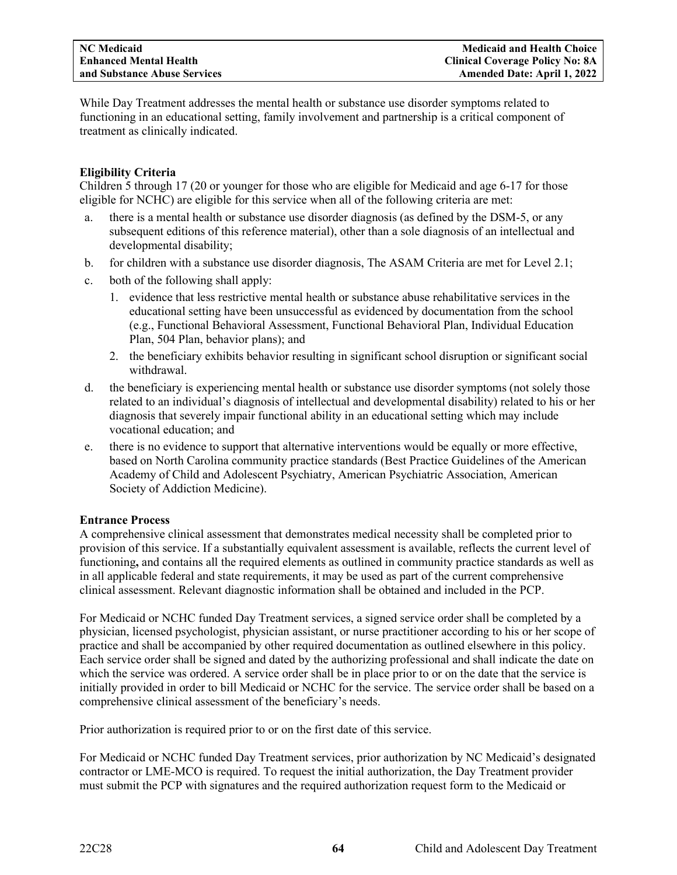While Day Treatment addresses the mental health or substance use disorder symptoms related to functioning in an educational setting, family involvement and partnership is a critical component of treatment as clinically indicated.

# **Eligibility Criteria**

Children 5 through 17 (20 or younger for those who are eligible for Medicaid and age 6-17 for those eligible for NCHC) are eligible for this service when all of the following criteria are met:

- a. there is a mental health or substance use disorder diagnosis (as defined by the DSM-5, or any subsequent editions of this reference material), other than a sole diagnosis of an intellectual and developmental disability;
- b. for children with a substance use disorder diagnosis, The ASAM Criteria are met for Level 2.1;
- c. both of the following shall apply:
	- 1. evidence that less restrictive mental health or substance abuse rehabilitative services in the educational setting have been unsuccessful as evidenced by documentation from the school (e.g., Functional Behavioral Assessment, Functional Behavioral Plan, Individual Education Plan, 504 Plan, behavior plans); and
	- 2. the beneficiary exhibits behavior resulting in significant school disruption or significant social withdrawal.
- d. the beneficiary is experiencing mental health or substance use disorder symptoms (not solely those related to an individual's diagnosis of intellectual and developmental disability) related to his or her diagnosis that severely impair functional ability in an educational setting which may include vocational education; and
- e. there is no evidence to support that alternative interventions would be equally or more effective, based on North Carolina community practice standards (Best Practice Guidelines of the American Academy of Child and Adolescent Psychiatry, American Psychiatric Association, American Society of Addiction Medicine).

# **Entrance Process**

A comprehensive clinical assessment that demonstrates medical necessity shall be completed prior to provision of this service. If a substantially equivalent assessment is available, reflects the current level of functioning**,** and contains all the required elements as outlined in community practice standards as well as in all applicable federal and state requirements, it may be used as part of the current comprehensive clinical assessment. Relevant diagnostic information shall be obtained and included in the PCP.

For Medicaid or NCHC funded Day Treatment services, a signed service order shall be completed by a physician, licensed psychologist, physician assistant, or nurse practitioner according to his or her scope of practice and shall be accompanied by other required documentation as outlined elsewhere in this policy. Each service order shall be signed and dated by the authorizing professional and shall indicate the date on which the service was ordered. A service order shall be in place prior to or on the date that the service is initially provided in order to bill Medicaid or NCHC for the service. The service order shall be based on a comprehensive clinical assessment of the beneficiary's needs.

Prior authorization is required prior to or on the first date of this service.

For Medicaid or NCHC funded Day Treatment services, prior authorization by NC Medicaid's designated contractor or LME-MCO is required. To request the initial authorization, the Day Treatment provider must submit the PCP with signatures and the required authorization request form to the Medicaid or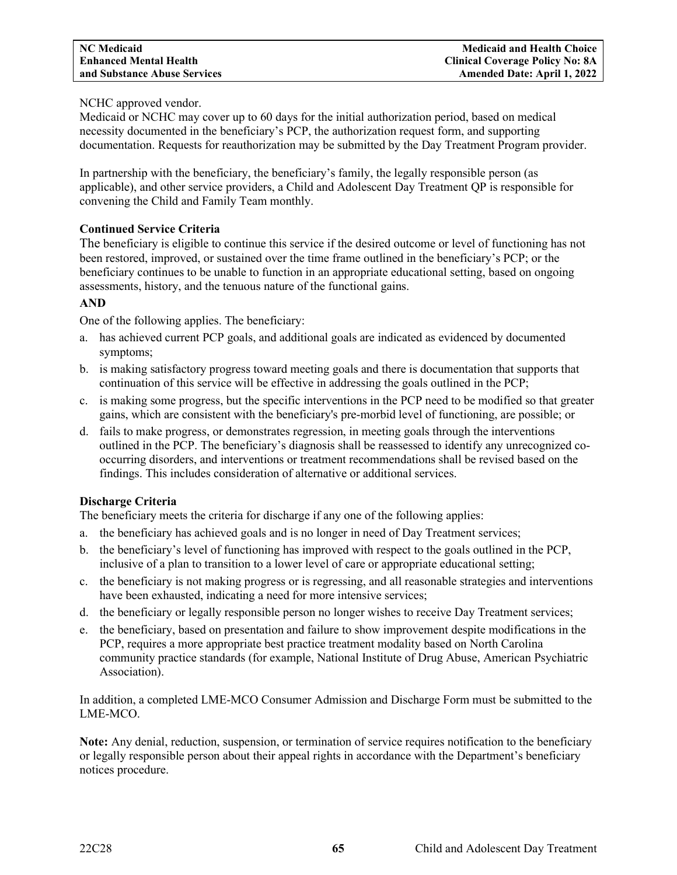# NCHC approved vendor.

Medicaid or NCHC may cover up to 60 days for the initial authorization period, based on medical necessity documented in the beneficiary's PCP, the authorization request form, and supporting documentation. Requests for reauthorization may be submitted by the Day Treatment Program provider.

In partnership with the beneficiary, the beneficiary's family, the legally responsible person (as applicable), and other service providers, a Child and Adolescent Day Treatment QP is responsible for convening the Child and Family Team monthly.

# **Continued Service Criteria**

The beneficiary is eligible to continue this service if the desired outcome or level of functioning has not been restored, improved, or sustained over the time frame outlined in the beneficiary's PCP; or the beneficiary continues to be unable to function in an appropriate educational setting, based on ongoing assessments, history, and the tenuous nature of the functional gains.

# **AND**

One of the following applies. The beneficiary:

- a. has achieved current PCP goals, and additional goals are indicated as evidenced by documented symptoms;
- b. is making satisfactory progress toward meeting goals and there is documentation that supports that continuation of this service will be effective in addressing the goals outlined in the PCP;
- c. is making some progress, but the specific interventions in the PCP need to be modified so that greater gains, which are consistent with the beneficiary's pre-morbid level of functioning, are possible; or
- d. fails to make progress, or demonstrates regression, in meeting goals through the interventions outlined in the PCP. The beneficiary's diagnosis shall be reassessed to identify any unrecognized cooccurring disorders, and interventions or treatment recommendations shall be revised based on the findings. This includes consideration of alternative or additional services.

# **Discharge Criteria**

The beneficiary meets the criteria for discharge if any one of the following applies:

- a. the beneficiary has achieved goals and is no longer in need of Day Treatment services;
- b. the beneficiary's level of functioning has improved with respect to the goals outlined in the PCP, inclusive of a plan to transition to a lower level of care or appropriate educational setting;
- c. the beneficiary is not making progress or is regressing, and all reasonable strategies and interventions have been exhausted, indicating a need for more intensive services;
- d. the beneficiary or legally responsible person no longer wishes to receive Day Treatment services;
- e. the beneficiary, based on presentation and failure to show improvement despite modifications in the PCP, requires a more appropriate best practice treatment modality based on North Carolina community practice standards (for example, National Institute of Drug Abuse, American Psychiatric Association).

In addition, a completed LME-MCO Consumer Admission and Discharge Form must be submitted to the LME-MCO.

**Note:** Any denial, reduction, suspension, or termination of service requires notification to the beneficiary or legally responsible person about their appeal rights in accordance with the Department's beneficiary notices procedure.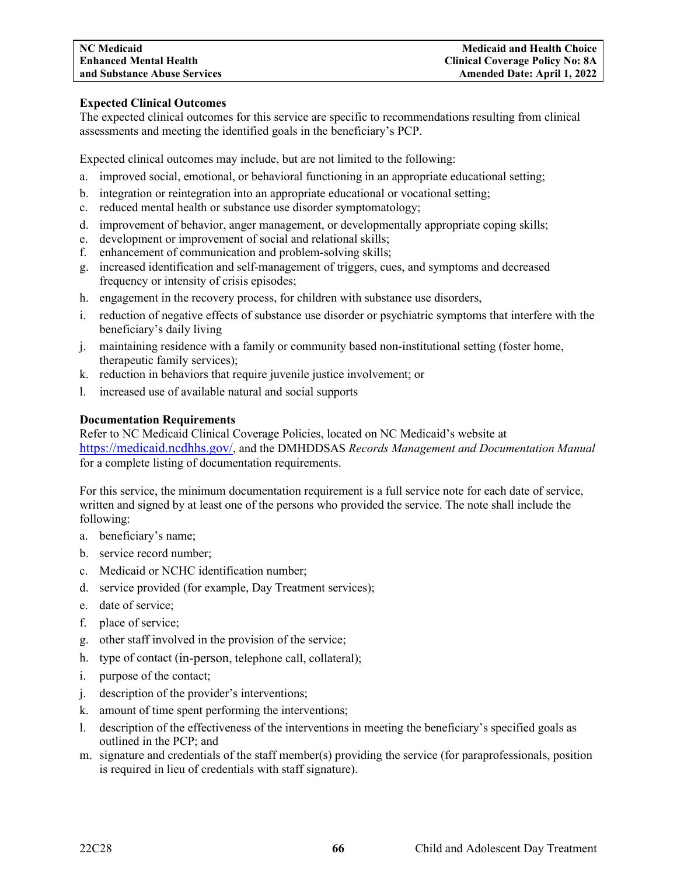# **Expected Clinical Outcomes**

The expected clinical outcomes for this service are specific to recommendations resulting from clinical assessments and meeting the identified goals in the beneficiary's PCP.

Expected clinical outcomes may include, but are not limited to the following:

- a. improved social, emotional, or behavioral functioning in an appropriate educational setting;
- b. integration or reintegration into an appropriate educational or vocational setting;
- c. reduced mental health or substance use disorder symptomatology;
- d. improvement of behavior, anger management, or developmentally appropriate coping skills;
- e. development or improvement of social and relational skills;
- f. enhancement of communication and problem-solving skills;
- g. increased identification and self-management of triggers, cues, and symptoms and decreased frequency or intensity of crisis episodes;
- h. engagement in the recovery process, for children with substance use disorders,
- i. reduction of negative effects of substance use disorder or psychiatric symptoms that interfere with the beneficiary's daily living
- j. maintaining residence with a family or community based non-institutional setting (foster home, therapeutic family services);
- k. reduction in behaviors that require juvenile justice involvement; or
- l. increased use of available natural and social supports

# **Documentation Requirements**

Refer to NC Medicaid Clinical Coverage Policies, located on NC Medicaid's website at [https://medicaid.ncdhhs.gov/,](https://medicaid.ncdhhs.gov/) and the DMHDDSAS *Records Management and Documentation Manual*  for a complete listing of documentation requirements.

For this service, the minimum documentation requirement is a full service note for each date of service, written and signed by at least one of the persons who provided the service. The note shall include the following:

- a. beneficiary's name;
- b. service record number;
- c. Medicaid or NCHC identification number;
- d. service provided (for example, Day Treatment services);
- e. date of service;
- f. place of service;
- g. other staff involved in the provision of the service;
- h. type of contact (in-person, telephone call, collateral);
- i. purpose of the contact;
- j. description of the provider's interventions;
- k. amount of time spent performing the interventions;
- l. description of the effectiveness of the interventions in meeting the beneficiary's specified goals as outlined in the PCP; and
- m. signature and credentials of the staff member(s) providing the service (for paraprofessionals, position is required in lieu of credentials with staff signature).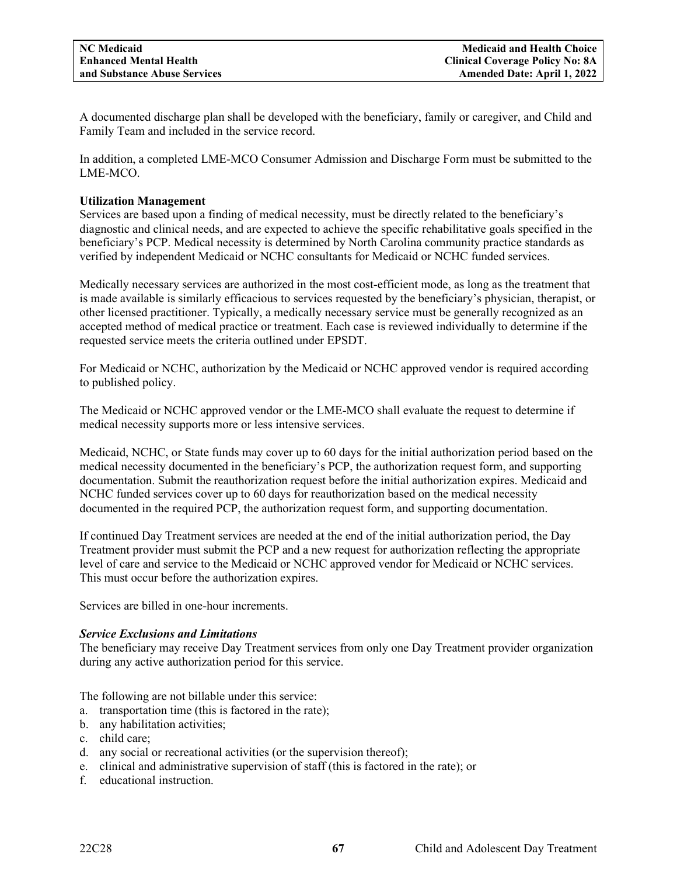A documented discharge plan shall be developed with the beneficiary, family or caregiver, and Child and Family Team and included in the service record.

In addition, a completed LME-MCO Consumer Admission and Discharge Form must be submitted to the LME-MCO.

# **Utilization Management**

Services are based upon a finding of medical necessity, must be directly related to the beneficiary's diagnostic and clinical needs, and are expected to achieve the specific rehabilitative goals specified in the beneficiary's PCP. Medical necessity is determined by North Carolina community practice standards as verified by independent Medicaid or NCHC consultants for Medicaid or NCHC funded services.

Medically necessary services are authorized in the most cost-efficient mode, as long as the treatment that is made available is similarly efficacious to services requested by the beneficiary's physician, therapist, or other licensed practitioner. Typically, a medically necessary service must be generally recognized as an accepted method of medical practice or treatment. Each case is reviewed individually to determine if the requested service meets the criteria outlined under EPSDT.

For Medicaid or NCHC, authorization by the Medicaid or NCHC approved vendor is required according to published policy.

The Medicaid or NCHC approved vendor or the LME-MCO shall evaluate the request to determine if medical necessity supports more or less intensive services.

Medicaid, NCHC, or State funds may cover up to 60 days for the initial authorization period based on the medical necessity documented in the beneficiary's PCP, the authorization request form, and supporting documentation. Submit the reauthorization request before the initial authorization expires. Medicaid and NCHC funded services cover up to 60 days for reauthorization based on the medical necessity documented in the required PCP, the authorization request form, and supporting documentation.

If continued Day Treatment services are needed at the end of the initial authorization period, the Day Treatment provider must submit the PCP and a new request for authorization reflecting the appropriate level of care and service to the Medicaid or NCHC approved vendor for Medicaid or NCHC services. This must occur before the authorization expires.

Services are billed in one-hour increments.

# *Service Exclusions and Limitations*

The beneficiary may receive Day Treatment services from only one Day Treatment provider organization during any active authorization period for this service.

The following are not billable under this service:

- a. transportation time (this is factored in the rate);
- b. any habilitation activities;
- c. child care;
- d. any social or recreational activities (or the supervision thereof);
- e. clinical and administrative supervision of staff (this is factored in the rate); or
- f. educational instruction.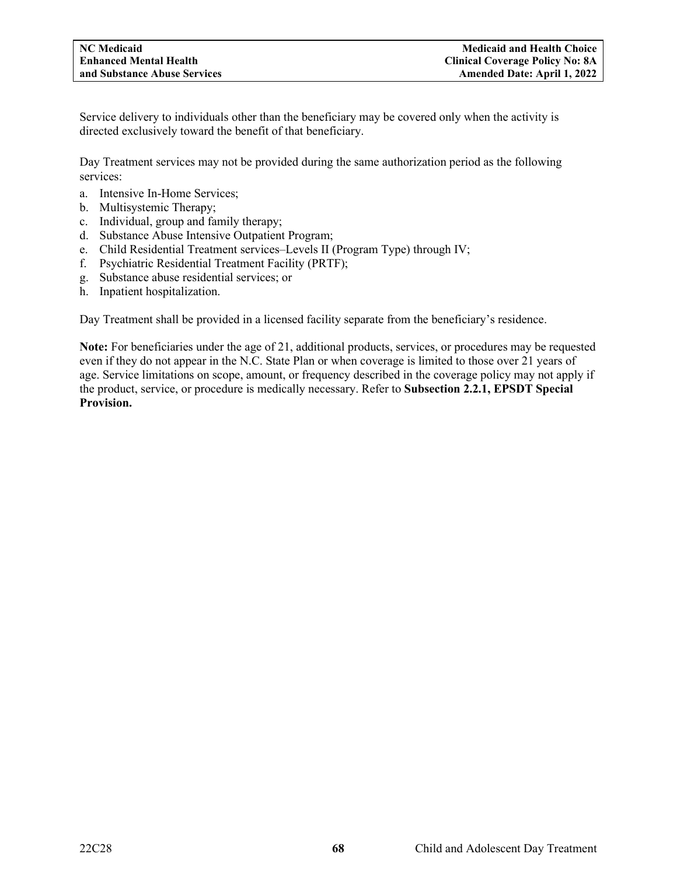Service delivery to individuals other than the beneficiary may be covered only when the activity is directed exclusively toward the benefit of that beneficiary.

Day Treatment services may not be provided during the same authorization period as the following services:

- a. Intensive In-Home Services;
- b. Multisystemic Therapy;
- c. Individual, group and family therapy;
- d. Substance Abuse Intensive Outpatient Program;
- e. Child Residential Treatment services–Levels II (Program Type) through IV;
- f. Psychiatric Residential Treatment Facility (PRTF);
- g. Substance abuse residential services; or
- h. Inpatient hospitalization.

Day Treatment shall be provided in a licensed facility separate from the beneficiary's residence.

**Note:** For beneficiaries under the age of 21, additional products, services, or procedures may be requested even if they do not appear in the N.C. State Plan or when coverage is limited to those over 21 years of age. Service limitations on scope, amount, or frequency described in the coverage policy may not apply if the product, service, or procedure is medically necessary. Refer to **Subsection 2.2.1, EPSDT Special Provision.**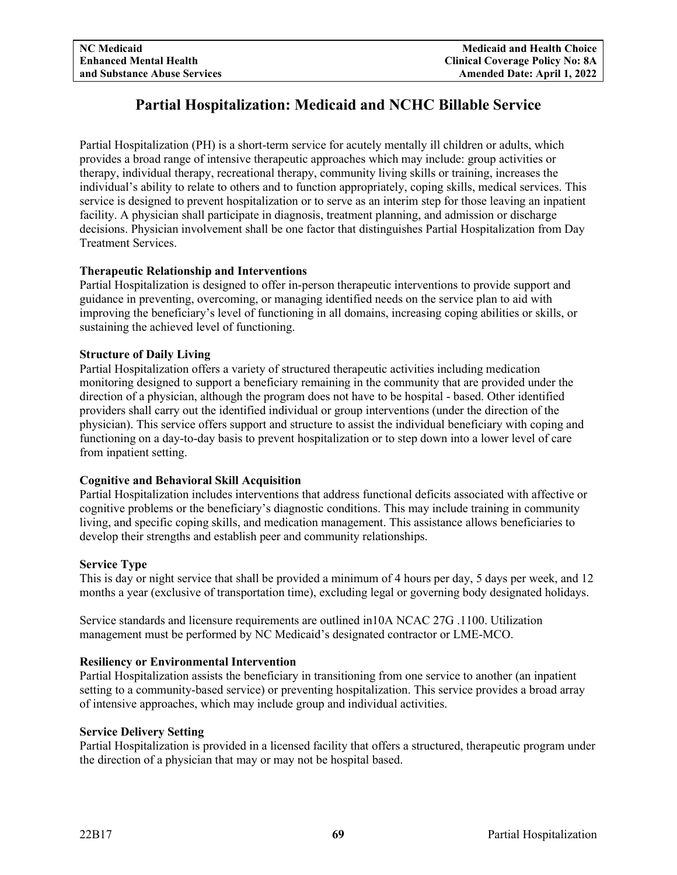# **Partial Hospitalization: Medicaid and NCHC Billable Service**

Partial Hospitalization (PH) is a short-term service for acutely mentally ill children or adults, which provides a broad range of intensive therapeutic approaches which may include: group activities or therapy, individual therapy, recreational therapy, community living skills or training, increases the individual's ability to relate to others and to function appropriately, coping skills, medical services. This service is designed to prevent hospitalization or to serve as an interim step for those leaving an inpatient facility. A physician shall participate in diagnosis, treatment planning, and admission or discharge decisions. Physician involvement shall be one factor that distinguishes Partial Hospitalization from Day Treatment Services.

# **Therapeutic Relationship and Interventions**

Partial Hospitalization is designed to offer in-person therapeutic interventions to provide support and guidance in preventing, overcoming, or managing identified needs on the service plan to aid with improving the beneficiary's level of functioning in all domains, increasing coping abilities or skills, or sustaining the achieved level of functioning.

# **Structure of Daily Living**

Partial Hospitalization offers a variety of structured therapeutic activities including medication monitoring designed to support a beneficiary remaining in the community that are provided under the direction of a physician, although the program does not have to be hospital - based. Other identified providers shall carry out the identified individual or group interventions (under the direction of the physician). This service offers support and structure to assist the individual beneficiary with coping and functioning on a day-to-day basis to prevent hospitalization or to step down into a lower level of care from inpatient setting.

# **Cognitive and Behavioral Skill Acquisition**

Partial Hospitalization includes interventions that address functional deficits associated with affective or cognitive problems or the beneficiary's diagnostic conditions. This may include training in community living, and specific coping skills, and medication management. This assistance allows beneficiaries to develop their strengths and establish peer and community relationships.

# **Service Type**

This is day or night service that shall be provided a minimum of 4 hours per day, 5 days per week, and 12 months a year (exclusive of transportation time), excluding legal or governing body designated holidays.

Service standards and licensure requirements are outlined in10A NCAC 27G .1100. Utilization management must be performed by NC Medicaid's designated contractor or LME-MCO.

# **Resiliency or Environmental Intervention**

Partial Hospitalization assists the beneficiary in transitioning from one service to another (an inpatient setting to a community-based service) or preventing hospitalization. This service provides a broad array of intensive approaches, which may include group and individual activities.

# **Service Delivery Setting**

Partial Hospitalization is provided in a licensed facility that offers a structured, therapeutic program under the direction of a physician that may or may not be hospital based.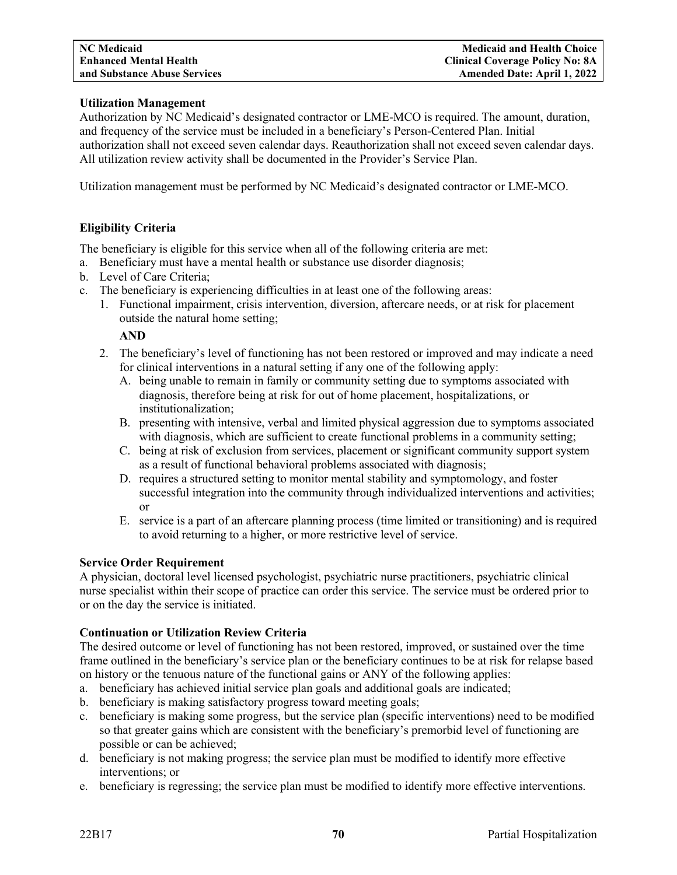# **Utilization Management**

Authorization by NC Medicaid's designated contractor or LME-MCO is required. The amount, duration, and frequency of the service must be included in a beneficiary's Person-Centered Plan. Initial authorization shall not exceed seven calendar days. Reauthorization shall not exceed seven calendar days. All utilization review activity shall be documented in the Provider's Service Plan.

Utilization management must be performed by NC Medicaid's designated contractor or LME-MCO.

# **Eligibility Criteria**

The beneficiary is eligible for this service when all of the following criteria are met:

- a. Beneficiary must have a mental health or substance use disorder diagnosis;
- b. Level of Care Criteria;
- c. The beneficiary is experiencing difficulties in at least one of the following areas:
	- 1. Functional impairment, crisis intervention, diversion, aftercare needs, or at risk for placement outside the natural home setting;

#### **AND**

- 2. The beneficiary's level of functioning has not been restored or improved and may indicate a need for clinical interventions in a natural setting if any one of the following apply:
	- A. being unable to remain in family or community setting due to symptoms associated with diagnosis, therefore being at risk for out of home placement, hospitalizations, or institutionalization;
	- B. presenting with intensive, verbal and limited physical aggression due to symptoms associated with diagnosis, which are sufficient to create functional problems in a community setting;
	- C. being at risk of exclusion from services, placement or significant community support system as a result of functional behavioral problems associated with diagnosis;
	- D. requires a structured setting to monitor mental stability and symptomology, and foster successful integration into the community through individualized interventions and activities; or
	- E. service is a part of an aftercare planning process (time limited or transitioning) and is required to avoid returning to a higher, or more restrictive level of service.

# **Service Order Requirement**

A physician, doctoral level licensed psychologist, psychiatric nurse practitioners, psychiatric clinical nurse specialist within their scope of practice can order this service. The service must be ordered prior to or on the day the service is initiated.

# **Continuation or Utilization Review Criteria**

The desired outcome or level of functioning has not been restored, improved, or sustained over the time frame outlined in the beneficiary's service plan or the beneficiary continues to be at risk for relapse based on history or the tenuous nature of the functional gains or ANY of the following applies:

- a. beneficiary has achieved initial service plan goals and additional goals are indicated;
- b. beneficiary is making satisfactory progress toward meeting goals;
- c. beneficiary is making some progress, but the service plan (specific interventions) need to be modified so that greater gains which are consistent with the beneficiary's premorbid level of functioning are possible or can be achieved;
- d. beneficiary is not making progress; the service plan must be modified to identify more effective interventions; or
- e. beneficiary is regressing; the service plan must be modified to identify more effective interventions.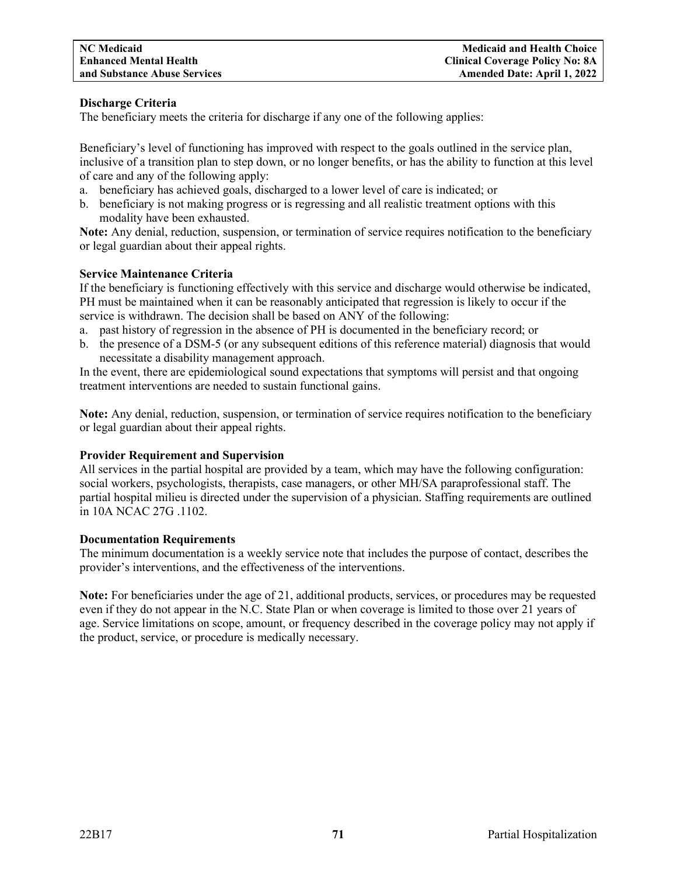# **Discharge Criteria**

The beneficiary meets the criteria for discharge if any one of the following applies:

Beneficiary's level of functioning has improved with respect to the goals outlined in the service plan, inclusive of a transition plan to step down, or no longer benefits, or has the ability to function at this level of care and any of the following apply:

- a. beneficiary has achieved goals, discharged to a lower level of care is indicated; or
- b. beneficiary is not making progress or is regressing and all realistic treatment options with this modality have been exhausted.

**Note:** Any denial, reduction, suspension, or termination of service requires notification to the beneficiary or legal guardian about their appeal rights.

# **Service Maintenance Criteria**

If the beneficiary is functioning effectively with this service and discharge would otherwise be indicated, PH must be maintained when it can be reasonably anticipated that regression is likely to occur if the service is withdrawn. The decision shall be based on ANY of the following:

- a. past history of regression in the absence of PH is documented in the beneficiary record; or
- b. the presence of a DSM-5 (or any subsequent editions of this reference material) diagnosis that would necessitate a disability management approach.

In the event, there are epidemiological sound expectations that symptoms will persist and that ongoing treatment interventions are needed to sustain functional gains.

**Note:** Any denial, reduction, suspension, or termination of service requires notification to the beneficiary or legal guardian about their appeal rights.

# **Provider Requirement and Supervision**

All services in the partial hospital are provided by a team, which may have the following configuration: social workers, psychologists, therapists, case managers, or other MH/SA paraprofessional staff. The partial hospital milieu is directed under the supervision of a physician. Staffing requirements are outlined in 10A NCAC 27G .1102.

# **Documentation Requirements**

The minimum documentation is a weekly service note that includes the purpose of contact, describes the provider's interventions, and the effectiveness of the interventions.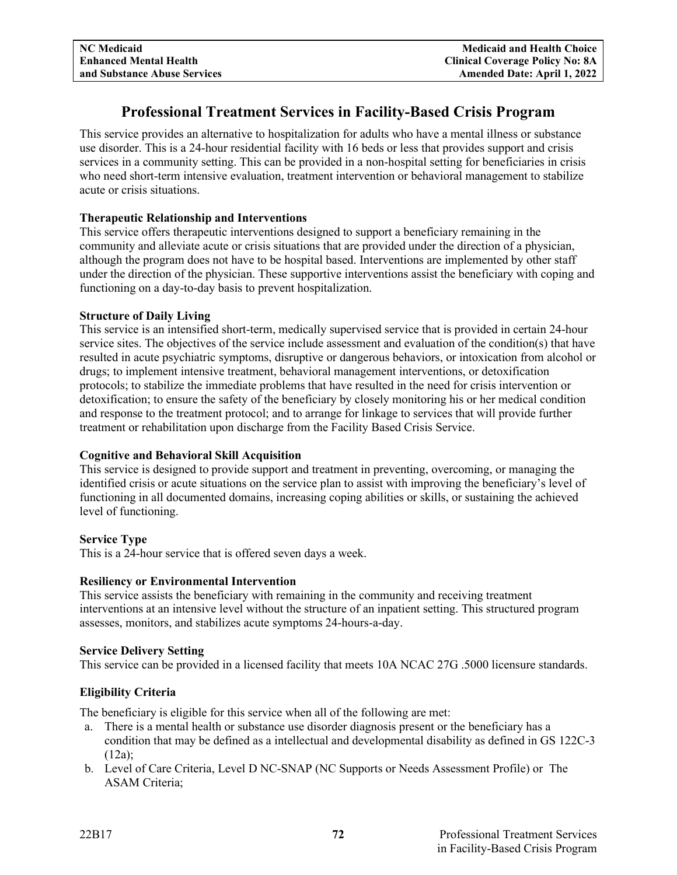# **Professional Treatment Services in Facility-Based Crisis Program**

This service provides an alternative to hospitalization for adults who have a mental illness or substance use disorder. This is a 24-hour residential facility with 16 beds or less that provides support and crisis services in a community setting. This can be provided in a non-hospital setting for beneficiaries in crisis who need short-term intensive evaluation, treatment intervention or behavioral management to stabilize acute or crisis situations.

# **Therapeutic Relationship and Interventions**

This service offers therapeutic interventions designed to support a beneficiary remaining in the community and alleviate acute or crisis situations that are provided under the direction of a physician, although the program does not have to be hospital based. Interventions are implemented by other staff under the direction of the physician. These supportive interventions assist the beneficiary with coping and functioning on a day-to-day basis to prevent hospitalization.

# **Structure of Daily Living**

This service is an intensified short-term, medically supervised service that is provided in certain 24-hour service sites. The objectives of the service include assessment and evaluation of the condition(s) that have resulted in acute psychiatric symptoms, disruptive or dangerous behaviors, or intoxication from alcohol or drugs; to implement intensive treatment, behavioral management interventions, or detoxification protocols; to stabilize the immediate problems that have resulted in the need for crisis intervention or detoxification; to ensure the safety of the beneficiary by closely monitoring his or her medical condition and response to the treatment protocol; and to arrange for linkage to services that will provide further treatment or rehabilitation upon discharge from the Facility Based Crisis Service.

# **Cognitive and Behavioral Skill Acquisition**

This service is designed to provide support and treatment in preventing, overcoming, or managing the identified crisis or acute situations on the service plan to assist with improving the beneficiary's level of functioning in all documented domains, increasing coping abilities or skills, or sustaining the achieved level of functioning.

# **Service Type**

This is a 24-hour service that is offered seven days a week.

# **Resiliency or Environmental Intervention**

This service assists the beneficiary with remaining in the community and receiving treatment interventions at an intensive level without the structure of an inpatient setting. This structured program assesses, monitors, and stabilizes acute symptoms 24-hours-a-day.

# **Service Delivery Setting**

This service can be provided in a licensed facility that meets 10A NCAC 27G .5000 licensure standards.

# **Eligibility Criteria**

The beneficiary is eligible for this service when all of the following are met:

- a. There is a mental health or substance use disorder diagnosis present or the beneficiary has a condition that may be defined as a intellectual and developmental disability as defined in GS 122C-3 (12a);
- b. Level of Care Criteria, Level D NC-SNAP (NC Supports or Needs Assessment Profile) or The ASAM Criteria;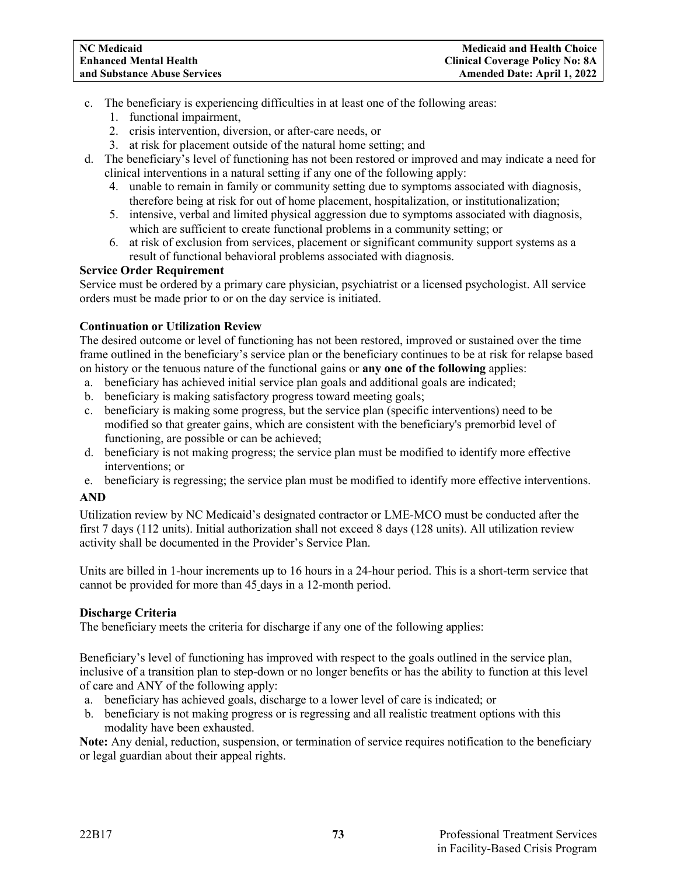- c. The beneficiary is experiencing difficulties in at least one of the following areas:
	- 1. functional impairment,
	- 2. crisis intervention, diversion, or after-care needs, or
	- 3. at risk for placement outside of the natural home setting; and
- d. The beneficiary's level of functioning has not been restored or improved and may indicate a need for clinical interventions in a natural setting if any one of the following apply:
	- 4. unable to remain in family or community setting due to symptoms associated with diagnosis, therefore being at risk for out of home placement, hospitalization, or institutionalization;
	- 5. intensive, verbal and limited physical aggression due to symptoms associated with diagnosis, which are sufficient to create functional problems in a community setting; or
	- 6. at risk of exclusion from services, placement or significant community support systems as a result of functional behavioral problems associated with diagnosis.

# **Service Order Requirement**

Service must be ordered by a primary care physician, psychiatrist or a licensed psychologist. All service orders must be made prior to or on the day service is initiated.

# **Continuation or Utilization Review**

The desired outcome or level of functioning has not been restored, improved or sustained over the time frame outlined in the beneficiary's service plan or the beneficiary continues to be at risk for relapse based on history or the tenuous nature of the functional gains or **any one of the following** applies:

- a. beneficiary has achieved initial service plan goals and additional goals are indicated;
- b. beneficiary is making satisfactory progress toward meeting goals;
- c. beneficiary is making some progress, but the service plan (specific interventions) need to be modified so that greater gains, which are consistent with the beneficiary's premorbid level of functioning, are possible or can be achieved;
- d. beneficiary is not making progress; the service plan must be modified to identify more effective interventions; or
- e. beneficiary is regressing; the service plan must be modified to identify more effective interventions.

# **AND**

Utilization review by NC Medicaid's designated contractor or LME-MCO must be conducted after the first 7 days (112 units). Initial authorization shall not exceed 8 days (128 units). All utilization review activity shall be documented in the Provider's Service Plan.

Units are billed in 1-hour increments up to 16 hours in a 24-hour period. This is a short-term service that cannot be provided for more than 45 days in a 12-month period.

# **Discharge Criteria**

The beneficiary meets the criteria for discharge if any one of the following applies:

Beneficiary's level of functioning has improved with respect to the goals outlined in the service plan, inclusive of a transition plan to step-down or no longer benefits or has the ability to function at this level of care and ANY of the following apply:

- a. beneficiary has achieved goals, discharge to a lower level of care is indicated; or
- b. beneficiary is not making progress or is regressing and all realistic treatment options with this modality have been exhausted.

**Note:** Any denial, reduction, suspension, or termination of service requires notification to the beneficiary or legal guardian about their appeal rights.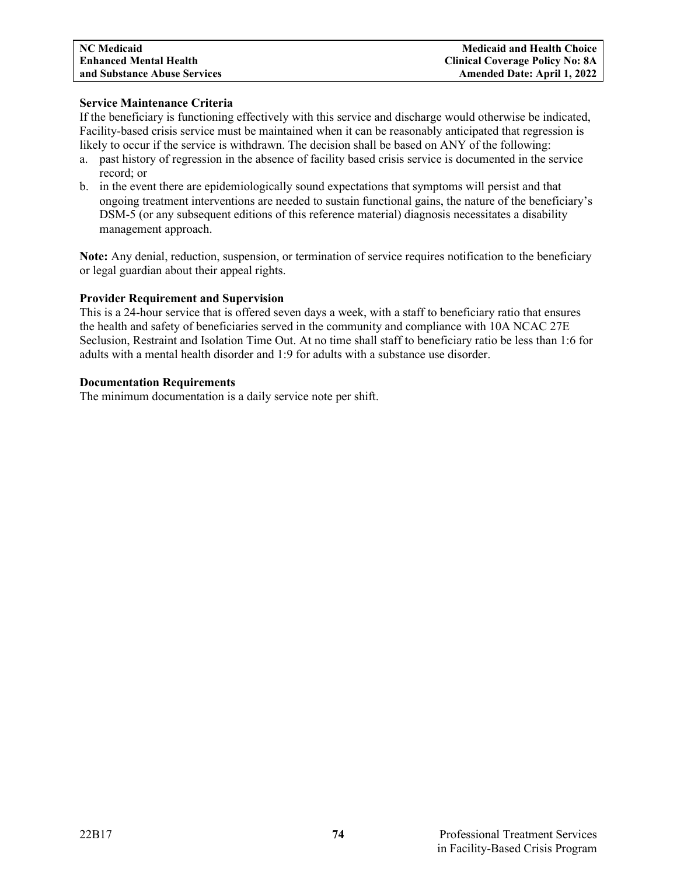# **Service Maintenance Criteria**

If the beneficiary is functioning effectively with this service and discharge would otherwise be indicated, Facility-based crisis service must be maintained when it can be reasonably anticipated that regression is likely to occur if the service is withdrawn. The decision shall be based on ANY of the following:

- a. past history of regression in the absence of facility based crisis service is documented in the service record; or
- b. in the event there are epidemiologically sound expectations that symptoms will persist and that ongoing treatment interventions are needed to sustain functional gains, the nature of the beneficiary's DSM-5 (or any subsequent editions of this reference material) diagnosis necessitates a disability management approach.

**Note:** Any denial, reduction, suspension, or termination of service requires notification to the beneficiary or legal guardian about their appeal rights.

# **Provider Requirement and Supervision**

This is a 24-hour service that is offered seven days a week, with a staff to beneficiary ratio that ensures the health and safety of beneficiaries served in the community and compliance with 10A NCAC 27E Seclusion, Restraint and Isolation Time Out. At no time shall staff to beneficiary ratio be less than 1:6 for adults with a mental health disorder and 1:9 for adults with a substance use disorder.

#### **Documentation Requirements**

The minimum documentation is a daily service note per shift.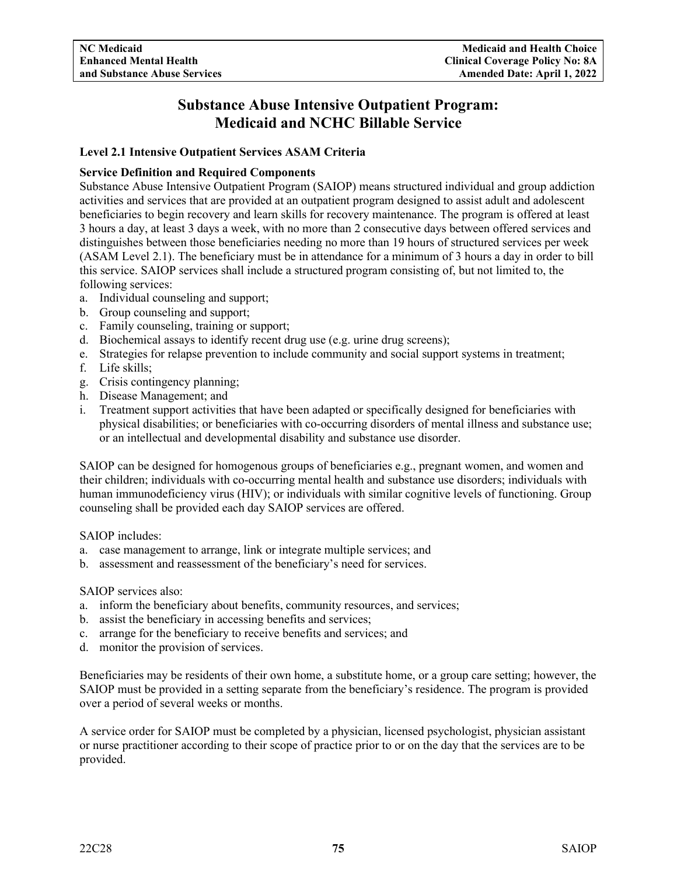# **Substance Abuse Intensive Outpatient Program: Medicaid and NCHC Billable Service**

# **Level 2.1 Intensive Outpatient Services ASAM Criteria**

# **Service Definition and Required Components**

Substance Abuse Intensive Outpatient Program (SAIOP) means structured individual and group addiction activities and services that are provided at an outpatient program designed to assist adult and adolescent beneficiaries to begin recovery and learn skills for recovery maintenance. The program is offered at least 3 hours a day, at least 3 days a week, with no more than 2 consecutive days between offered services and distinguishes between those beneficiaries needing no more than 19 hours of structured services per week (ASAM Level 2.1). The beneficiary must be in attendance for a minimum of 3 hours a day in order to bill this service. SAIOP services shall include a structured program consisting of, but not limited to, the following services:

- a. Individual counseling and support;
- b. Group counseling and support;
- c. Family counseling, training or support;
- d. Biochemical assays to identify recent drug use (e.g. urine drug screens);
- e. Strategies for relapse prevention to include community and social support systems in treatment;
- f. Life skills;
- g. Crisis contingency planning;
- h. Disease Management; and
- i. Treatment support activities that have been adapted or specifically designed for beneficiaries with physical disabilities; or beneficiaries with co-occurring disorders of mental illness and substance use; or an intellectual and developmental disability and substance use disorder.

SAIOP can be designed for homogenous groups of beneficiaries e.g., pregnant women, and women and their children; individuals with co-occurring mental health and substance use disorders; individuals with human immunodeficiency virus (HIV); or individuals with similar cognitive levels of functioning. Group counseling shall be provided each day SAIOP services are offered.

SAIOP includes:

- a. case management to arrange, link or integrate multiple services; and
- b. assessment and reassessment of the beneficiary's need for services.

# SAIOP services also:

- a. inform the beneficiary about benefits, community resources, and services;
- b. assist the beneficiary in accessing benefits and services;
- c. arrange for the beneficiary to receive benefits and services; and
- d. monitor the provision of services.

Beneficiaries may be residents of their own home, a substitute home, or a group care setting; however, the SAIOP must be provided in a setting separate from the beneficiary's residence. The program is provided over a period of several weeks or months.

A service order for SAIOP must be completed by a physician, licensed psychologist, physician assistant or nurse practitioner according to their scope of practice prior to or on the day that the services are to be provided.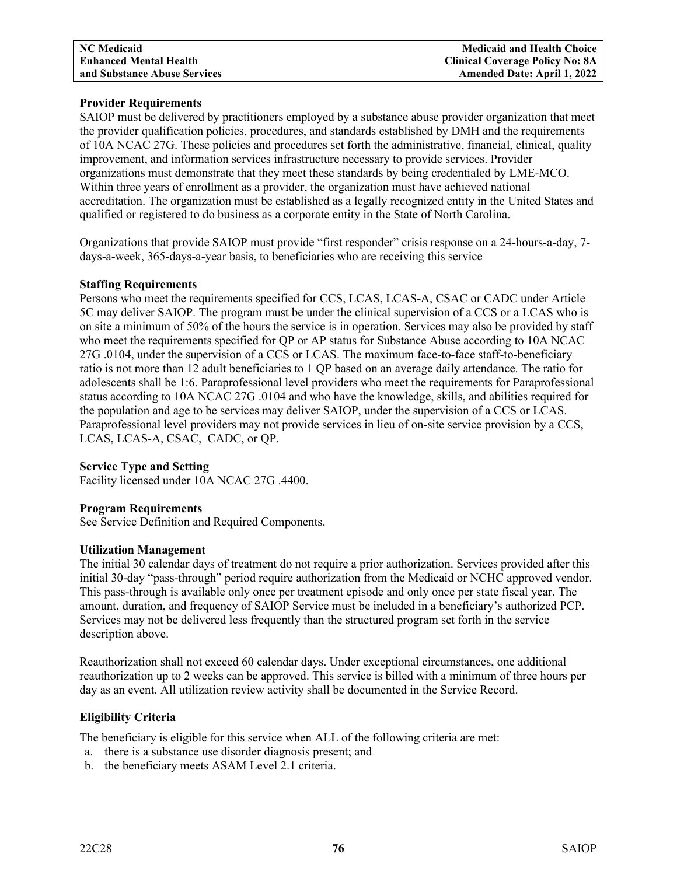# **Provider Requirements**

SAIOP must be delivered by practitioners employed by a substance abuse provider organization that meet the provider qualification policies, procedures, and standards established by DMH and the requirements of 10A NCAC 27G. These policies and procedures set forth the administrative, financial, clinical, quality improvement, and information services infrastructure necessary to provide services. Provider organizations must demonstrate that they meet these standards by being credentialed by LME-MCO. Within three years of enrollment as a provider, the organization must have achieved national accreditation. The organization must be established as a legally recognized entity in the United States and qualified or registered to do business as a corporate entity in the State of North Carolina.

Organizations that provide SAIOP must provide "first responder" crisis response on a 24-hours-a-day, 7 days-a-week, 365-days-a-year basis, to beneficiaries who are receiving this service

# **Staffing Requirements**

Persons who meet the requirements specified for CCS, LCAS, LCAS-A, CSAC or CADC under Article 5C may deliver SAIOP. The program must be under the clinical supervision of a CCS or a LCAS who is on site a minimum of 50% of the hours the service is in operation. Services may also be provided by staff who meet the requirements specified for QP or AP status for Substance Abuse according to 10A NCAC 27G .0104, under the supervision of a CCS or LCAS. The maximum face-to-face staff-to-beneficiary ratio is not more than 12 adult beneficiaries to 1 QP based on an average daily attendance. The ratio for adolescents shall be 1:6. Paraprofessional level providers who meet the requirements for Paraprofessional status according to 10A NCAC 27G .0104 and who have the knowledge, skills, and abilities required for the population and age to be services may deliver SAIOP, under the supervision of a CCS or LCAS. Paraprofessional level providers may not provide services in lieu of on-site service provision by a CCS, LCAS, LCAS-A, CSAC, CADC, or QP.

# **Service Type and Setting**

Facility licensed under 10A NCAC 27G .4400.

# **Program Requirements**

See Service Definition and Required Components.

# **Utilization Management**

The initial 30 calendar days of treatment do not require a prior authorization. Services provided after this initial 30-day "pass-through" period require authorization from the Medicaid or NCHC approved vendor. This pass-through is available only once per treatment episode and only once per state fiscal year. The amount, duration, and frequency of SAIOP Service must be included in a beneficiary's authorized PCP. Services may not be delivered less frequently than the structured program set forth in the service description above.

Reauthorization shall not exceed 60 calendar days. Under exceptional circumstances, one additional reauthorization up to 2 weeks can be approved. This service is billed with a minimum of three hours per day as an event. All utilization review activity shall be documented in the Service Record.

# **Eligibility Criteria**

The beneficiary is eligible for this service when ALL of the following criteria are met:

- a. there is a substance use disorder diagnosis present; and
- b. the beneficiary meets ASAM Level 2.1 criteria.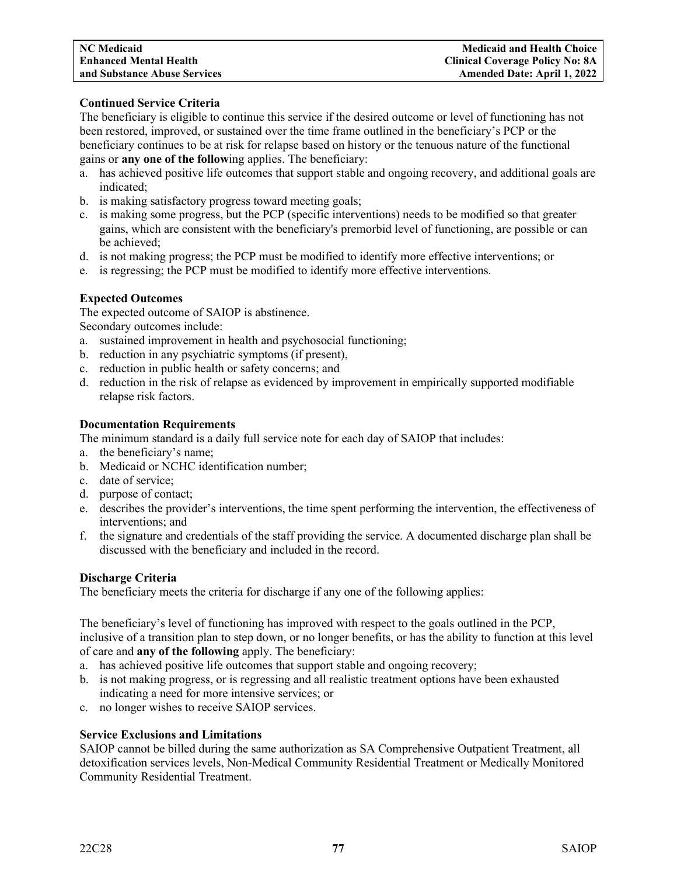# **Continued Service Criteria**

The beneficiary is eligible to continue this service if the desired outcome or level of functioning has not been restored, improved, or sustained over the time frame outlined in the beneficiary's PCP or the beneficiary continues to be at risk for relapse based on history or the tenuous nature of the functional gains or **any one of the follow**ing applies. The beneficiary:

- a. has achieved positive life outcomes that support stable and ongoing recovery, and additional goals are indicated;
- b. is making satisfactory progress toward meeting goals;
- c. is making some progress, but the PCP (specific interventions) needs to be modified so that greater gains, which are consistent with the beneficiary's premorbid level of functioning, are possible or can be achieved;
- d. is not making progress; the PCP must be modified to identify more effective interventions; or
- e. is regressing; the PCP must be modified to identify more effective interventions.

# **Expected Outcomes**

The expected outcome of SAIOP is abstinence.

Secondary outcomes include:

- a. sustained improvement in health and psychosocial functioning;
- b. reduction in any psychiatric symptoms (if present),
- c. reduction in public health or safety concerns; and
- d. reduction in the risk of relapse as evidenced by improvement in empirically supported modifiable relapse risk factors.

#### **Documentation Requirements**

The minimum standard is a daily full service note for each day of SAIOP that includes:

- a. the beneficiary's name;
- b. Medicaid or NCHC identification number;
- c. date of service;
- d. purpose of contact;
- e. describes the provider's interventions, the time spent performing the intervention, the effectiveness of interventions; and
- f. the signature and credentials of the staff providing the service. A documented discharge plan shall be discussed with the beneficiary and included in the record.

#### **Discharge Criteria**

The beneficiary meets the criteria for discharge if any one of the following applies:

The beneficiary's level of functioning has improved with respect to the goals outlined in the PCP, inclusive of a transition plan to step down, or no longer benefits, or has the ability to function at this level of care and **any of the following** apply. The beneficiary:

- a. has achieved positive life outcomes that support stable and ongoing recovery;
- b. is not making progress, or is regressing and all realistic treatment options have been exhausted indicating a need for more intensive services; or
- c. no longer wishes to receive SAIOP services.

# **Service Exclusions and Limitations**

SAIOP cannot be billed during the same authorization as SA Comprehensive Outpatient Treatment, all detoxification services levels, Non-Medical Community Residential Treatment or Medically Monitored Community Residential Treatment.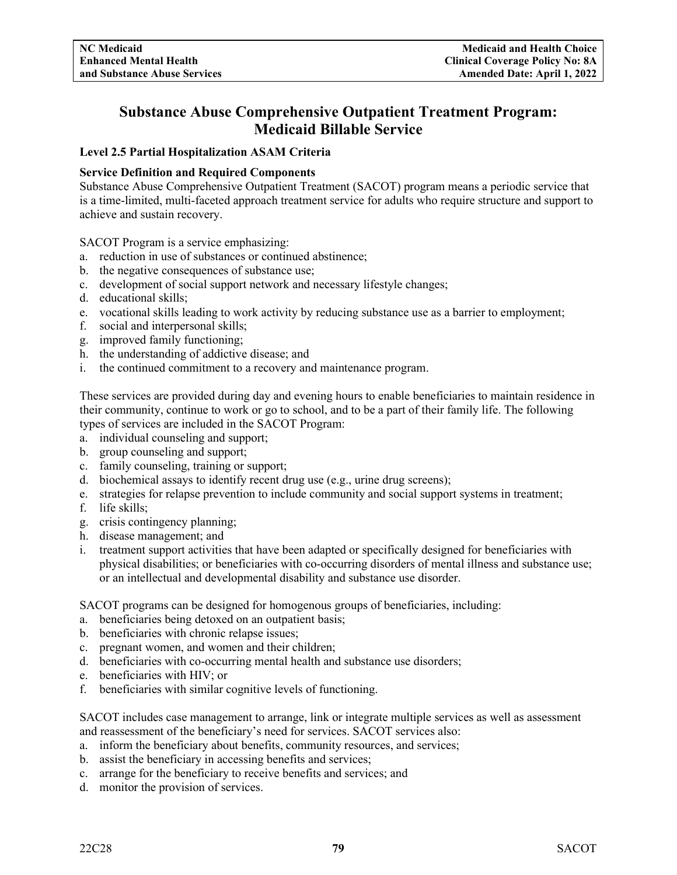# **Substance Abuse Comprehensive Outpatient Treatment Program: Medicaid Billable Service**

# **Level 2.5 Partial Hospitalization ASAM Criteria**

# **Service Definition and Required Components**

Substance Abuse Comprehensive Outpatient Treatment (SACOT) program means a periodic service that is a time-limited, multi-faceted approach treatment service for adults who require structure and support to achieve and sustain recovery.

SACOT Program is a service emphasizing:

- a. reduction in use of substances or continued abstinence;
- b. the negative consequences of substance use;
- c. development of social support network and necessary lifestyle changes;
- d. educational skills;
- e. vocational skills leading to work activity by reducing substance use as a barrier to employment;
- f. social and interpersonal skills;
- g. improved family functioning;
- h. the understanding of addictive disease; and
- i. the continued commitment to a recovery and maintenance program.

These services are provided during day and evening hours to enable beneficiaries to maintain residence in their community, continue to work or go to school, and to be a part of their family life. The following types of services are included in the SACOT Program:

- a. individual counseling and support;
- b. group counseling and support;
- c. family counseling, training or support;
- d. biochemical assays to identify recent drug use (e.g., urine drug screens);
- e. strategies for relapse prevention to include community and social support systems in treatment;
- f. life skills;
- g. crisis contingency planning;
- h. disease management; and
- i. treatment support activities that have been adapted or specifically designed for beneficiaries with physical disabilities; or beneficiaries with co-occurring disorders of mental illness and substance use; or an intellectual and developmental disability and substance use disorder.

SACOT programs can be designed for homogenous groups of beneficiaries, including:

- a. beneficiaries being detoxed on an outpatient basis;
- b. beneficiaries with chronic relapse issues;
- c. pregnant women, and women and their children;
- d. beneficiaries with co-occurring mental health and substance use disorders;
- e. beneficiaries with HIV; or
- f. beneficiaries with similar cognitive levels of functioning.

SACOT includes case management to arrange, link or integrate multiple services as well as assessment and reassessment of the beneficiary's need for services. SACOT services also:

- a. inform the beneficiary about benefits, community resources, and services;
- b. assist the beneficiary in accessing benefits and services;
- c. arrange for the beneficiary to receive benefits and services; and
- d. monitor the provision of services.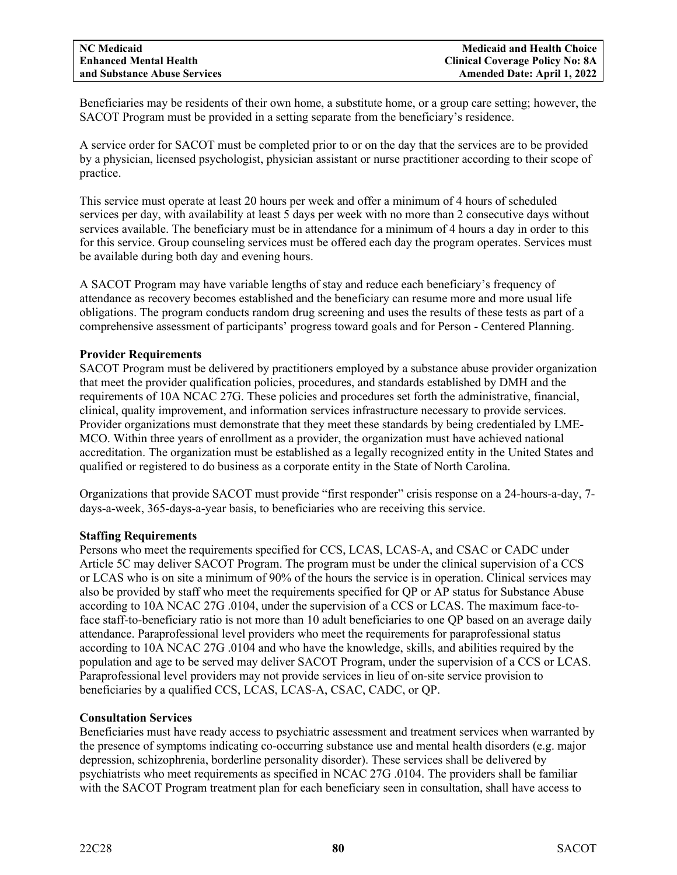Beneficiaries may be residents of their own home, a substitute home, or a group care setting; however, the SACOT Program must be provided in a setting separate from the beneficiary's residence.

A service order for SACOT must be completed prior to or on the day that the services are to be provided by a physician, licensed psychologist, physician assistant or nurse practitioner according to their scope of practice.

This service must operate at least 20 hours per week and offer a minimum of 4 hours of scheduled services per day, with availability at least 5 days per week with no more than 2 consecutive days without services available. The beneficiary must be in attendance for a minimum of 4 hours a day in order to this for this service. Group counseling services must be offered each day the program operates. Services must be available during both day and evening hours.

A SACOT Program may have variable lengths of stay and reduce each beneficiary's frequency of attendance as recovery becomes established and the beneficiary can resume more and more usual life obligations. The program conducts random drug screening and uses the results of these tests as part of a comprehensive assessment of participants' progress toward goals and for Person - Centered Planning.

#### **Provider Requirements**

SACOT Program must be delivered by practitioners employed by a substance abuse provider organization that meet the provider qualification policies, procedures, and standards established by DMH and the requirements of 10A NCAC 27G. These policies and procedures set forth the administrative, financial, clinical, quality improvement, and information services infrastructure necessary to provide services. Provider organizations must demonstrate that they meet these standards by being credentialed by LME-MCO. Within three years of enrollment as a provider, the organization must have achieved national accreditation. The organization must be established as a legally recognized entity in the United States and qualified or registered to do business as a corporate entity in the State of North Carolina.

Organizations that provide SACOT must provide "first responder" crisis response on a 24-hours-a-day, 7 days-a-week, 365-days-a-year basis, to beneficiaries who are receiving this service.

#### **Staffing Requirements**

Persons who meet the requirements specified for CCS, LCAS, LCAS-A, and CSAC or CADC under Article 5C may deliver SACOT Program. The program must be under the clinical supervision of a CCS or LCAS who is on site a minimum of 90% of the hours the service is in operation. Clinical services may also be provided by staff who meet the requirements specified for QP or AP status for Substance Abuse according to 10A NCAC 27G .0104, under the supervision of a CCS or LCAS. The maximum face-toface staff-to-beneficiary ratio is not more than 10 adult beneficiaries to one QP based on an average daily attendance. Paraprofessional level providers who meet the requirements for paraprofessional status according to 10A NCAC 27G .0104 and who have the knowledge, skills, and abilities required by the population and age to be served may deliver SACOT Program, under the supervision of a CCS or LCAS. Paraprofessional level providers may not provide services in lieu of on-site service provision to beneficiaries by a qualified CCS, LCAS, LCAS-A, CSAC, CADC, or QP.

#### **Consultation Services**

Beneficiaries must have ready access to psychiatric assessment and treatment services when warranted by the presence of symptoms indicating co-occurring substance use and mental health disorders (e.g. major depression, schizophrenia, borderline personality disorder). These services shall be delivered by psychiatrists who meet requirements as specified in NCAC 27G .0104. The providers shall be familiar with the SACOT Program treatment plan for each beneficiary seen in consultation, shall have access to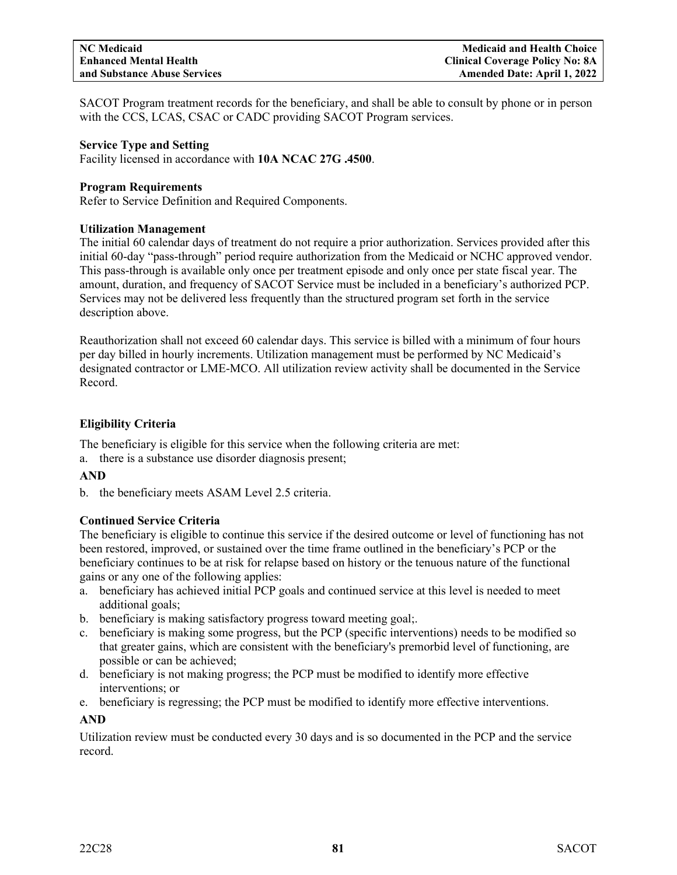SACOT Program treatment records for the beneficiary, and shall be able to consult by phone or in person with the CCS, LCAS, CSAC or CADC providing SACOT Program services.

#### **Service Type and Setting**

Facility licensed in accordance with **10A NCAC 27G .4500**.

#### **Program Requirements**

Refer to Service Definition and Required Components.

#### **Utilization Management**

The initial 60 calendar days of treatment do not require a prior authorization. Services provided after this initial 60-day "pass-through" period require authorization from the Medicaid or NCHC approved vendor. This pass-through is available only once per treatment episode and only once per state fiscal year. The amount, duration, and frequency of SACOT Service must be included in a beneficiary's authorized PCP. Services may not be delivered less frequently than the structured program set forth in the service description above.

Reauthorization shall not exceed 60 calendar days. This service is billed with a minimum of four hours per day billed in hourly increments. Utilization management must be performed by NC Medicaid's designated contractor or LME-MCO. All utilization review activity shall be documented in the Service Record.

# **Eligibility Criteria**

The beneficiary is eligible for this service when the following criteria are met:

a. there is a substance use disorder diagnosis present;

# **AND**

b. the beneficiary meets ASAM Level 2.5 criteria.

# **Continued Service Criteria**

The beneficiary is eligible to continue this service if the desired outcome or level of functioning has not been restored, improved, or sustained over the time frame outlined in the beneficiary's PCP or the beneficiary continues to be at risk for relapse based on history or the tenuous nature of the functional gains or any one of the following applies:

- a. beneficiary has achieved initial PCP goals and continued service at this level is needed to meet additional goals;
- b. beneficiary is making satisfactory progress toward meeting goal;.
- c. beneficiary is making some progress, but the PCP (specific interventions) needs to be modified so that greater gains, which are consistent with the beneficiary's premorbid level of functioning, are possible or can be achieved;
- d. beneficiary is not making progress; the PCP must be modified to identify more effective interventions; or
- e. beneficiary is regressing; the PCP must be modified to identify more effective interventions.

# **AND**

Utilization review must be conducted every 30 days and is so documented in the PCP and the service record.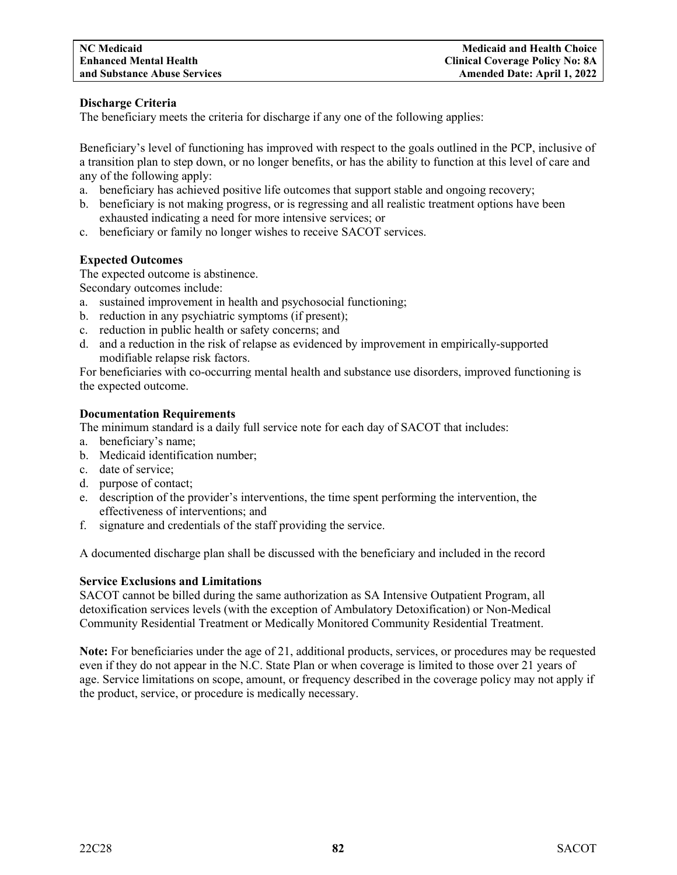# **Discharge Criteria**

The beneficiary meets the criteria for discharge if any one of the following applies:

Beneficiary's level of functioning has improved with respect to the goals outlined in the PCP, inclusive of a transition plan to step down, or no longer benefits, or has the ability to function at this level of care and any of the following apply:

- a. beneficiary has achieved positive life outcomes that support stable and ongoing recovery;
- b. beneficiary is not making progress, or is regressing and all realistic treatment options have been exhausted indicating a need for more intensive services; or
- c. beneficiary or family no longer wishes to receive SACOT services.

#### **Expected Outcomes**

The expected outcome is abstinence.

Secondary outcomes include:

- a. sustained improvement in health and psychosocial functioning;
- b. reduction in any psychiatric symptoms (if present);
- c. reduction in public health or safety concerns; and
- d. and a reduction in the risk of relapse as evidenced by improvement in empirically-supported modifiable relapse risk factors.

For beneficiaries with co-occurring mental health and substance use disorders, improved functioning is the expected outcome.

#### **Documentation Requirements**

The minimum standard is a daily full service note for each day of SACOT that includes:

- a. beneficiary's name;
- b. Medicaid identification number;
- c. date of service;
- d. purpose of contact;
- e. description of the provider's interventions, the time spent performing the intervention, the effectiveness of interventions; and
- f. signature and credentials of the staff providing the service.

A documented discharge plan shall be discussed with the beneficiary and included in the record

# **Service Exclusions and Limitations**

SACOT cannot be billed during the same authorization as SA Intensive Outpatient Program, all detoxification services levels (with the exception of Ambulatory Detoxification) or Non-Medical Community Residential Treatment or Medically Monitored Community Residential Treatment.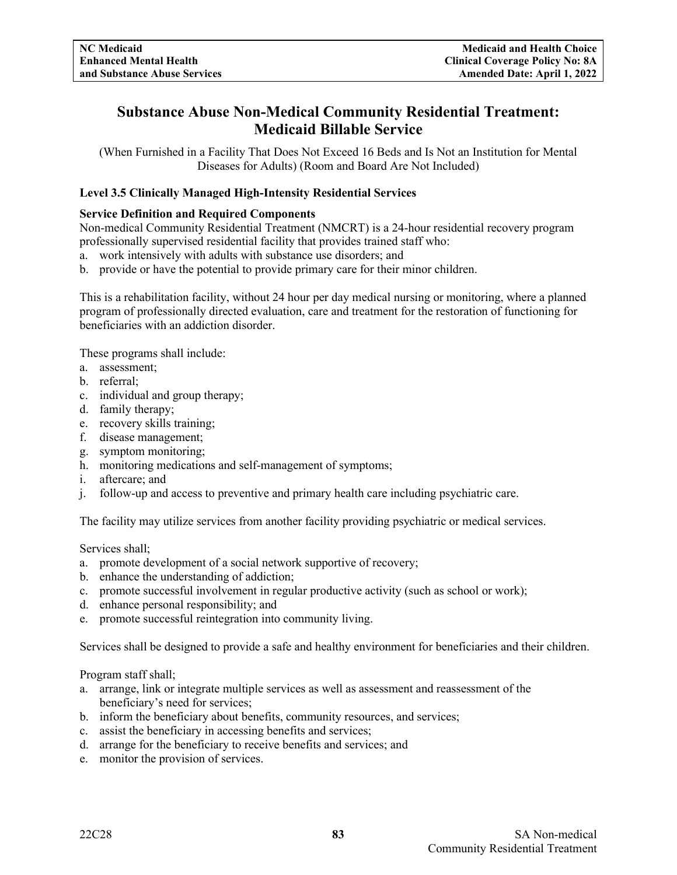# **Substance Abuse Non-Medical Community Residential Treatment: Medicaid Billable Service**

(When Furnished in a Facility That Does Not Exceed 16 Beds and Is Not an Institution for Mental Diseases for Adults) (Room and Board Are Not Included)

# **Level 3.5 Clinically Managed High-Intensity Residential Services**

# **Service Definition and Required Components**

Non-medical Community Residential Treatment (NMCRT) is a 24-hour residential recovery program professionally supervised residential facility that provides trained staff who:

- a. work intensively with adults with substance use disorders; and
- b. provide or have the potential to provide primary care for their minor children.

This is a rehabilitation facility, without 24 hour per day medical nursing or monitoring, where a planned program of professionally directed evaluation, care and treatment for the restoration of functioning for beneficiaries with an addiction disorder.

These programs shall include:

- a. assessment;
- b. referral;
- c. individual and group therapy;
- d. family therapy;
- e. recovery skills training;
- f. disease management;
- g. symptom monitoring;
- h. monitoring medications and self-management of symptoms;
- i. aftercare; and
- j. follow-up and access to preventive and primary health care including psychiatric care.

The facility may utilize services from another facility providing psychiatric or medical services.

Services shall;

- a. promote development of a social network supportive of recovery;
- b. enhance the understanding of addiction;
- c. promote successful involvement in regular productive activity (such as school or work);
- d. enhance personal responsibility; and
- e. promote successful reintegration into community living.

Services shall be designed to provide a safe and healthy environment for beneficiaries and their children.

Program staff shall;

- a. arrange, link or integrate multiple services as well as assessment and reassessment of the beneficiary's need for services;
- b. inform the beneficiary about benefits, community resources, and services;
- c. assist the beneficiary in accessing benefits and services;
- d. arrange for the beneficiary to receive benefits and services; and
- e. monitor the provision of services.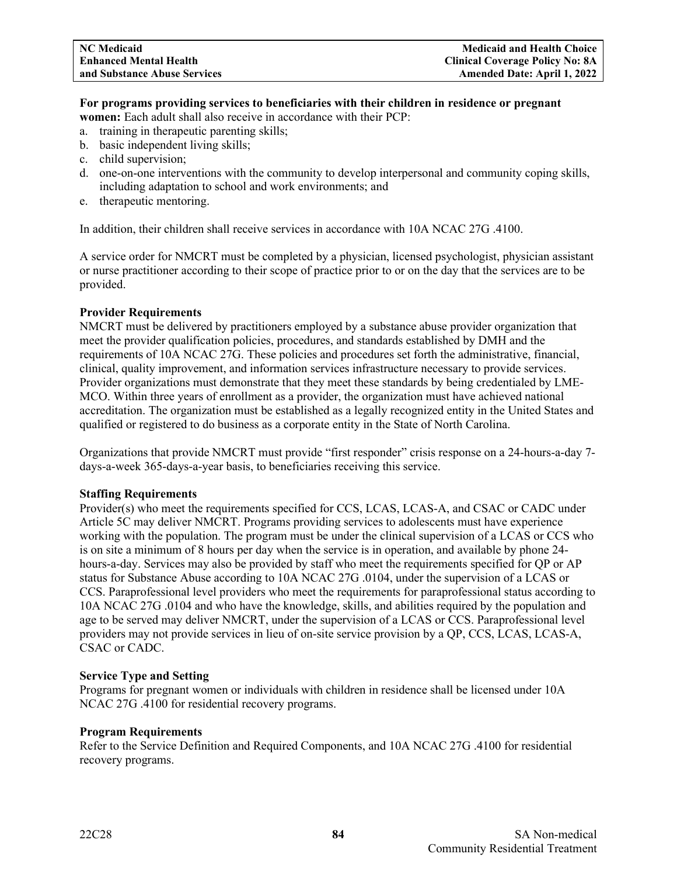#### **For programs providing services to beneficiaries with their children in residence or pregnant women:** Each adult shall also receive in accordance with their PCP:

- a. training in therapeutic parenting skills;
- b. basic independent living skills;
- c. child supervision;
- d. one-on-one interventions with the community to develop interpersonal and community coping skills, including adaptation to school and work environments; and
- e. therapeutic mentoring.

In addition, their children shall receive services in accordance with 10A NCAC 27G .4100.

A service order for NMCRT must be completed by a physician, licensed psychologist, physician assistant or nurse practitioner according to their scope of practice prior to or on the day that the services are to be provided.

# **Provider Requirements**

NMCRT must be delivered by practitioners employed by a substance abuse provider organization that meet the provider qualification policies, procedures, and standards established by DMH and the requirements of 10A NCAC 27G. These policies and procedures set forth the administrative, financial, clinical, quality improvement, and information services infrastructure necessary to provide services. Provider organizations must demonstrate that they meet these standards by being credentialed by LME-MCO. Within three years of enrollment as a provider, the organization must have achieved national accreditation. The organization must be established as a legally recognized entity in the United States and qualified or registered to do business as a corporate entity in the State of North Carolina.

Organizations that provide NMCRT must provide "first responder" crisis response on a 24-hours-a-day 7 days-a-week 365-days-a-year basis, to beneficiaries receiving this service.

# **Staffing Requirements**

Provider(s) who meet the requirements specified for CCS, LCAS, LCAS-A, and CSAC or CADC under Article 5C may deliver NMCRT. Programs providing services to adolescents must have experience working with the population. The program must be under the clinical supervision of a LCAS or CCS who is on site a minimum of 8 hours per day when the service is in operation, and available by phone 24 hours-a-day. Services may also be provided by staff who meet the requirements specified for QP or AP status for Substance Abuse according to 10A NCAC 27G .0104, under the supervision of a LCAS or CCS. Paraprofessional level providers who meet the requirements for paraprofessional status according to 10A NCAC 27G .0104 and who have the knowledge, skills, and abilities required by the population and age to be served may deliver NMCRT, under the supervision of a LCAS or CCS. Paraprofessional level providers may not provide services in lieu of on-site service provision by a QP, CCS, LCAS, LCAS-A, CSAC or CADC.

# **Service Type and Setting**

Programs for pregnant women or individuals with children in residence shall be licensed under 10A NCAC 27G .4100 for residential recovery programs.

# **Program Requirements**

Refer to the Service Definition and Required Components, and 10A NCAC 27G .4100 for residential recovery programs.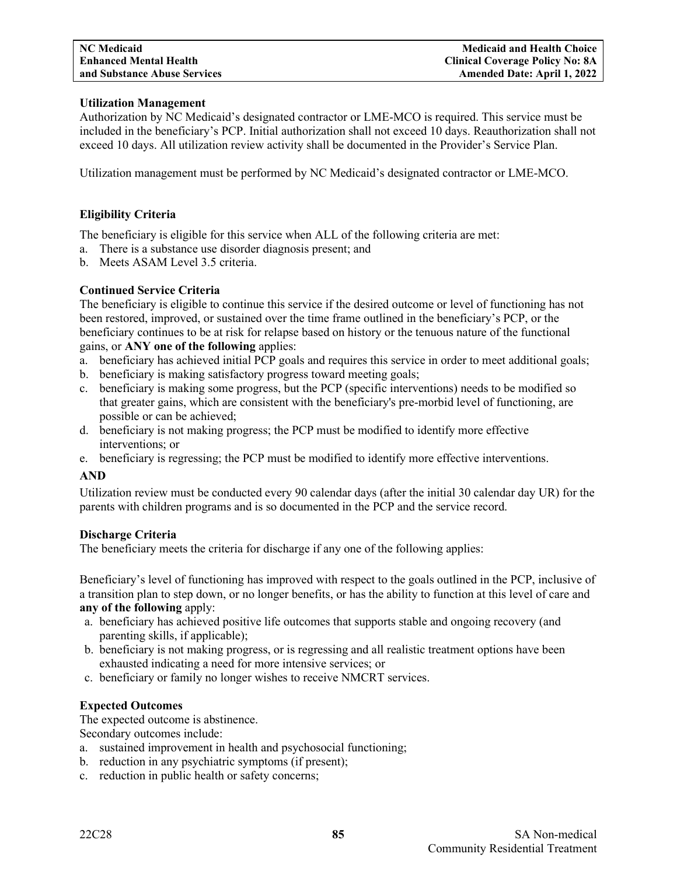# **Utilization Management**

Authorization by NC Medicaid's designated contractor or LME-MCO is required. This service must be included in the beneficiary's PCP. Initial authorization shall not exceed 10 days. Reauthorization shall not exceed 10 days. All utilization review activity shall be documented in the Provider's Service Plan.

Utilization management must be performed by NC Medicaid's designated contractor or LME-MCO.

# **Eligibility Criteria**

The beneficiary is eligible for this service when ALL of the following criteria are met:

- a. There is a substance use disorder diagnosis present; and
- b. Meets ASAM Level 3.5 criteria.

# **Continued Service Criteria**

The beneficiary is eligible to continue this service if the desired outcome or level of functioning has not been restored, improved, or sustained over the time frame outlined in the beneficiary's PCP, or the beneficiary continues to be at risk for relapse based on history or the tenuous nature of the functional gains, or **ANY one of the following** applies:

- a. beneficiary has achieved initial PCP goals and requires this service in order to meet additional goals;
- b. beneficiary is making satisfactory progress toward meeting goals;
- c. beneficiary is making some progress, but the PCP (specific interventions) needs to be modified so that greater gains, which are consistent with the beneficiary's pre-morbid level of functioning, are possible or can be achieved;
- d. beneficiary is not making progress; the PCP must be modified to identify more effective interventions; or
- e. beneficiary is regressing; the PCP must be modified to identify more effective interventions.

# **AND**

Utilization review must be conducted every 90 calendar days (after the initial 30 calendar day UR) for the parents with children programs and is so documented in the PCP and the service record.

# **Discharge Criteria**

The beneficiary meets the criteria for discharge if any one of the following applies:

Beneficiary's level of functioning has improved with respect to the goals outlined in the PCP, inclusive of a transition plan to step down, or no longer benefits, or has the ability to function at this level of care and **any of the following** apply:

- a. beneficiary has achieved positive life outcomes that supports stable and ongoing recovery (and parenting skills, if applicable);
- b. beneficiary is not making progress, or is regressing and all realistic treatment options have been exhausted indicating a need for more intensive services; or
- c. beneficiary or family no longer wishes to receive NMCRT services.

# **Expected Outcomes**

The expected outcome is abstinence.

Secondary outcomes include:

- a. sustained improvement in health and psychosocial functioning;
- b. reduction in any psychiatric symptoms (if present);
- c. reduction in public health or safety concerns;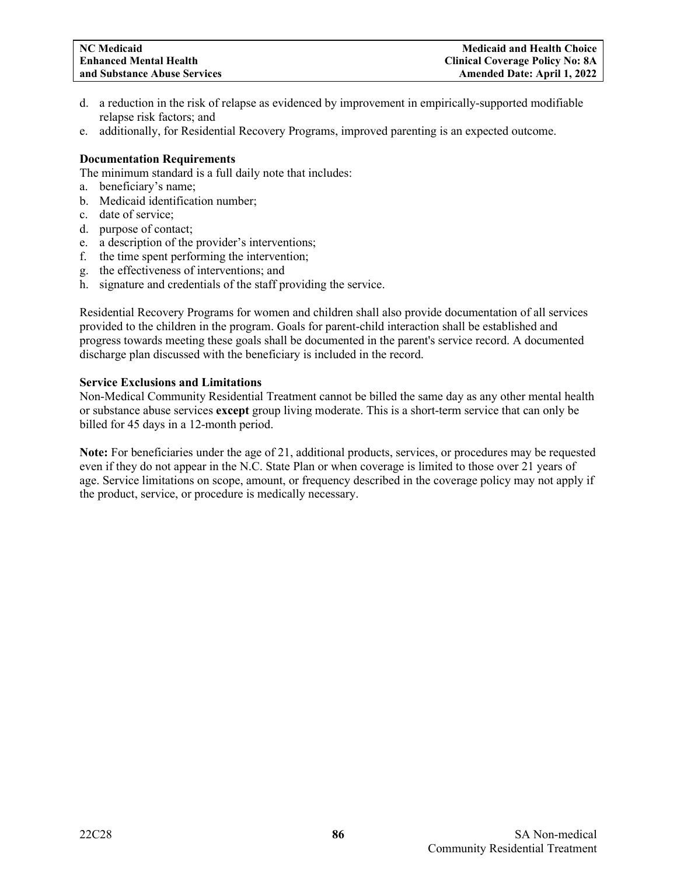- d. a reduction in the risk of relapse as evidenced by improvement in empirically-supported modifiable relapse risk factors; and
- e. additionally, for Residential Recovery Programs, improved parenting is an expected outcome.

#### **Documentation Requirements**

The minimum standard is a full daily note that includes:

- a. beneficiary's name;
- b. Medicaid identification number;
- c. date of service;
- d. purpose of contact;
- e. a description of the provider's interventions;
- f. the time spent performing the intervention;
- g. the effectiveness of interventions; and
- h. signature and credentials of the staff providing the service.

Residential Recovery Programs for women and children shall also provide documentation of all services provided to the children in the program. Goals for parent-child interaction shall be established and progress towards meeting these goals shall be documented in the parent's service record. A documented discharge plan discussed with the beneficiary is included in the record.

#### **Service Exclusions and Limitations**

Non-Medical Community Residential Treatment cannot be billed the same day as any other mental health or substance abuse services **except** group living moderate. This is a short-term service that can only be billed for 45 days in a 12-month period.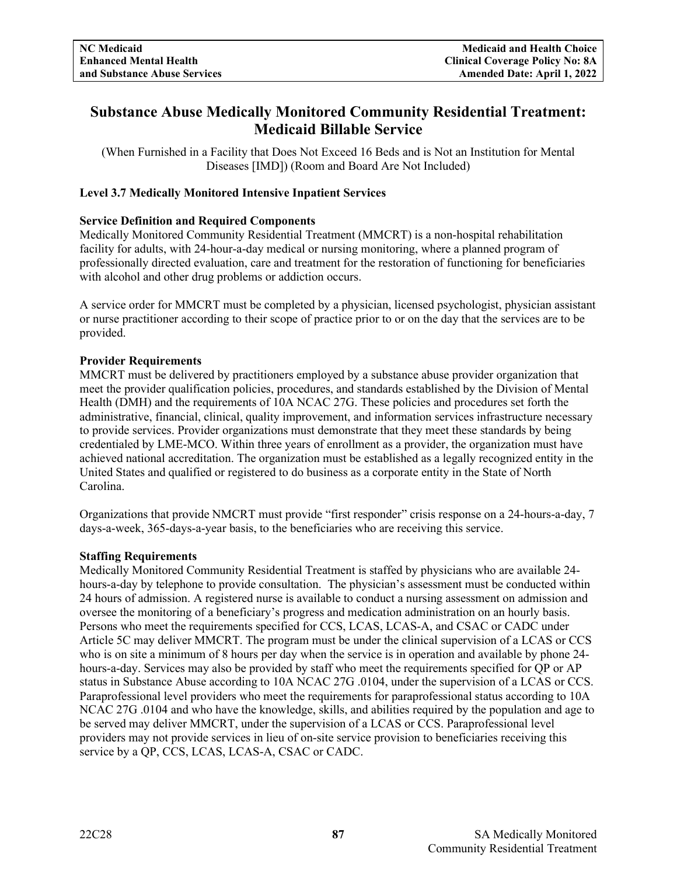# **Substance Abuse Medically Monitored Community Residential Treatment: Medicaid Billable Service**

(When Furnished in a Facility that Does Not Exceed 16 Beds and is Not an Institution for Mental Diseases [IMD]) (Room and Board Are Not Included)

# **Level 3.7 Medically Monitored Intensive Inpatient Services**

# **Service Definition and Required Components**

Medically Monitored Community Residential Treatment (MMCRT) is a non-hospital rehabilitation facility for adults, with 24-hour-a-day medical or nursing monitoring, where a planned program of professionally directed evaluation, care and treatment for the restoration of functioning for beneficiaries with alcohol and other drug problems or addiction occurs.

A service order for MMCRT must be completed by a physician, licensed psychologist, physician assistant or nurse practitioner according to their scope of practice prior to or on the day that the services are to be provided.

# **Provider Requirements**

MMCRT must be delivered by practitioners employed by a substance abuse provider organization that meet the provider qualification policies, procedures, and standards established by the Division of Mental Health (DMH) and the requirements of 10A NCAC 27G. These policies and procedures set forth the administrative, financial, clinical, quality improvement, and information services infrastructure necessary to provide services. Provider organizations must demonstrate that they meet these standards by being credentialed by LME-MCO. Within three years of enrollment as a provider, the organization must have achieved national accreditation. The organization must be established as a legally recognized entity in the United States and qualified or registered to do business as a corporate entity in the State of North Carolina.

Organizations that provide NMCRT must provide "first responder" crisis response on a 24-hours-a-day, 7 days-a-week, 365-days-a-year basis, to the beneficiaries who are receiving this service.

# **Staffing Requirements**

Medically Monitored Community Residential Treatment is staffed by physicians who are available 24 hours-a-day by telephone to provide consultation. The physician's assessment must be conducted within 24 hours of admission. A registered nurse is available to conduct a nursing assessment on admission and oversee the monitoring of a beneficiary's progress and medication administration on an hourly basis. Persons who meet the requirements specified for CCS, LCAS, LCAS-A, and CSAC or CADC under Article 5C may deliver MMCRT. The program must be under the clinical supervision of a LCAS or CCS who is on site a minimum of 8 hours per day when the service is in operation and available by phone 24 hours-a-day. Services may also be provided by staff who meet the requirements specified for QP or AP status in Substance Abuse according to 10A NCAC 27G .0104, under the supervision of a LCAS or CCS. Paraprofessional level providers who meet the requirements for paraprofessional status according to 10A NCAC 27G .0104 and who have the knowledge, skills, and abilities required by the population and age to be served may deliver MMCRT, under the supervision of a LCAS or CCS. Paraprofessional level providers may not provide services in lieu of on-site service provision to beneficiaries receiving this service by a QP, CCS, LCAS, LCAS-A, CSAC or CADC.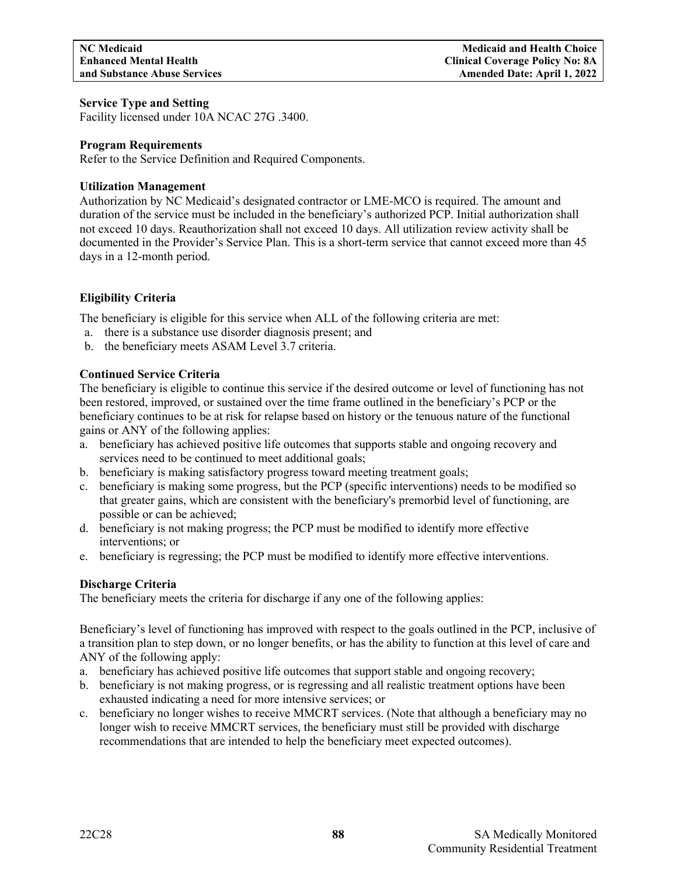#### **Service Type and Setting**

Facility licensed under 10A NCAC 27G .3400.

#### **Program Requirements**

Refer to the Service Definition and Required Components.

#### **Utilization Management**

Authorization by NC Medicaid's designated contractor or LME-MCO is required. The amount and duration of the service must be included in the beneficiary's authorized PCP. Initial authorization shall not exceed 10 days. Reauthorization shall not exceed 10 days. All utilization review activity shall be documented in the Provider's Service Plan. This is a short-term service that cannot exceed more than 45 days in a 12-month period.

# **Eligibility Criteria**

The beneficiary is eligible for this service when ALL of the following criteria are met:

- a. there is a substance use disorder diagnosis present; and
- b. the beneficiary meets ASAM Level 3.7 criteria.

# **Continued Service Criteria**

The beneficiary is eligible to continue this service if the desired outcome or level of functioning has not been restored, improved, or sustained over the time frame outlined in the beneficiary's PCP or the beneficiary continues to be at risk for relapse based on history or the tenuous nature of the functional gains or ANY of the following applies:

- a. beneficiary has achieved positive life outcomes that supports stable and ongoing recovery and services need to be continued to meet additional goals;
- b. beneficiary is making satisfactory progress toward meeting treatment goals;
- c. beneficiary is making some progress, but the PCP (specific interventions) needs to be modified so that greater gains, which are consistent with the beneficiary's premorbid level of functioning, are possible or can be achieved;
- d. beneficiary is not making progress; the PCP must be modified to identify more effective interventions; or
- e. beneficiary is regressing; the PCP must be modified to identify more effective interventions.

# **Discharge Criteria**

The beneficiary meets the criteria for discharge if any one of the following applies:

Beneficiary's level of functioning has improved with respect to the goals outlined in the PCP, inclusive of a transition plan to step down, or no longer benefits, or has the ability to function at this level of care and ANY of the following apply:

- a. beneficiary has achieved positive life outcomes that support stable and ongoing recovery;
- b. beneficiary is not making progress, or is regressing and all realistic treatment options have been exhausted indicating a need for more intensive services; or
- c. beneficiary no longer wishes to receive MMCRT services. (Note that although a beneficiary may no longer wish to receive MMCRT services, the beneficiary must still be provided with discharge recommendations that are intended to help the beneficiary meet expected outcomes).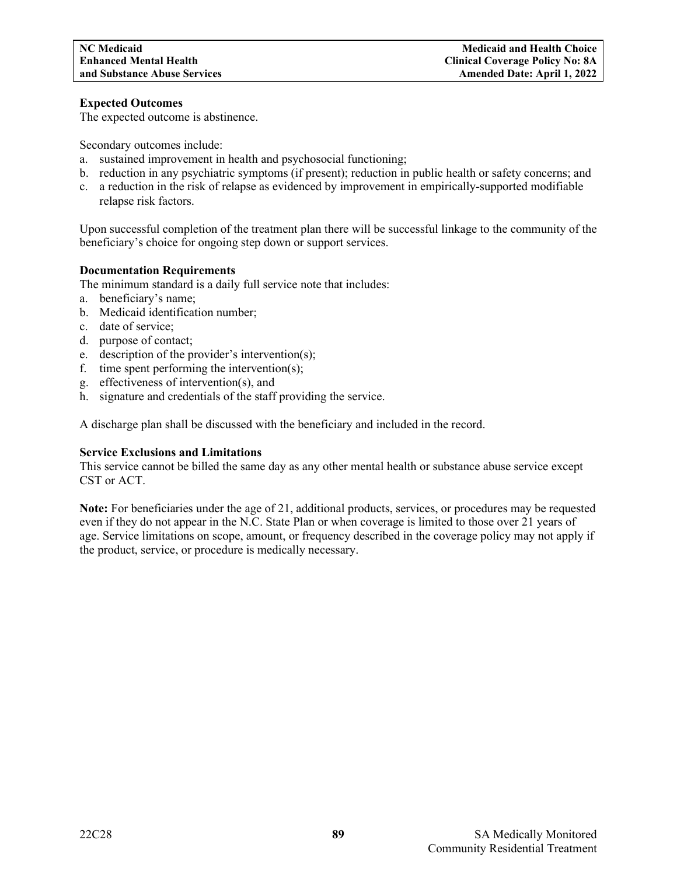# **Expected Outcomes**

The expected outcome is abstinence.

Secondary outcomes include:

- a. sustained improvement in health and psychosocial functioning;
- b. reduction in any psychiatric symptoms (if present); reduction in public health or safety concerns; and
- c. a reduction in the risk of relapse as evidenced by improvement in empirically-supported modifiable relapse risk factors.

Upon successful completion of the treatment plan there will be successful linkage to the community of the beneficiary's choice for ongoing step down or support services.

# **Documentation Requirements**

The minimum standard is a daily full service note that includes:

- a. beneficiary's name;
- b. Medicaid identification number;
- c. date of service;
- d. purpose of contact;
- e. description of the provider's intervention(s);
- f. time spent performing the intervention(s);
- g. effectiveness of intervention(s), and
- h. signature and credentials of the staff providing the service.

A discharge plan shall be discussed with the beneficiary and included in the record.

# **Service Exclusions and Limitations**

This service cannot be billed the same day as any other mental health or substance abuse service except CST or ACT.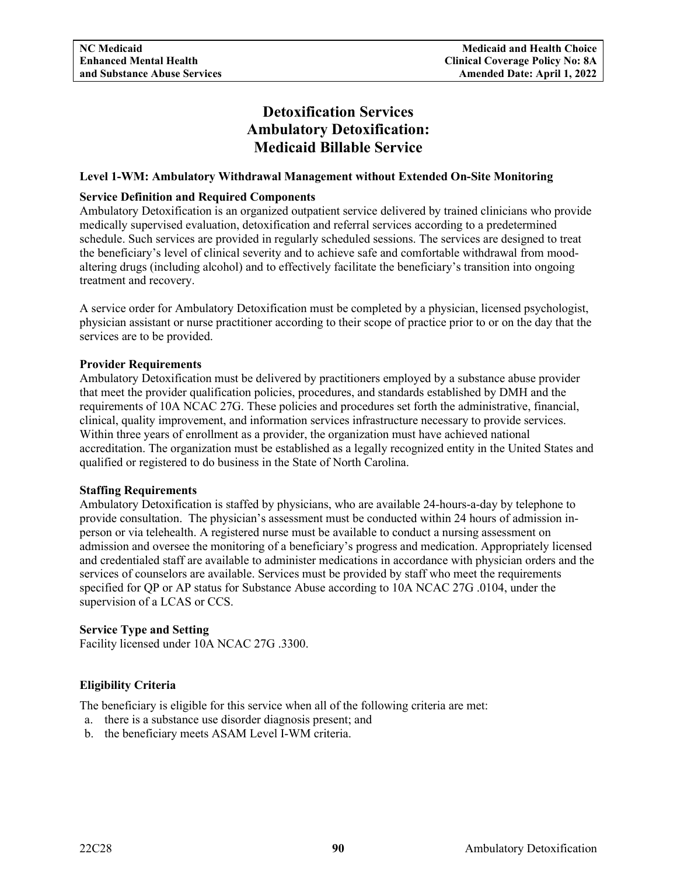# **Detoxification Services Ambulatory Detoxification: Medicaid Billable Service**

# **Level 1-WM: Ambulatory Withdrawal Management without Extended On-Site Monitoring**

# **Service Definition and Required Components**

Ambulatory Detoxification is an organized outpatient service delivered by trained clinicians who provide medically supervised evaluation, detoxification and referral services according to a predetermined schedule. Such services are provided in regularly scheduled sessions. The services are designed to treat the beneficiary's level of clinical severity and to achieve safe and comfortable withdrawal from moodaltering drugs (including alcohol) and to effectively facilitate the beneficiary's transition into ongoing treatment and recovery.

A service order for Ambulatory Detoxification must be completed by a physician, licensed psychologist, physician assistant or nurse practitioner according to their scope of practice prior to or on the day that the services are to be provided.

# **Provider Requirements**

Ambulatory Detoxification must be delivered by practitioners employed by a substance abuse provider that meet the provider qualification policies, procedures, and standards established by DMH and the requirements of 10A NCAC 27G. These policies and procedures set forth the administrative, financial, clinical, quality improvement, and information services infrastructure necessary to provide services. Within three years of enrollment as a provider, the organization must have achieved national accreditation. The organization must be established as a legally recognized entity in the United States and qualified or registered to do business in the State of North Carolina.

# **Staffing Requirements**

Ambulatory Detoxification is staffed by physicians, who are available 24-hours-a-day by telephone to provide consultation. The physician's assessment must be conducted within 24 hours of admission inperson or via telehealth. A registered nurse must be available to conduct a nursing assessment on admission and oversee the monitoring of a beneficiary's progress and medication. Appropriately licensed and credentialed staff are available to administer medications in accordance with physician orders and the services of counselors are available. Services must be provided by staff who meet the requirements specified for QP or AP status for Substance Abuse according to 10A NCAC 27G .0104, under the supervision of a LCAS or CCS.

# **Service Type and Setting**

Facility licensed under 10A NCAC 27G .3300.

# **Eligibility Criteria**

The beneficiary is eligible for this service when all of the following criteria are met:

- a. there is a substance use disorder diagnosis present; and
- b. the beneficiary meets ASAM Level I-WM criteria.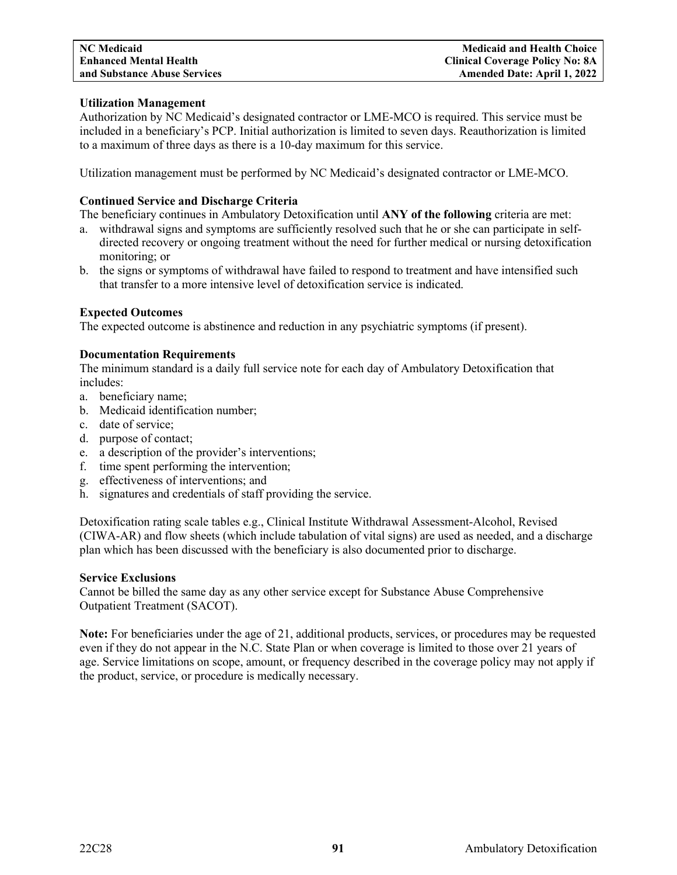# **Utilization Management**

Authorization by NC Medicaid's designated contractor or LME-MCO is required. This service must be included in a beneficiary's PCP. Initial authorization is limited to seven days. Reauthorization is limited to a maximum of three days as there is a 10-day maximum for this service.

Utilization management must be performed by NC Medicaid's designated contractor or LME-MCO.

# **Continued Service and Discharge Criteria**

The beneficiary continues in Ambulatory Detoxification until **ANY of the following** criteria are met:

- a. withdrawal signs and symptoms are sufficiently resolved such that he or she can participate in selfdirected recovery or ongoing treatment without the need for further medical or nursing detoxification monitoring; or
- b. the signs or symptoms of withdrawal have failed to respond to treatment and have intensified such that transfer to a more intensive level of detoxification service is indicated.

# **Expected Outcomes**

The expected outcome is abstinence and reduction in any psychiatric symptoms (if present).

# **Documentation Requirements**

The minimum standard is a daily full service note for each day of Ambulatory Detoxification that includes:

- a. beneficiary name;
- b. Medicaid identification number;
- c. date of service;
- d. purpose of contact;
- e. a description of the provider's interventions;
- f. time spent performing the intervention;
- g. effectiveness of interventions; and
- h. signatures and credentials of staff providing the service.

Detoxification rating scale tables e.g., Clinical Institute Withdrawal Assessment-Alcohol, Revised (CIWA-AR) and flow sheets (which include tabulation of vital signs) are used as needed, and a discharge plan which has been discussed with the beneficiary is also documented prior to discharge.

# **Service Exclusions**

Cannot be billed the same day as any other service except for Substance Abuse Comprehensive Outpatient Treatment (SACOT).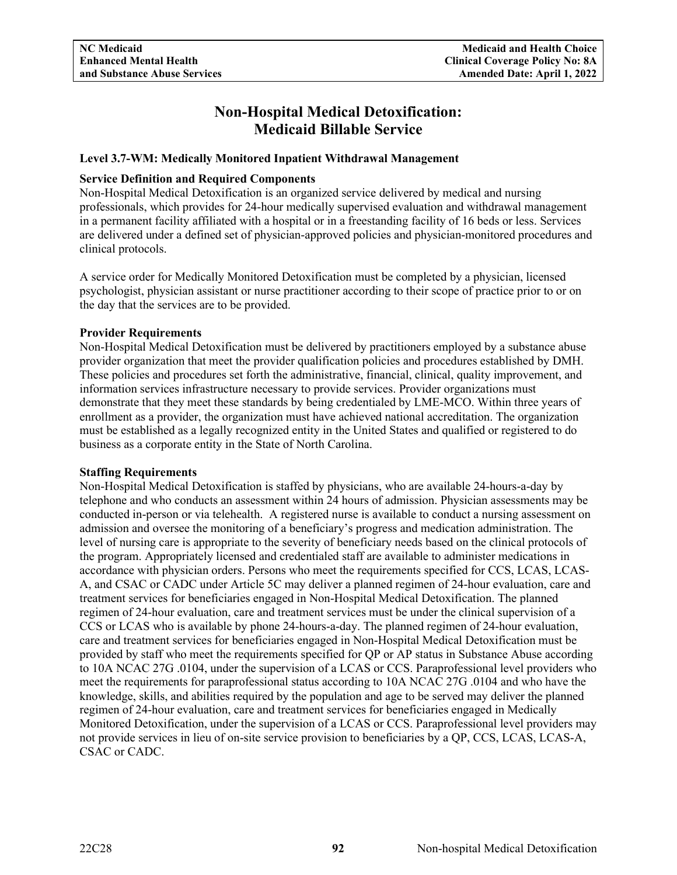# **Non-Hospital Medical Detoxification: Medicaid Billable Service**

# **Level 3.7-WM: Medically Monitored Inpatient Withdrawal Management**

# **Service Definition and Required Components**

Non-Hospital Medical Detoxification is an organized service delivered by medical and nursing professionals, which provides for 24-hour medically supervised evaluation and withdrawal management in a permanent facility affiliated with a hospital or in a freestanding facility of 16 beds or less. Services are delivered under a defined set of physician-approved policies and physician-monitored procedures and clinical protocols.

A service order for Medically Monitored Detoxification must be completed by a physician, licensed psychologist, physician assistant or nurse practitioner according to their scope of practice prior to or on the day that the services are to be provided.

# **Provider Requirements**

Non-Hospital Medical Detoxification must be delivered by practitioners employed by a substance abuse provider organization that meet the provider qualification policies and procedures established by DMH. These policies and procedures set forth the administrative, financial, clinical, quality improvement, and information services infrastructure necessary to provide services. Provider organizations must demonstrate that they meet these standards by being credentialed by LME-MCO. Within three years of enrollment as a provider, the organization must have achieved national accreditation. The organization must be established as a legally recognized entity in the United States and qualified or registered to do business as a corporate entity in the State of North Carolina.

# **Staffing Requirements**

Non-Hospital Medical Detoxification is staffed by physicians, who are available 24-hours-a-day by telephone and who conducts an assessment within 24 hours of admission. Physician assessments may be conducted in-person or via telehealth. A registered nurse is available to conduct a nursing assessment on admission and oversee the monitoring of a beneficiary's progress and medication administration. The level of nursing care is appropriate to the severity of beneficiary needs based on the clinical protocols of the program. Appropriately licensed and credentialed staff are available to administer medications in accordance with physician orders. Persons who meet the requirements specified for CCS, LCAS, LCAS-A, and CSAC or CADC under Article 5C may deliver a planned regimen of 24-hour evaluation, care and treatment services for beneficiaries engaged in Non-Hospital Medical Detoxification. The planned regimen of 24-hour evaluation, care and treatment services must be under the clinical supervision of a CCS or LCAS who is available by phone 24-hours-a-day. The planned regimen of 24-hour evaluation, care and treatment services for beneficiaries engaged in Non-Hospital Medical Detoxification must be provided by staff who meet the requirements specified for QP or AP status in Substance Abuse according to 10A NCAC 27G .0104, under the supervision of a LCAS or CCS. Paraprofessional level providers who meet the requirements for paraprofessional status according to 10A NCAC 27G .0104 and who have the knowledge, skills, and abilities required by the population and age to be served may deliver the planned regimen of 24-hour evaluation, care and treatment services for beneficiaries engaged in Medically Monitored Detoxification, under the supervision of a LCAS or CCS. Paraprofessional level providers may not provide services in lieu of on-site service provision to beneficiaries by a QP, CCS, LCAS, LCAS-A, CSAC or CADC.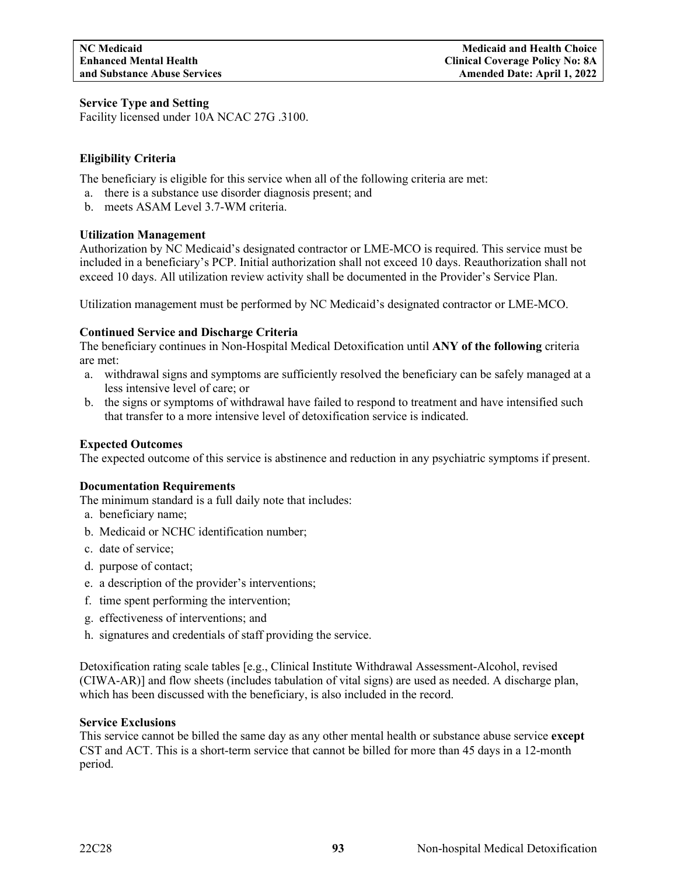# **Service Type and Setting**

Facility licensed under 10A NCAC 27G .3100.

# **Eligibility Criteria**

The beneficiary is eligible for this service when all of the following criteria are met:

- a. there is a substance use disorder diagnosis present; and
- b. meets ASAM Level 3.7-WM criteria.

# **Utilization Management**

Authorization by NC Medicaid's designated contractor or LME-MCO is required. This service must be included in a beneficiary's PCP. Initial authorization shall not exceed 10 days. Reauthorization shall not exceed 10 days. All utilization review activity shall be documented in the Provider's Service Plan.

Utilization management must be performed by NC Medicaid's designated contractor or LME-MCO.

# **Continued Service and Discharge Criteria**

The beneficiary continues in Non-Hospital Medical Detoxification until **ANY of the following** criteria are met:

- a. withdrawal signs and symptoms are sufficiently resolved the beneficiary can be safely managed at a less intensive level of care; or
- b. the signs or symptoms of withdrawal have failed to respond to treatment and have intensified such that transfer to a more intensive level of detoxification service is indicated.

# **Expected Outcomes**

The expected outcome of this service is abstinence and reduction in any psychiatric symptoms if present.

# **Documentation Requirements**

The minimum standard is a full daily note that includes:

- a. beneficiary name;
- b. Medicaid or NCHC identification number;
- c. date of service;
- d. purpose of contact;
- e. a description of the provider's interventions;
- f. time spent performing the intervention;
- g. effectiveness of interventions; and
- h. signatures and credentials of staff providing the service.

Detoxification rating scale tables [e.g., Clinical Institute Withdrawal Assessment-Alcohol, revised (CIWA-AR)] and flow sheets (includes tabulation of vital signs) are used as needed. A discharge plan, which has been discussed with the beneficiary, is also included in the record.

# **Service Exclusions**

This service cannot be billed the same day as any other mental health or substance abuse service **except** CST and ACT. This is a short-term service that cannot be billed for more than 45 days in a 12-month period.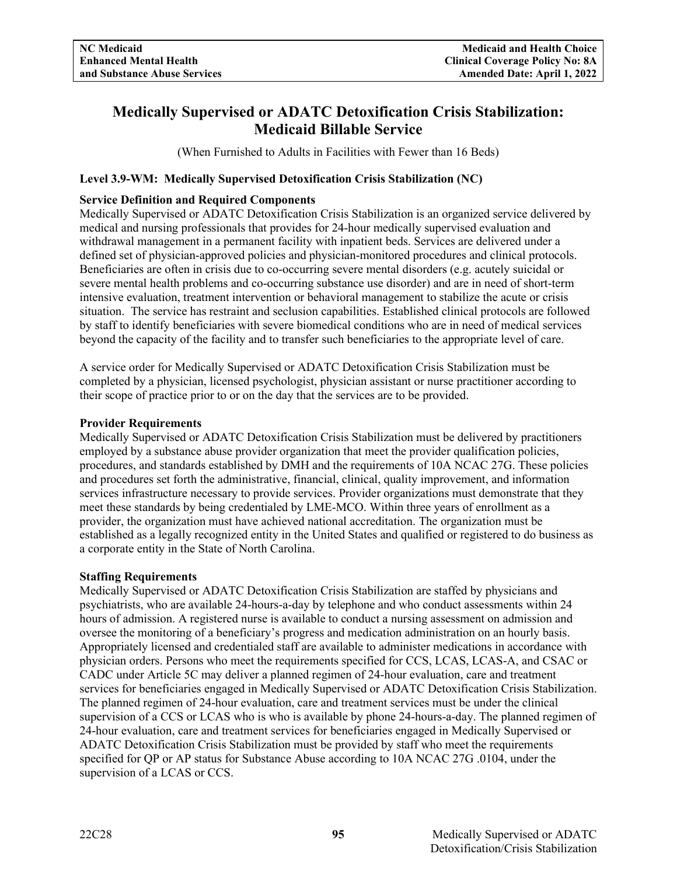# **Medically Supervised or ADATC Detoxification Crisis Stabilization: Medicaid Billable Service**

(When Furnished to Adults in Facilities with Fewer than 16 Beds)

# **Level 3.9-WM: Medically Supervised Detoxification Crisis Stabilization (NC)**

# **Service Definition and Required Components**

Medically Supervised or ADATC Detoxification Crisis Stabilization is an organized service delivered by medical and nursing professionals that provides for 24-hour medically supervised evaluation and withdrawal management in a permanent facility with inpatient beds. Services are delivered under a defined set of physician-approved policies and physician-monitored procedures and clinical protocols. Beneficiaries are often in crisis due to co-occurring severe mental disorders (e.g. acutely suicidal or severe mental health problems and co-occurring substance use disorder) and are in need of short-term intensive evaluation, treatment intervention or behavioral management to stabilize the acute or crisis situation. The service has restraint and seclusion capabilities. Established clinical protocols are followed by staff to identify beneficiaries with severe biomedical conditions who are in need of medical services beyond the capacity of the facility and to transfer such beneficiaries to the appropriate level of care.

A service order for Medically Supervised or ADATC Detoxification Crisis Stabilization must be completed by a physician, licensed psychologist, physician assistant or nurse practitioner according to their scope of practice prior to or on the day that the services are to be provided.

#### **Provider Requirements**

Medically Supervised or ADATC Detoxification Crisis Stabilization must be delivered by practitioners employed by a substance abuse provider organization that meet the provider qualification policies, procedures, and standards established by DMH and the requirements of 10A NCAC 27G. These policies and procedures set forth the administrative, financial, clinical, quality improvement, and information services infrastructure necessary to provide services. Provider organizations must demonstrate that they meet these standards by being credentialed by LME-MCO. Within three years of enrollment as a provider, the organization must have achieved national accreditation. The organization must be established as a legally recognized entity in the United States and qualified or registered to do business as a corporate entity in the State of North Carolina.

# **Staffing Requirements**

Medically Supervised or ADATC Detoxification Crisis Stabilization are staffed by physicians and psychiatrists, who are available 24-hours-a-day by telephone and who conduct assessments within 24 hours of admission. A registered nurse is available to conduct a nursing assessment on admission and oversee the monitoring of a beneficiary's progress and medication administration on an hourly basis. Appropriately licensed and credentialed staff are available to administer medications in accordance with physician orders. Persons who meet the requirements specified for CCS, LCAS, LCAS-A, and CSAC or CADC under Article 5C may deliver a planned regimen of 24-hour evaluation, care and treatment services for beneficiaries engaged in Medically Supervised or ADATC Detoxification Crisis Stabilization. The planned regimen of 24-hour evaluation, care and treatment services must be under the clinical supervision of a CCS or LCAS who is who is available by phone 24-hours-a-day. The planned regimen of 24-hour evaluation, care and treatment services for beneficiaries engaged in Medically Supervised or ADATC Detoxification Crisis Stabilization must be provided by staff who meet the requirements specified for QP or AP status for Substance Abuse according to 10A NCAC 27G .0104, under the supervision of a LCAS or CCS.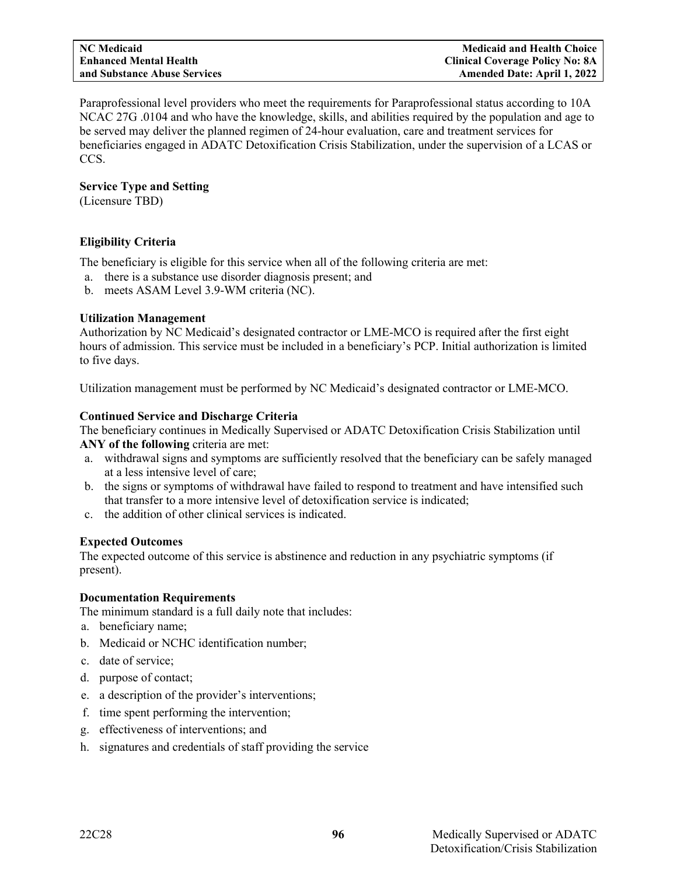Paraprofessional level providers who meet the requirements for Paraprofessional status according to 10A NCAC 27G .0104 and who have the knowledge, skills, and abilities required by the population and age to be served may deliver the planned regimen of 24-hour evaluation, care and treatment services for beneficiaries engaged in ADATC Detoxification Crisis Stabilization, under the supervision of a LCAS or CCS.

# **Service Type and Setting**

(Licensure TBD)

# **Eligibility Criteria**

The beneficiary is eligible for this service when all of the following criteria are met:

- a. there is a substance use disorder diagnosis present; and
- b. meets ASAM Level 3.9-WM criteria (NC).

# **Utilization Management**

Authorization by NC Medicaid's designated contractor or LME-MCO is required after the first eight hours of admission. This service must be included in a beneficiary's PCP. Initial authorization is limited to five days.

Utilization management must be performed by NC Medicaid's designated contractor or LME-MCO.

# **Continued Service and Discharge Criteria**

The beneficiary continues in Medically Supervised or ADATC Detoxification Crisis Stabilization until **ANY of the following** criteria are met:

- a. withdrawal signs and symptoms are sufficiently resolved that the beneficiary can be safely managed at a less intensive level of care;
- b. the signs or symptoms of withdrawal have failed to respond to treatment and have intensified such that transfer to a more intensive level of detoxification service is indicated;
- c. the addition of other clinical services is indicated.

# **Expected Outcomes**

The expected outcome of this service is abstinence and reduction in any psychiatric symptoms (if present).

# **Documentation Requirements**

The minimum standard is a full daily note that includes:

- a. beneficiary name;
- b. Medicaid or NCHC identification number;
- c. date of service;
- d. purpose of contact;
- e. a description of the provider's interventions;
- f. time spent performing the intervention;
- g. effectiveness of interventions; and
- h. signatures and credentials of staff providing the service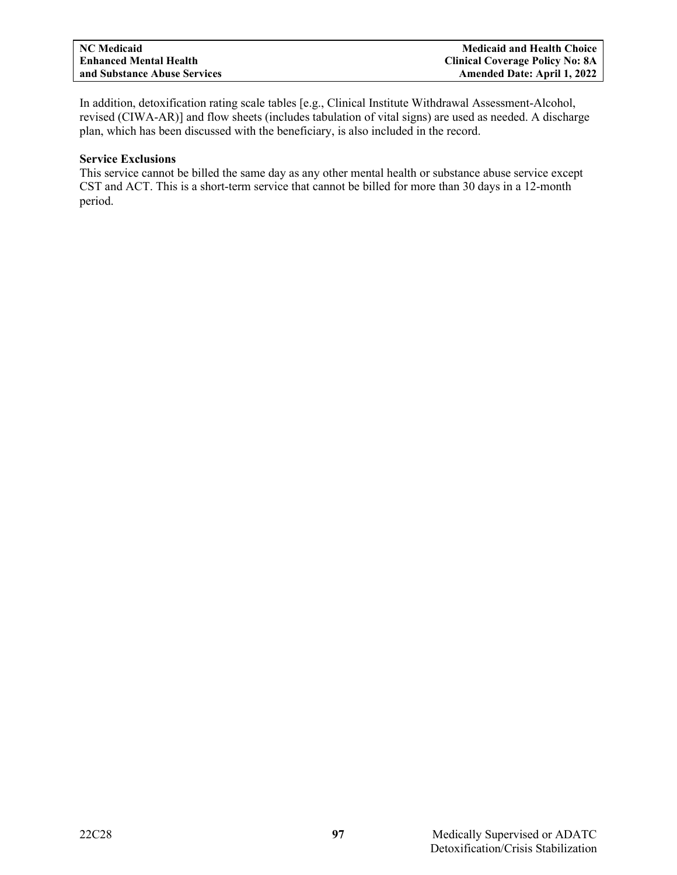In addition, detoxification rating scale tables [e.g., Clinical Institute Withdrawal Assessment-Alcohol, revised (CIWA-AR)] and flow sheets (includes tabulation of vital signs) are used as needed. A discharge plan, which has been discussed with the beneficiary, is also included in the record.

# **Service Exclusions**

This service cannot be billed the same day as any other mental health or substance abuse service except CST and ACT. This is a short-term service that cannot be billed for more than 30 days in a 12-month period.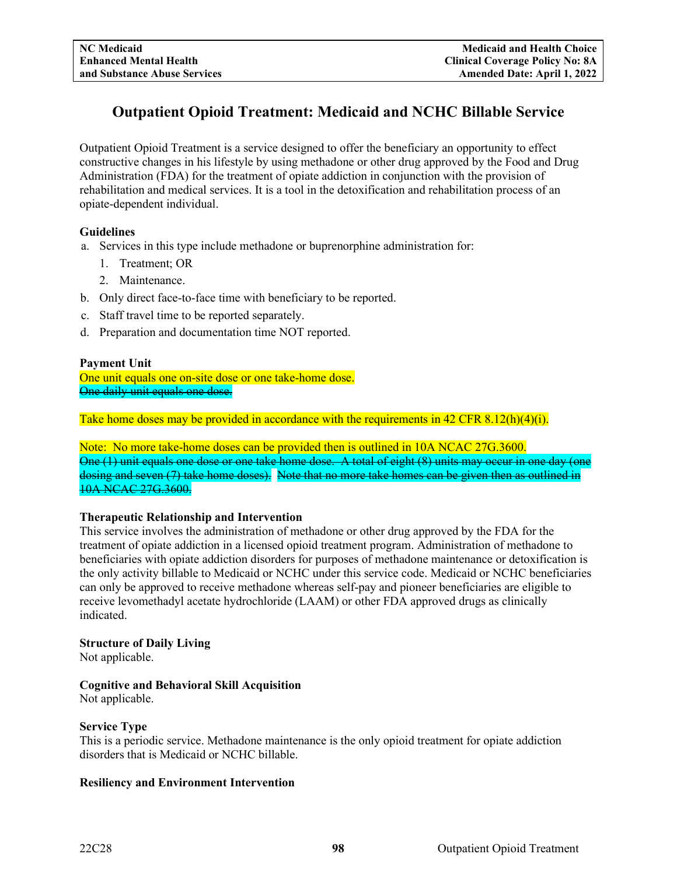# **Outpatient Opioid Treatment: Medicaid and NCHC Billable Service**

Outpatient Opioid Treatment is a service designed to offer the beneficiary an opportunity to effect constructive changes in his lifestyle by using methadone or other drug approved by the Food and Drug Administration (FDA) for the treatment of opiate addiction in conjunction with the provision of rehabilitation and medical services. It is a tool in the detoxification and rehabilitation process of an opiate-dependent individual.

# **Guidelines**

- a. Services in this type include methadone or buprenorphine administration for:
	- 1. Treatment; OR
	- 2. Maintenance.
- b. Only direct face-to-face time with beneficiary to be reported.
- c. Staff travel time to be reported separately.
- d. Preparation and documentation time NOT reported.

# **Payment Unit**

One unit equals one on-site dose or one take-home dose. One daily unit equals one dose.

Take home doses may be provided in accordance with the requirements in 42 CFR 8.12(h)(4)(i).

Note: No more take-home doses can be provided then is outlined in 10A NCAC 27G.3600. One (1) unit equals one dose or one take home dose. A total of eight (8) units may occur in one day (one dosing and seven (7) take home doses). Note that no more take homes can be given then as outlined in 10A NCAC 27G.3600.

# **Therapeutic Relationship and Intervention**

This service involves the administration of methadone or other drug approved by the FDA for the treatment of opiate addiction in a licensed opioid treatment program. Administration of methadone to beneficiaries with opiate addiction disorders for purposes of methadone maintenance or detoxification is the only activity billable to Medicaid or NCHC under this service code. Medicaid or NCHC beneficiaries can only be approved to receive methadone whereas self-pay and pioneer beneficiaries are eligible to receive levomethadyl acetate hydrochloride (LAAM) or other FDA approved drugs as clinically indicated.

# **Structure of Daily Living**

Not applicable.

# **Cognitive and Behavioral Skill Acquisition**

Not applicable.

# **Service Type**

This is a periodic service. Methadone maintenance is the only opioid treatment for opiate addiction disorders that is Medicaid or NCHC billable.

# **Resiliency and Environment Intervention**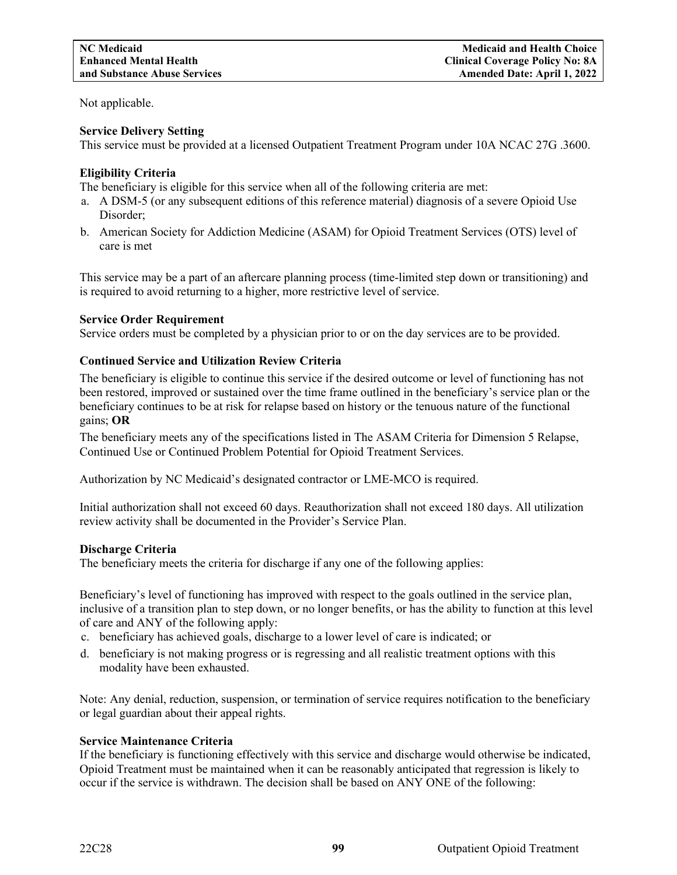Not applicable.

# **Service Delivery Setting**

This service must be provided at a licensed Outpatient Treatment Program under 10A NCAC 27G .3600.

# **Eligibility Criteria**

The beneficiary is eligible for this service when all of the following criteria are met:

- a. A DSM-5 (or any subsequent editions of this reference material) diagnosis of a severe Opioid Use Disorder;
- b. American Society for Addiction Medicine (ASAM) for Opioid Treatment Services (OTS) level of care is met

This service may be a part of an aftercare planning process (time-limited step down or transitioning) and is required to avoid returning to a higher, more restrictive level of service.

# **Service Order Requirement**

Service orders must be completed by a physician prior to or on the day services are to be provided.

# **Continued Service and Utilization Review Criteria**

The beneficiary is eligible to continue this service if the desired outcome or level of functioning has not been restored, improved or sustained over the time frame outlined in the beneficiary's service plan or the beneficiary continues to be at risk for relapse based on history or the tenuous nature of the functional gains; **OR**

The beneficiary meets any of the specifications listed in The ASAM Criteria for Dimension 5 Relapse, Continued Use or Continued Problem Potential for Opioid Treatment Services.

Authorization by NC Medicaid's designated contractor or LME-MCO is required.

Initial authorization shall not exceed 60 days. Reauthorization shall not exceed 180 days. All utilization review activity shall be documented in the Provider's Service Plan.

# **Discharge Criteria**

The beneficiary meets the criteria for discharge if any one of the following applies:

Beneficiary's level of functioning has improved with respect to the goals outlined in the service plan, inclusive of a transition plan to step down, or no longer benefits, or has the ability to function at this level of care and ANY of the following apply:

- c. beneficiary has achieved goals, discharge to a lower level of care is indicated; or
- d. beneficiary is not making progress or is regressing and all realistic treatment options with this modality have been exhausted.

Note: Any denial, reduction, suspension, or termination of service requires notification to the beneficiary or legal guardian about their appeal rights.

# **Service Maintenance Criteria**

If the beneficiary is functioning effectively with this service and discharge would otherwise be indicated, Opioid Treatment must be maintained when it can be reasonably anticipated that regression is likely to occur if the service is withdrawn. The decision shall be based on ANY ONE of the following: